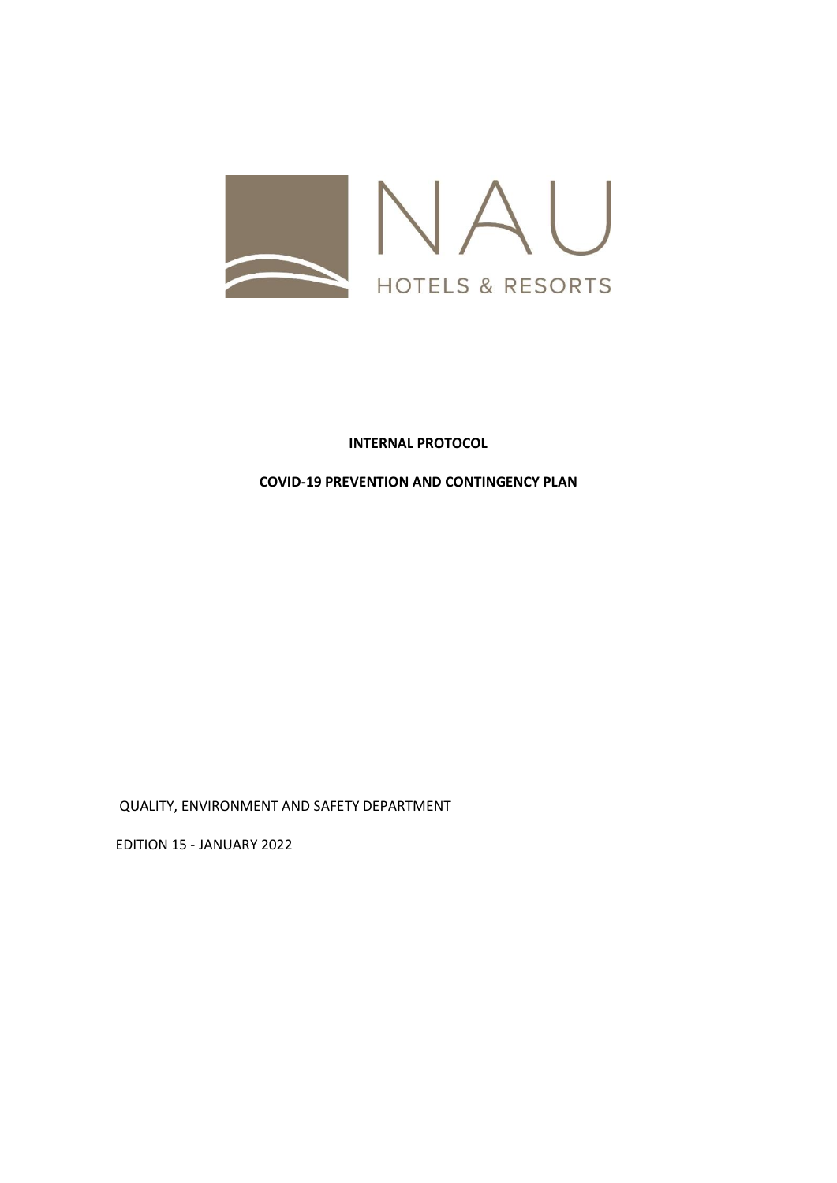

# **INTERNAL PROTOCOL**

## **COVID-19 PREVENTION AND CONTINGENCY PLAN**

QUALITY, ENVIRONMENT AND SAFETY DEPARTMENT

EDITION 15 - JANUARY 2022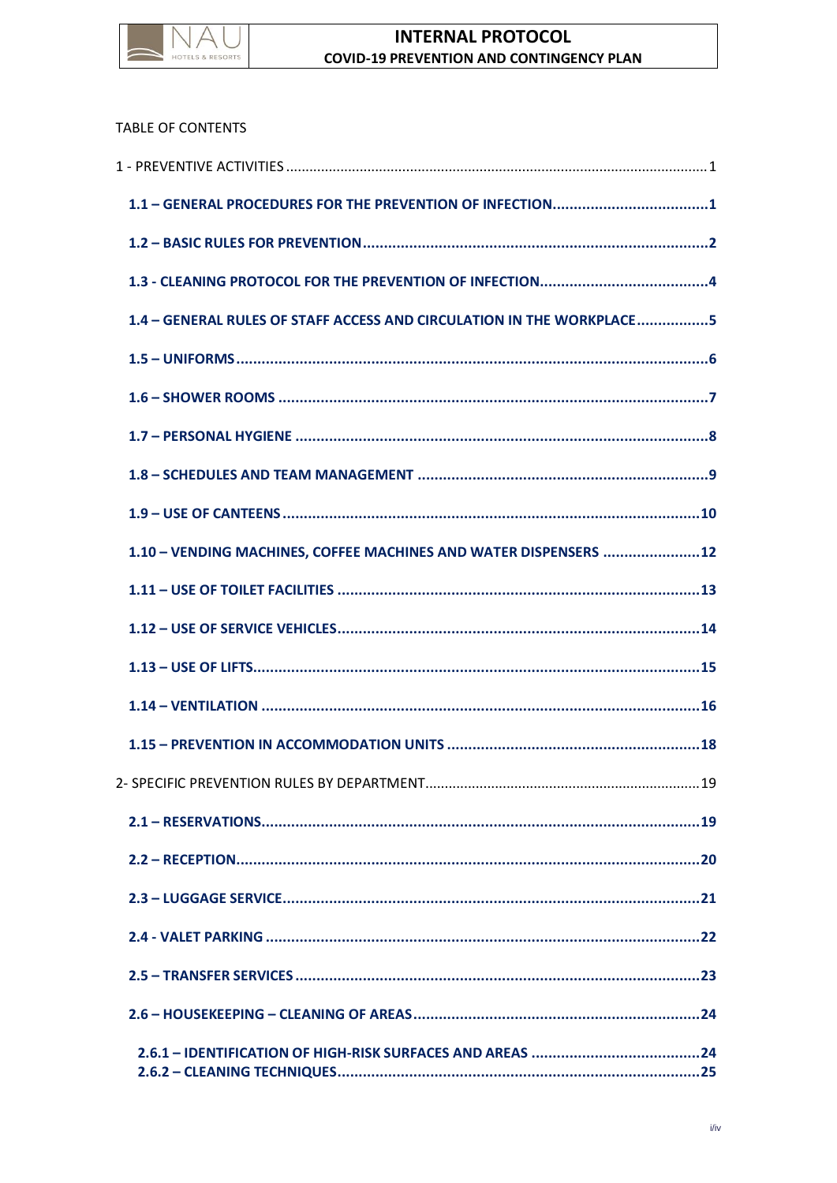

# TABLE OF CONTENTS

| 1.4 - GENERAL RULES OF STAFF ACCESS AND CIRCULATION IN THE WORKPLACE5 |  |
|-----------------------------------------------------------------------|--|
|                                                                       |  |
|                                                                       |  |
|                                                                       |  |
|                                                                       |  |
|                                                                       |  |
| 1.10 - VENDING MACHINES, COFFEE MACHINES AND WATER DISPENSERS 12      |  |
|                                                                       |  |
|                                                                       |  |
|                                                                       |  |
|                                                                       |  |
|                                                                       |  |
|                                                                       |  |
|                                                                       |  |
|                                                                       |  |
|                                                                       |  |
|                                                                       |  |
|                                                                       |  |
|                                                                       |  |
|                                                                       |  |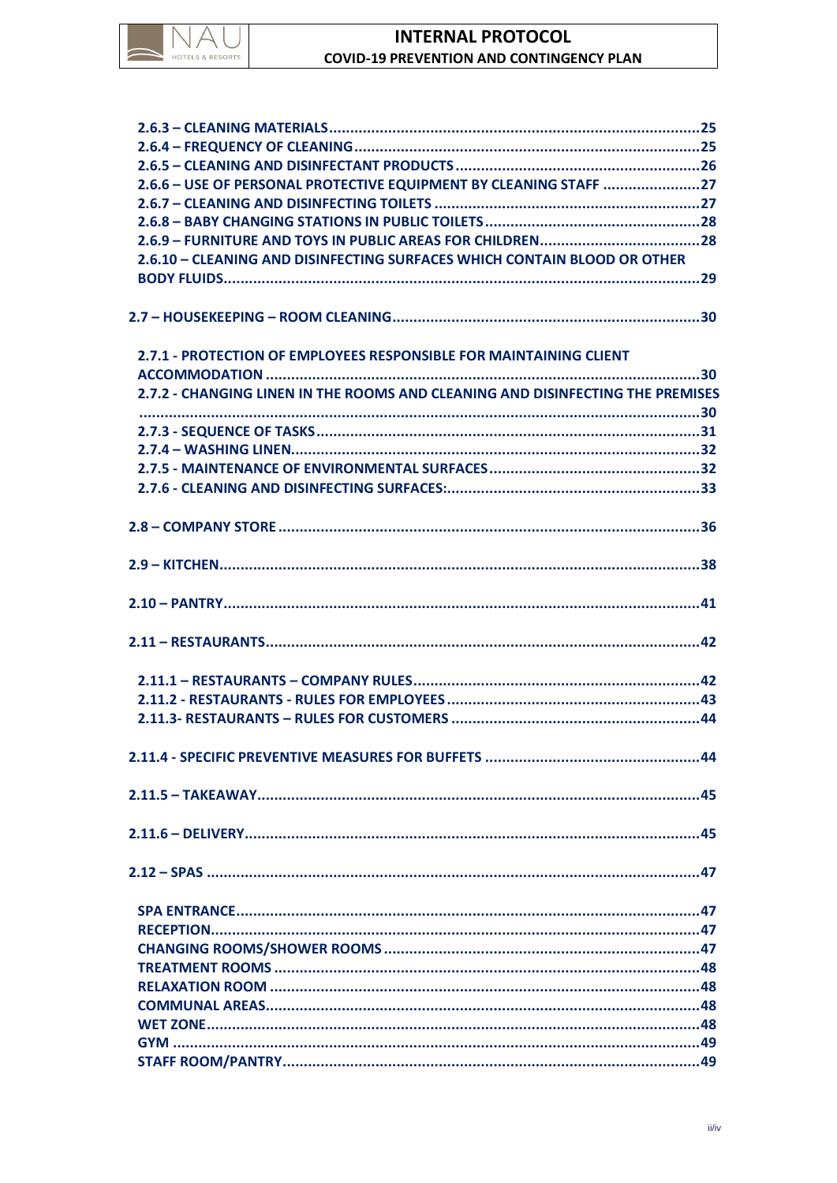

# **INTERNAL PROTOCOL COVID-19 PREVENTION AND CONTINGENCY PLAN**

| 2.6.6 - USE OF PERSONAL PROTECTIVE EQUIPMENT BY CLEANING STAFF 27              |  |
|--------------------------------------------------------------------------------|--|
|                                                                                |  |
|                                                                                |  |
|                                                                                |  |
| 2.6.10 - CLEANING AND DISINFECTING SURFACES WHICH CONTAIN BLOOD OR OTHER       |  |
|                                                                                |  |
|                                                                                |  |
|                                                                                |  |
| 2.7.1 - PROTECTION OF EMPLOYEES RESPONSIBLE FOR MAINTAINING CLIENT             |  |
|                                                                                |  |
| 2.7.2 - CHANGING LINEN IN THE ROOMS AND CLEANING AND DISINFECTING THE PREMISES |  |
|                                                                                |  |
|                                                                                |  |
|                                                                                |  |
|                                                                                |  |
|                                                                                |  |
|                                                                                |  |
|                                                                                |  |
|                                                                                |  |
|                                                                                |  |
|                                                                                |  |
|                                                                                |  |
|                                                                                |  |
|                                                                                |  |
|                                                                                |  |
|                                                                                |  |
|                                                                                |  |
|                                                                                |  |
|                                                                                |  |
|                                                                                |  |
|                                                                                |  |
|                                                                                |  |
|                                                                                |  |
|                                                                                |  |
|                                                                                |  |
|                                                                                |  |
|                                                                                |  |
|                                                                                |  |
|                                                                                |  |
|                                                                                |  |
|                                                                                |  |
|                                                                                |  |
|                                                                                |  |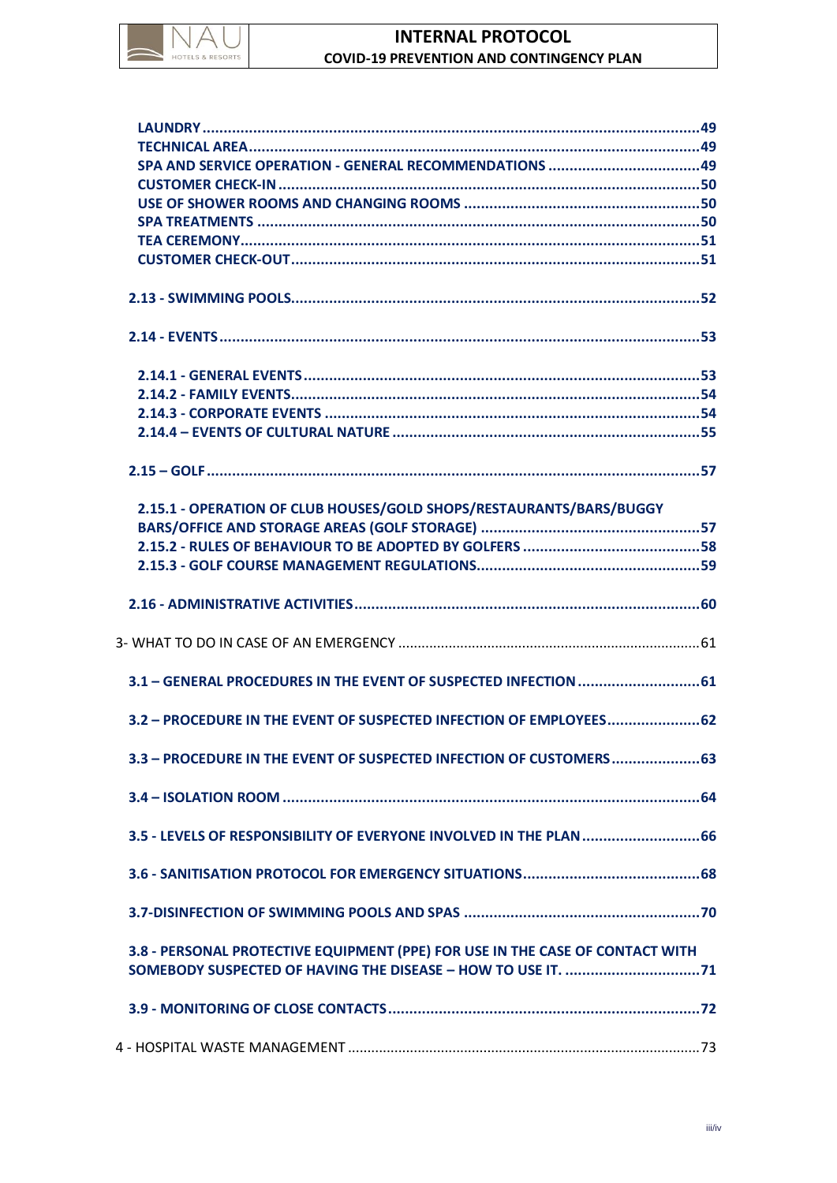

# **INTERNAL PROTOCOL COVID-19 PREVENTION AND CONTINGENCY PLAN**

| SPA AND SERVICE OPERATION - GENERAL RECOMMENDATIONS 49                        |  |
|-------------------------------------------------------------------------------|--|
|                                                                               |  |
|                                                                               |  |
|                                                                               |  |
|                                                                               |  |
|                                                                               |  |
|                                                                               |  |
|                                                                               |  |
|                                                                               |  |
|                                                                               |  |
|                                                                               |  |
|                                                                               |  |
|                                                                               |  |
|                                                                               |  |
|                                                                               |  |
| 2.15.1 - OPERATION OF CLUB HOUSES/GOLD SHOPS/RESTAURANTS/BARS/BUGGY           |  |
|                                                                               |  |
|                                                                               |  |
|                                                                               |  |
|                                                                               |  |
|                                                                               |  |
|                                                                               |  |
|                                                                               |  |
|                                                                               |  |
| 3.2 - PROCEDURE IN THE EVENT OF SUSPECTED INFECTION OF EMPLOYEES 62           |  |
| 3.3 - PROCEDURE IN THE EVENT OF SUSPECTED INFECTION OF CUSTOMERS 63           |  |
|                                                                               |  |
|                                                                               |  |
|                                                                               |  |
|                                                                               |  |
| 3.8 - PERSONAL PROTECTIVE EQUIPMENT (PPE) FOR USE IN THE CASE OF CONTACT WITH |  |
|                                                                               |  |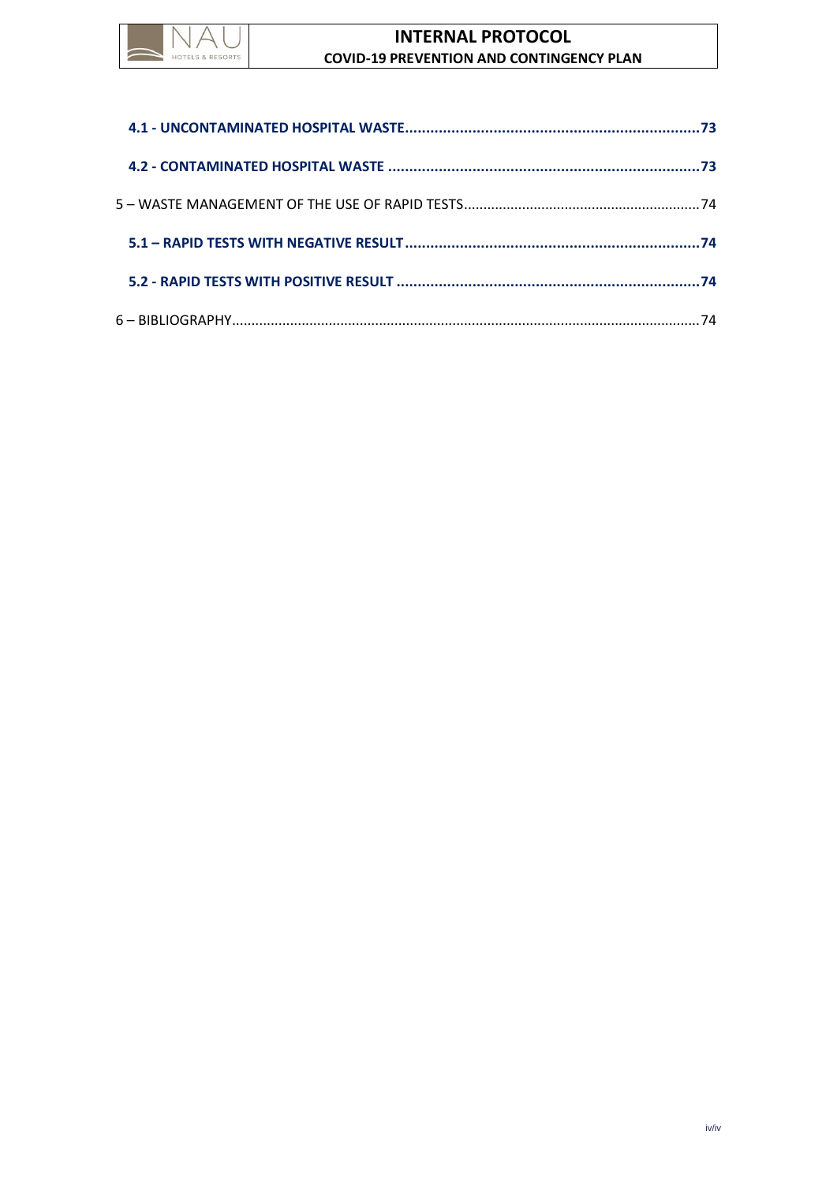

# **INTERNAL PROTOCOL COVID-19 PREVENTION AND CONTINGENCY PLAN**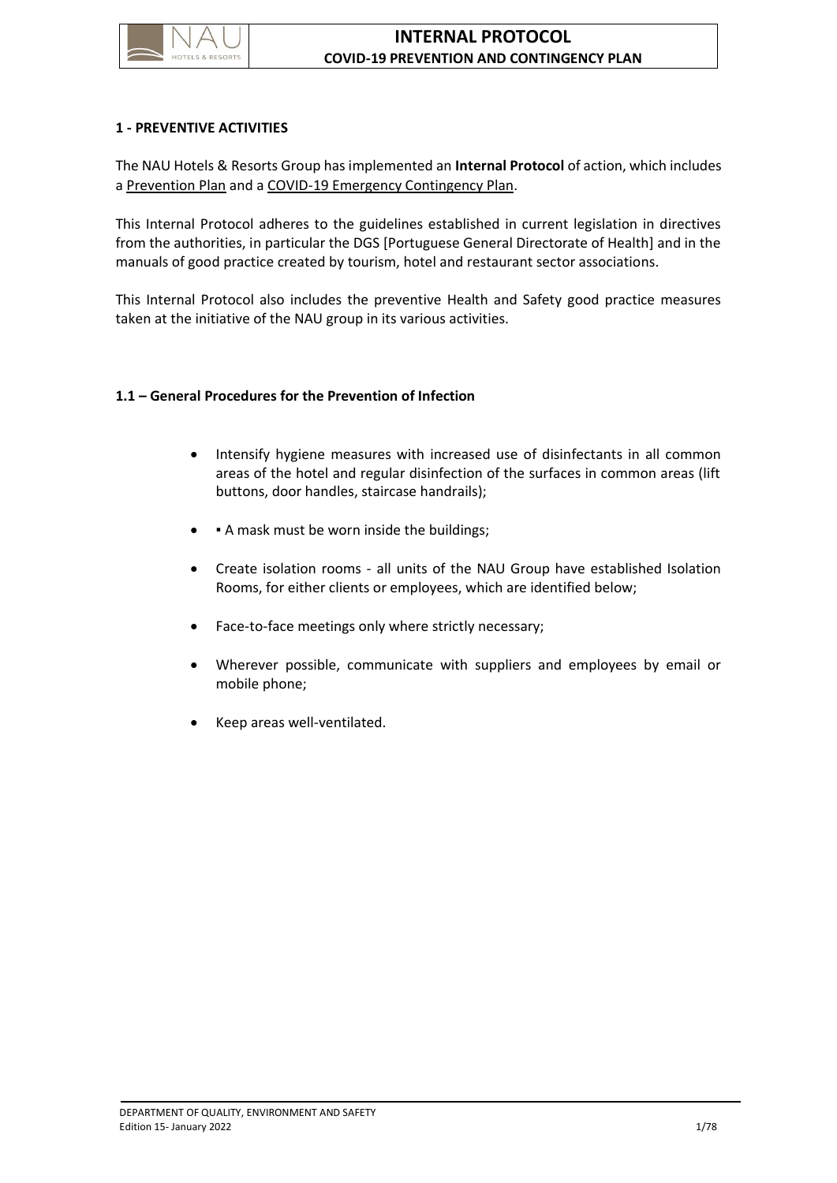

#### <span id="page-5-0"></span>**1 - PREVENTIVE ACTIVITIES**

The NAU Hotels & Resorts Group has implemented an **Internal Protocol** of action, which includes a Prevention Plan and a COVID-19 Emergency Contingency Plan.

This Internal Protocol adheres to the guidelines established in current legislation in directives from the authorities, in particular the DGS [Portuguese General Directorate of Health] and in the manuals of good practice created by tourism, hotel and restaurant sector associations.

This Internal Protocol also includes the preventive Health and Safety good practice measures taken at the initiative of the NAU group in its various activities.

#### <span id="page-5-1"></span>**1.1 – General Procedures for the Prevention of Infection**

- Intensify hygiene measures with increased use of disinfectants in all common areas of the hotel and regular disinfection of the surfaces in common areas (lift buttons, door handles, staircase handrails);
- A mask must be worn inside the buildings;
- Create isolation rooms all units of the NAU Group have established Isolation Rooms, for either clients or employees, which are identified below;
- Face-to-face meetings only where strictly necessary;
- Wherever possible, communicate with suppliers and employees by email or mobile phone;
- Keep areas well-ventilated.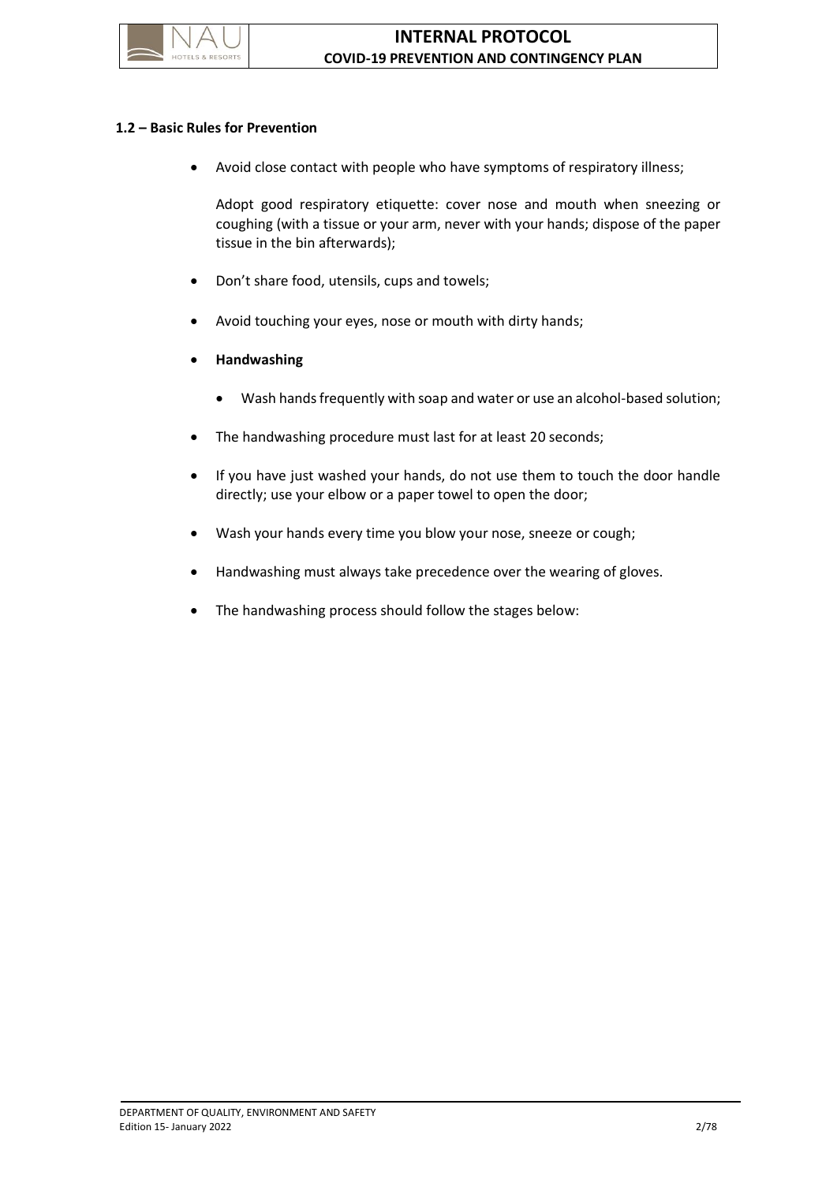

### <span id="page-6-0"></span>**1.2 – Basic Rules for Prevention**

• Avoid close contact with people who have symptoms of respiratory illness;

Adopt good respiratory etiquette: cover nose and mouth when sneezing or coughing (with a tissue or your arm, never with your hands; dispose of the paper tissue in the bin afterwards);

- Don't share food, utensils, cups and towels;
- Avoid touching your eyes, nose or mouth with dirty hands;
- **Handwashing**
	- Wash hands frequently with soap and water or use an alcohol-based solution;
- The handwashing procedure must last for at least 20 seconds;
- If you have just washed your hands, do not use them to touch the door handle directly; use your elbow or a paper towel to open the door;
- Wash your hands every time you blow your nose, sneeze or cough;
- Handwashing must always take precedence over the wearing of gloves.
- The handwashing process should follow the stages below: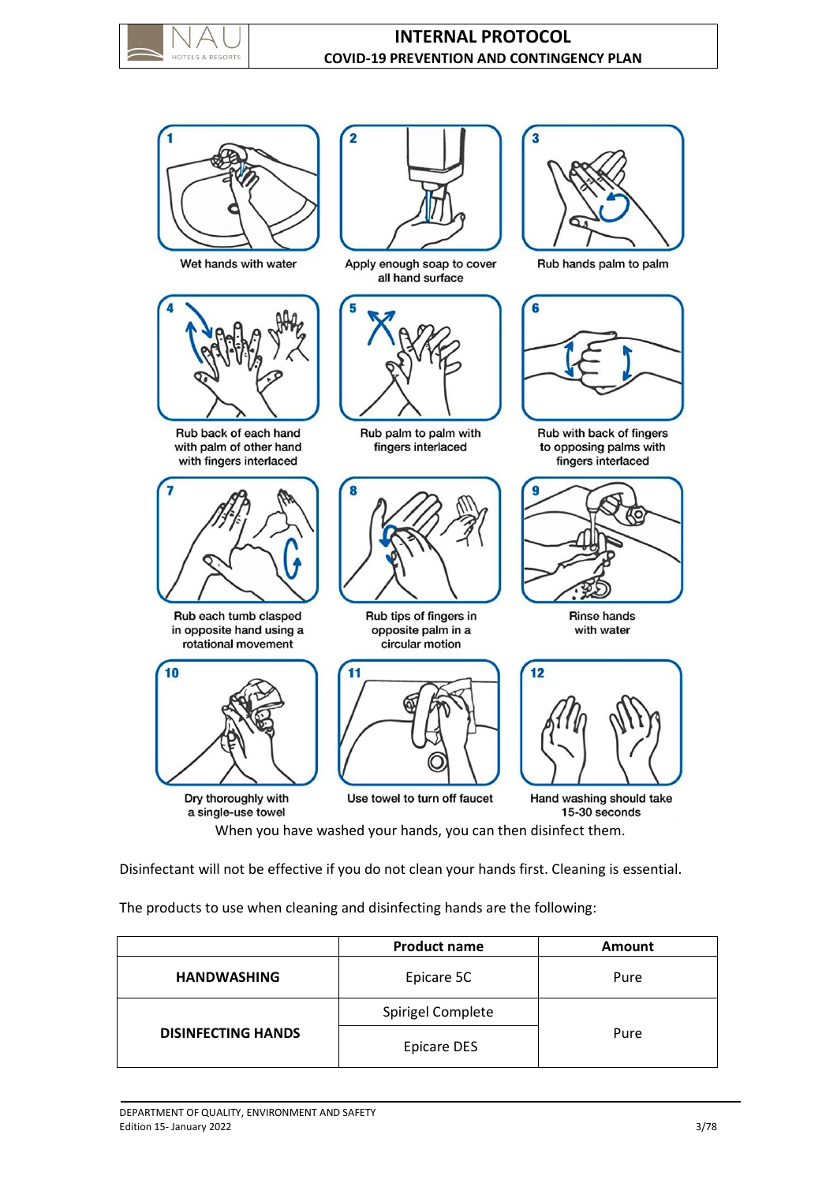

# **INTERNAL PROTOCOL COVID-19 PREVENTION AND CONTINGENCY PLAN**



Wet hands with water



Rub back of each hand with palm of other hand with fingers interlaced



Rub each tumb clasped in opposite hand using a rotational movement



Dry thoroughly with a single-use towel



Apply enough soap to cover all hand surface



Rub palm to palm with fingers interlaced



Rub tips of fingers in opposite palm in a circular motion





Rub hands palm to palm



Rub with back of fingers to opposing palms with fingers interlaced



**Rinse hands** with water



Hand washing should take 15-30 seconds

When you have washed your hands, you can then disinfect them.

Disinfectant will not be effective if you do not clean your hands first. Cleaning is essential.

The products to use when cleaning and disinfecting hands are the following:

|                           | <b>Product name</b> | Amount |
|---------------------------|---------------------|--------|
| <b>HANDWASHING</b>        | Epicare 5C          | Pure   |
|                           | Spirigel Complete   |        |
| <b>DISINFECTING HANDS</b> | <b>Epicare DES</b>  | Pure   |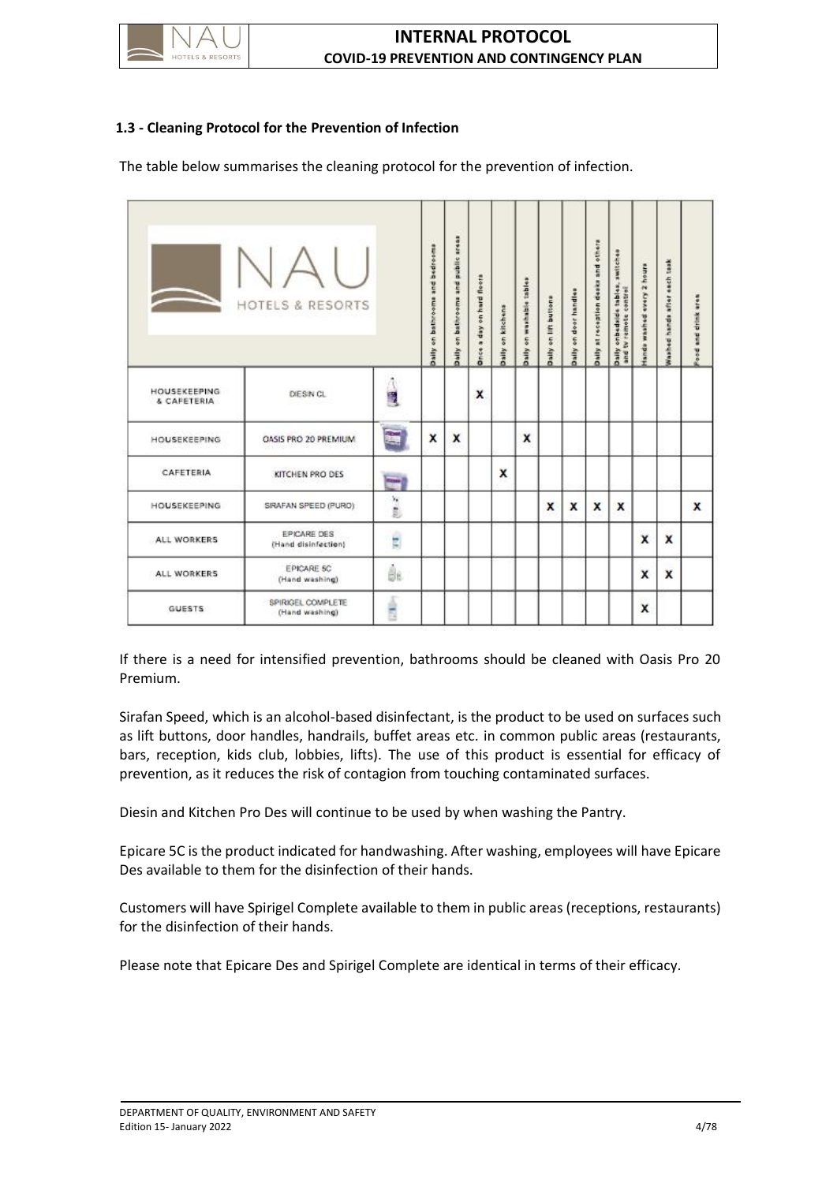

# <span id="page-8-0"></span>**1.3 - Cleaning Protocol for the Prevention of Infection**

The table below summarises the cleaning protocol for the prevention of infection.

|                                    | <b>HOTELS &amp; RESORTS</b>         |                            | Daily on bathrooms and bedreems | Daily on bathrooms and public areas | Drice a day on hard floors | Daily on kitchens | Daily on washable tables | Daily on lift buttons | Daily on door handles | Daily at reception desks and others | Daily onbedside tables, switches<br>and tv remote control | tanda washed every 2 hours | Washed hands after each task | Food and drink area |
|------------------------------------|-------------------------------------|----------------------------|---------------------------------|-------------------------------------|----------------------------|-------------------|--------------------------|-----------------------|-----------------------|-------------------------------------|-----------------------------------------------------------|----------------------------|------------------------------|---------------------|
| <b>HOUSEKEEPING</b><br>& CAFETERIA | DIESIN CL                           | 心里                         |                                 |                                     | X                          |                   |                          |                       |                       |                                     |                                                           |                            |                              |                     |
| HOUSEKEEPING                       | OASIS PRO 20 PREMIUM                | 畐                          | X                               | x                                   |                            |                   | x                        |                       |                       |                                     |                                                           |                            |                              |                     |
| CAFETERIA                          | KITCHEN PRO DES                     | $\overline{\phantom{a}}$   |                                 |                                     |                            | x                 |                          |                       |                       |                                     |                                                           |                            |                              |                     |
| <b>HOUSEKEEPING</b>                | SIRAFAN SPEED (PURO)                | $\mathcal{L} = \mathbb{R}$ |                                 |                                     |                            |                   |                          | x                     | x                     | X                                   | X                                                         |                            |                              | x                   |
| ALL WORKERS                        | EPICARE DES<br>(Hand disinfection)  | ś                          |                                 |                                     |                            |                   |                          |                       |                       |                                     |                                                           | X                          | X                            |                     |
| ALL WORKERS                        | EPICARE 5C<br>(Hand washing)        | ģκ                         |                                 |                                     |                            |                   |                          |                       |                       |                                     |                                                           | X                          | x                            |                     |
| <b>GUESTS</b>                      | SPIRIGEL COMPLETE<br>(Hand washing) | â                          |                                 |                                     |                            |                   |                          |                       |                       |                                     |                                                           | x                          |                              |                     |

If there is a need for intensified prevention, bathrooms should be cleaned with Oasis Pro 20 Premium.

Sirafan Speed, which is an alcohol-based disinfectant, is the product to be used on surfaces such as lift buttons, door handles, handrails, buffet areas etc. in common public areas (restaurants, bars, reception, kids club, lobbies, lifts). The use of this product is essential for efficacy of prevention, as it reduces the risk of contagion from touching contaminated surfaces.

Diesin and Kitchen Pro Des will continue to be used by when washing the Pantry.

Epicare 5C is the product indicated for handwashing. After washing, employees will have Epicare Des available to them for the disinfection of their hands.

Customers will have Spirigel Complete available to them in public areas (receptions, restaurants) for the disinfection of their hands.

Please note that Epicare Des and Spirigel Complete are identical in terms of their efficacy.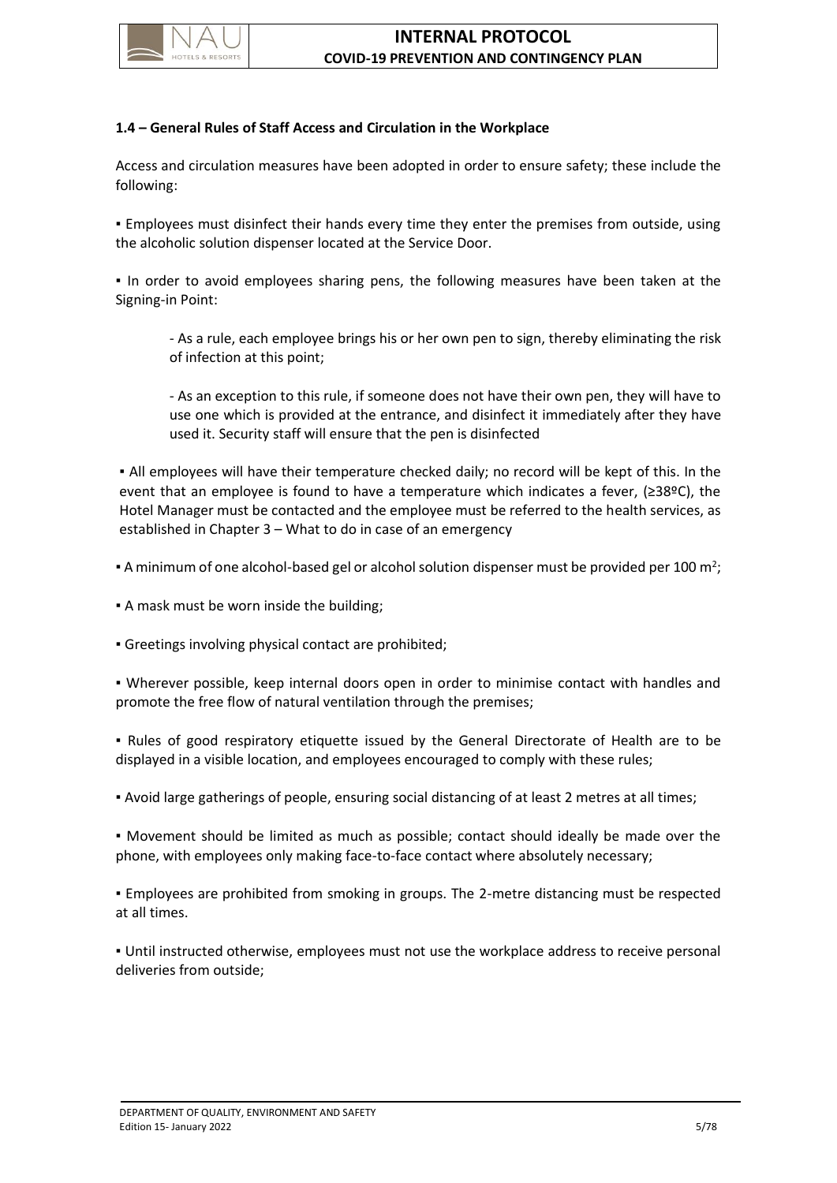

# <span id="page-9-0"></span>**1.4 – General Rules of Staff Access and Circulation in the Workplace**

Access and circulation measures have been adopted in order to ensure safety; these include the following:

▪ Employees must disinfect their hands every time they enter the premises from outside, using the alcoholic solution dispenser located at the Service Door.

▪ In order to avoid employees sharing pens, the following measures have been taken at the Signing-in Point:

- As a rule, each employee brings his or her own pen to sign, thereby eliminating the risk of infection at this point;

- As an exception to this rule, if someone does not have their own pen, they will have to use one which is provided at the entrance, and disinfect it immediately after they have used it. Security staff will ensure that the pen is disinfected

▪ All employees will have their temperature checked daily; no record will be kept of this. In the event that an employee is found to have a temperature which indicates a fever, (≥38ºC), the Hotel Manager must be contacted and the employee must be referred to the health services, as established in Chapter 3 – What to do in case of an emergency

 $\bullet$  A minimum of one alcohol-based gel or alcohol solution dispenser must be provided per 100 m<sup>2</sup>;

▪ A mask must be worn inside the building;

▪ Greetings involving physical contact are prohibited;

▪ Wherever possible, keep internal doors open in order to minimise contact with handles and promote the free flow of natural ventilation through the premises;

▪ Rules of good respiratory etiquette issued by the General Directorate of Health are to be displayed in a visible location, and employees encouraged to comply with these rules;

▪ Avoid large gatherings of people, ensuring social distancing of at least 2 metres at all times;

▪ Movement should be limited as much as possible; contact should ideally be made over the phone, with employees only making face-to-face contact where absolutely necessary;

▪ Employees are prohibited from smoking in groups. The 2-metre distancing must be respected at all times.

▪ Until instructed otherwise, employees must not use the workplace address to receive personal deliveries from outside;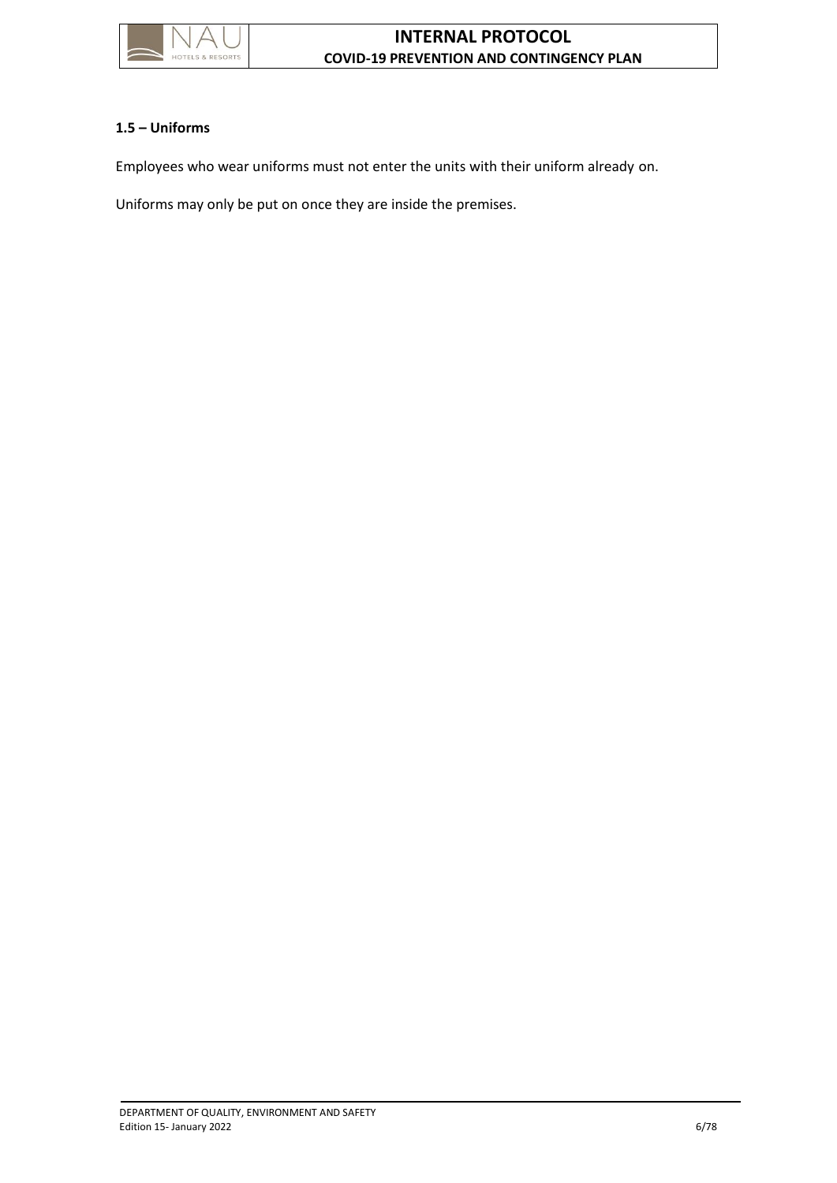

# <span id="page-10-0"></span>**1.5 – Uniforms**

Employees who wear uniforms must not enter the units with their uniform already on.

Uniforms may only be put on once they are inside the premises.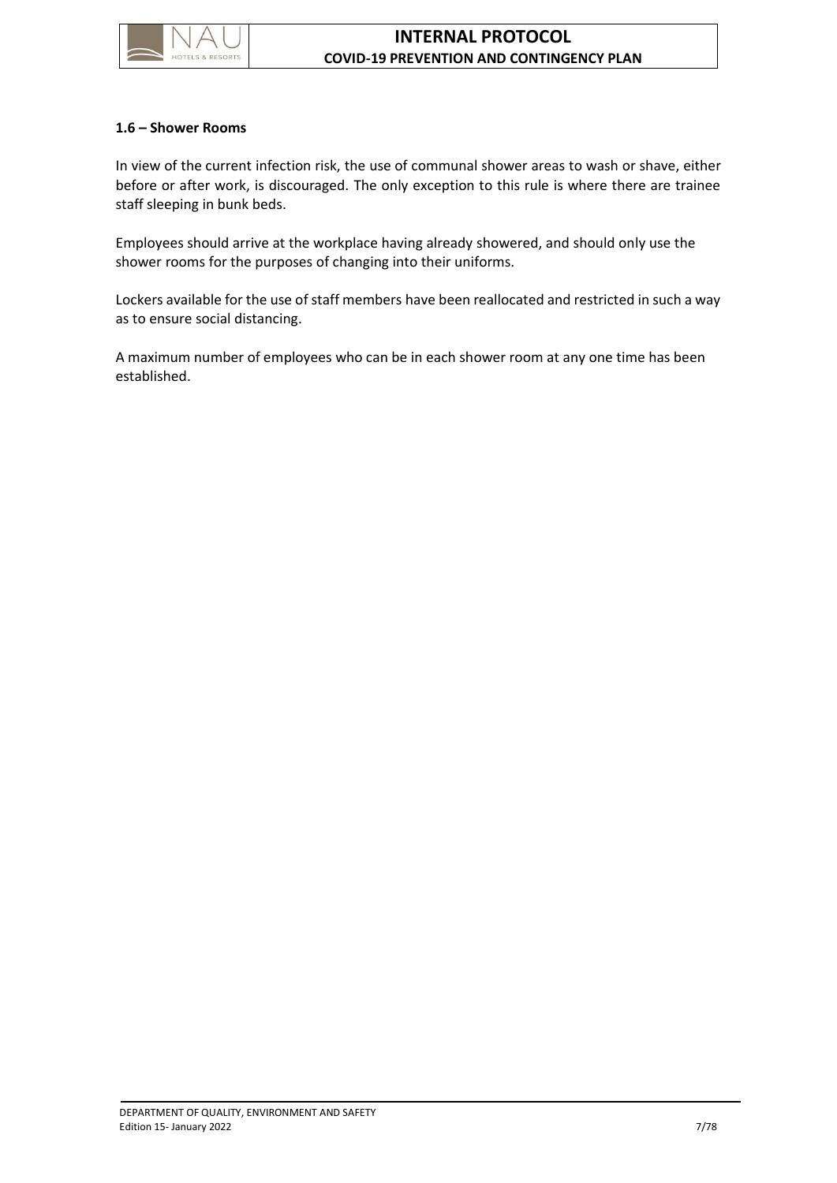

#### <span id="page-11-0"></span>**1.6 – Shower Rooms**

In view of the current infection risk, the use of communal shower areas to wash or shave, either before or after work, is discouraged. The only exception to this rule is where there are trainee staff sleeping in bunk beds.

Employees should arrive at the workplace having already showered, and should only use the shower rooms for the purposes of changing into their uniforms.

Lockers available for the use of staff members have been reallocated and restricted in such a way as to ensure social distancing.

A maximum number of employees who can be in each shower room at any one time has been established.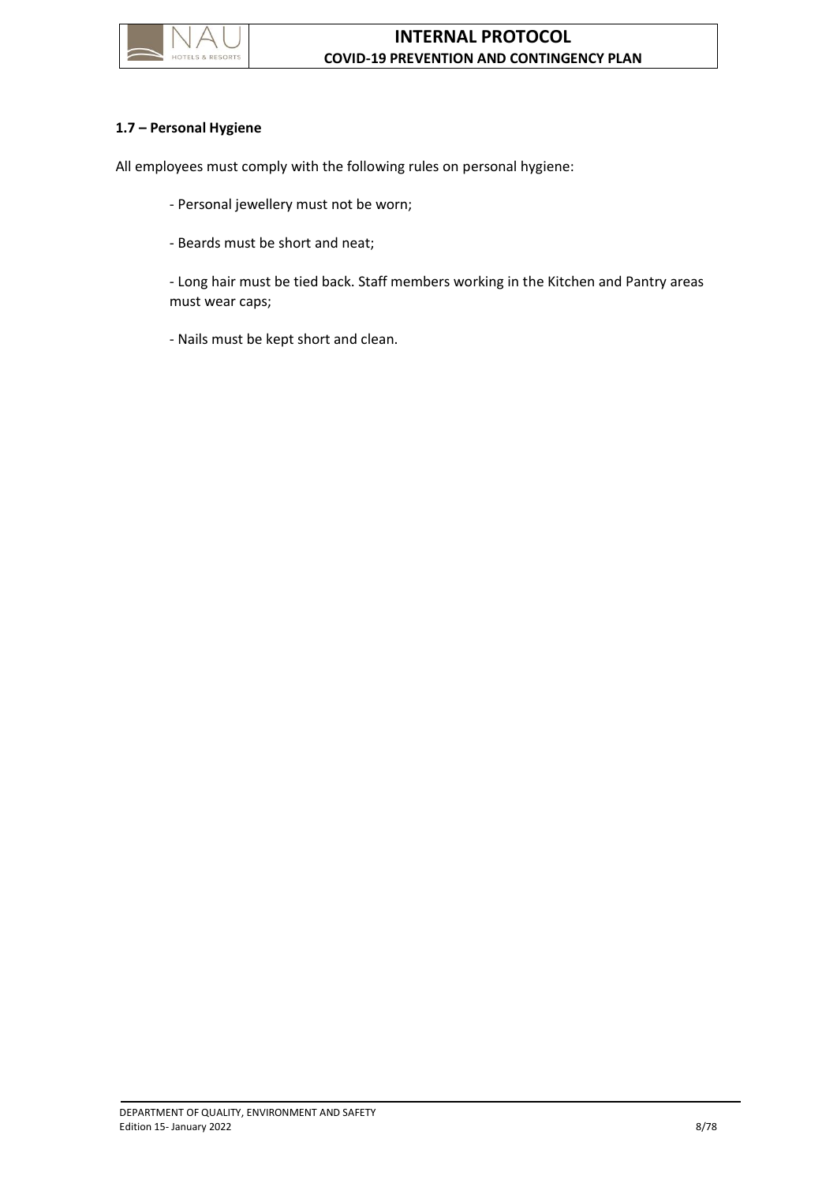

## <span id="page-12-0"></span>**1.7 – Personal Hygiene**

All employees must comply with the following rules on personal hygiene:

- Personal jewellery must not be worn;
- Beards must be short and neat;

- Long hair must be tied back. Staff members working in the Kitchen and Pantry areas must wear caps;

- Nails must be kept short and clean.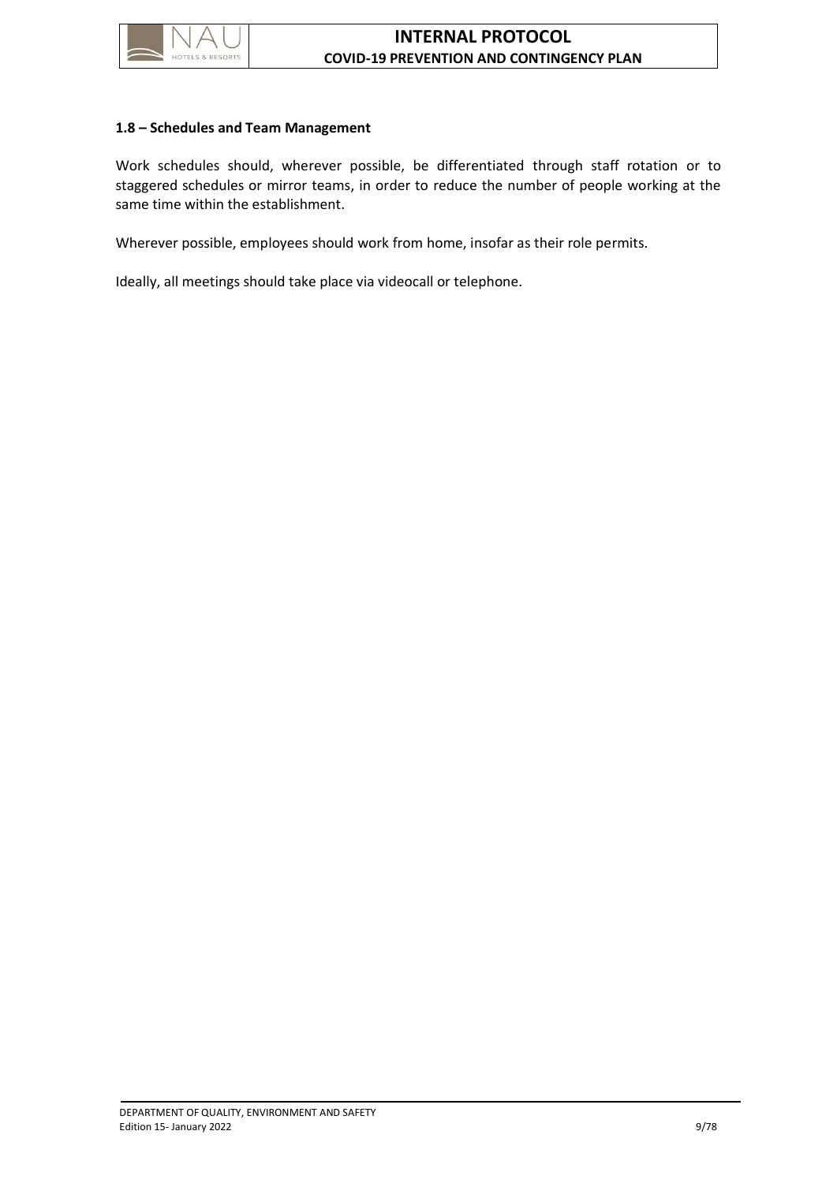

#### <span id="page-13-0"></span>**1.8 – Schedules and Team Management**

Work schedules should, wherever possible, be differentiated through staff rotation or to staggered schedules or mirror teams, in order to reduce the number of people working at the same time within the establishment.

Wherever possible, employees should work from home, insofar as their role permits.

Ideally, all meetings should take place via videocall or telephone.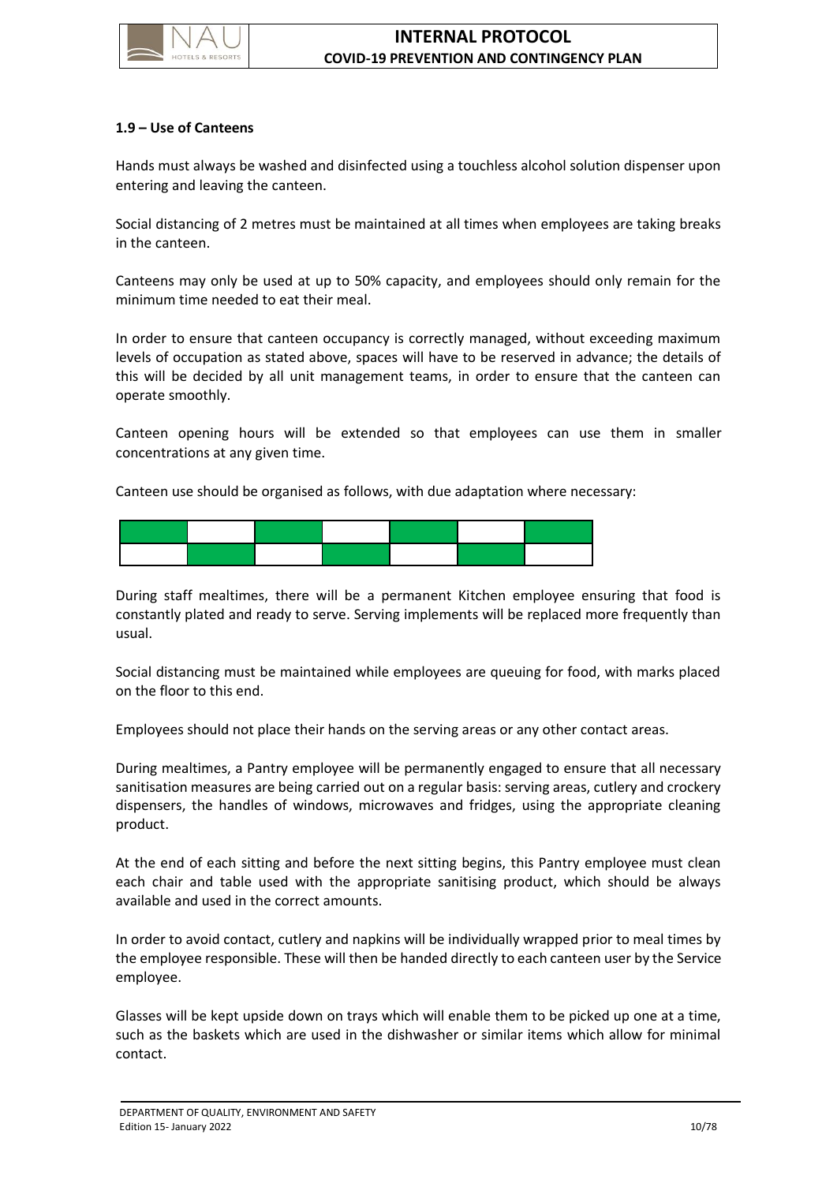

### <span id="page-14-0"></span>**1.9 – Use of Canteens**

Hands must always be washed and disinfected using a touchless alcohol solution dispenser upon entering and leaving the canteen.

Social distancing of 2 metres must be maintained at all times when employees are taking breaks in the canteen.

Canteens may only be used at up to 50% capacity, and employees should only remain for the minimum time needed to eat their meal.

In order to ensure that canteen occupancy is correctly managed, without exceeding maximum levels of occupation as stated above, spaces will have to be reserved in advance; the details of this will be decided by all unit management teams, in order to ensure that the canteen can operate smoothly.

Canteen opening hours will be extended so that employees can use them in smaller concentrations at any given time.

Canteen use should be organised as follows, with due adaptation where necessary:



During staff mealtimes, there will be a permanent Kitchen employee ensuring that food is constantly plated and ready to serve. Serving implements will be replaced more frequently than usual.

Social distancing must be maintained while employees are queuing for food, with marks placed on the floor to this end.

Employees should not place their hands on the serving areas or any other contact areas.

During mealtimes, a Pantry employee will be permanently engaged to ensure that all necessary sanitisation measures are being carried out on a regular basis: serving areas, cutlery and crockery dispensers, the handles of windows, microwaves and fridges, using the appropriate cleaning product.

At the end of each sitting and before the next sitting begins, this Pantry employee must clean each chair and table used with the appropriate sanitising product, which should be always available and used in the correct amounts.

In order to avoid contact, cutlery and napkins will be individually wrapped prior to meal times by the employee responsible. These will then be handed directly to each canteen user by the Service employee.

Glasses will be kept upside down on trays which will enable them to be picked up one at a time, such as the baskets which are used in the dishwasher or similar items which allow for minimal contact.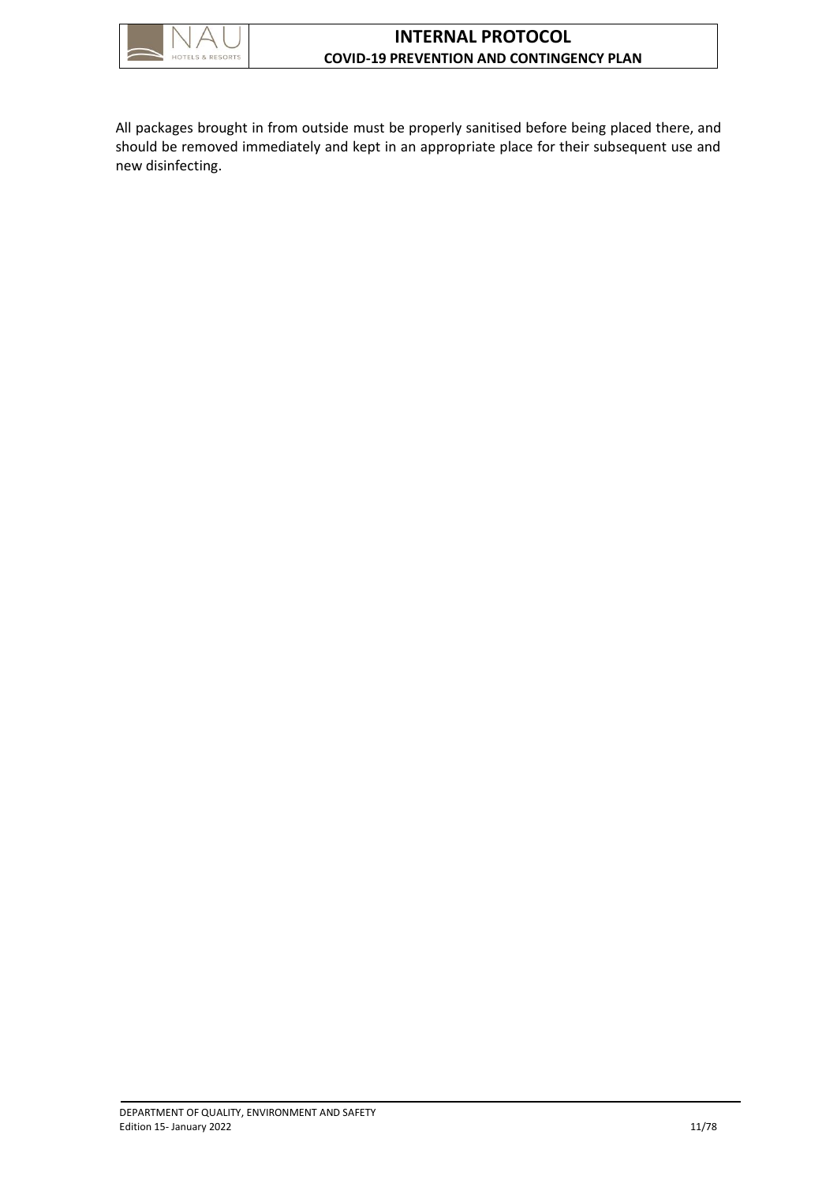

All packages brought in from outside must be properly sanitised before being placed there, and should be removed immediately and kept in an appropriate place for their subsequent use and new disinfecting.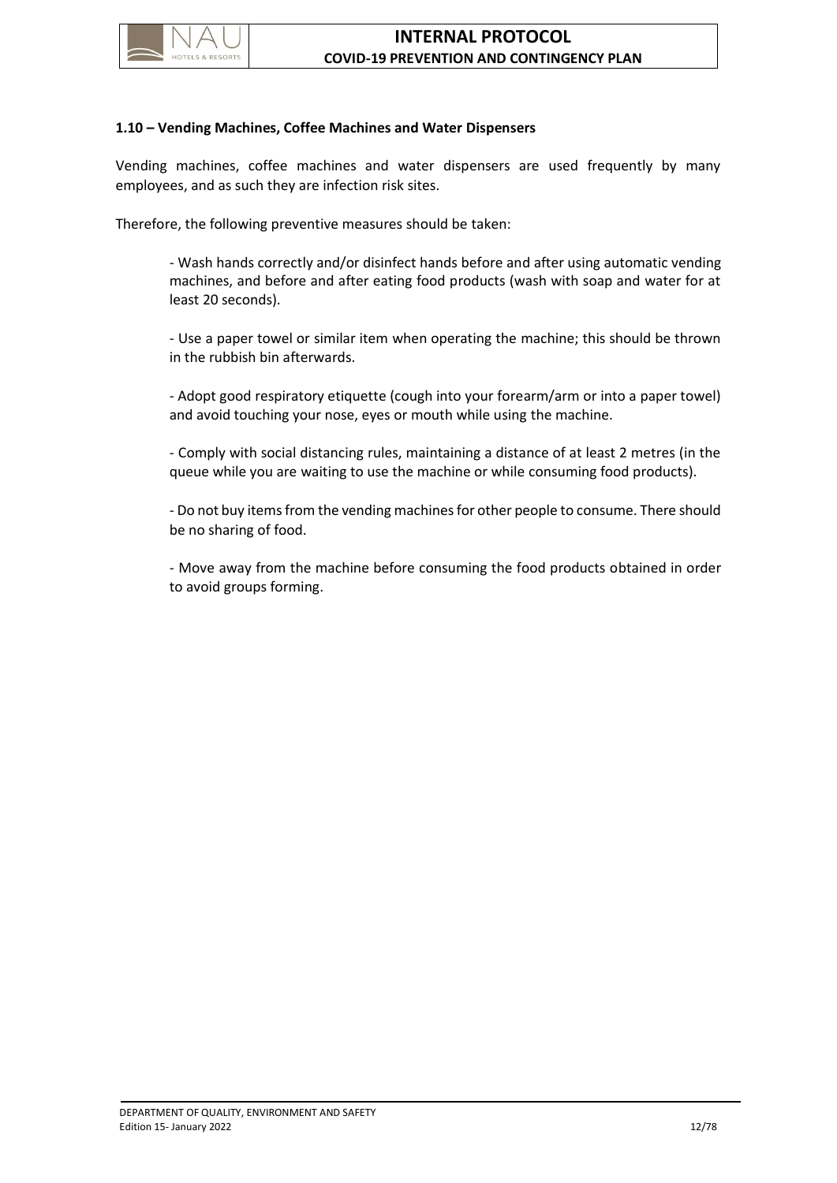

#### <span id="page-16-0"></span>**1.10 – Vending Machines, Coffee Machines and Water Dispensers**

Vending machines, coffee machines and water dispensers are used frequently by many employees, and as such they are infection risk sites.

Therefore, the following preventive measures should be taken:

- Wash hands correctly and/or disinfect hands before and after using automatic vending machines, and before and after eating food products (wash with soap and water for at least 20 seconds).

- Use a paper towel or similar item when operating the machine; this should be thrown in the rubbish bin afterwards.

- Adopt good respiratory etiquette (cough into your forearm/arm or into a paper towel) and avoid touching your nose, eyes or mouth while using the machine.

- Comply with social distancing rules, maintaining a distance of at least 2 metres (in the queue while you are waiting to use the machine or while consuming food products).

- Do not buy items from the vending machines for other people to consume. There should be no sharing of food.

- Move away from the machine before consuming the food products obtained in order to avoid groups forming.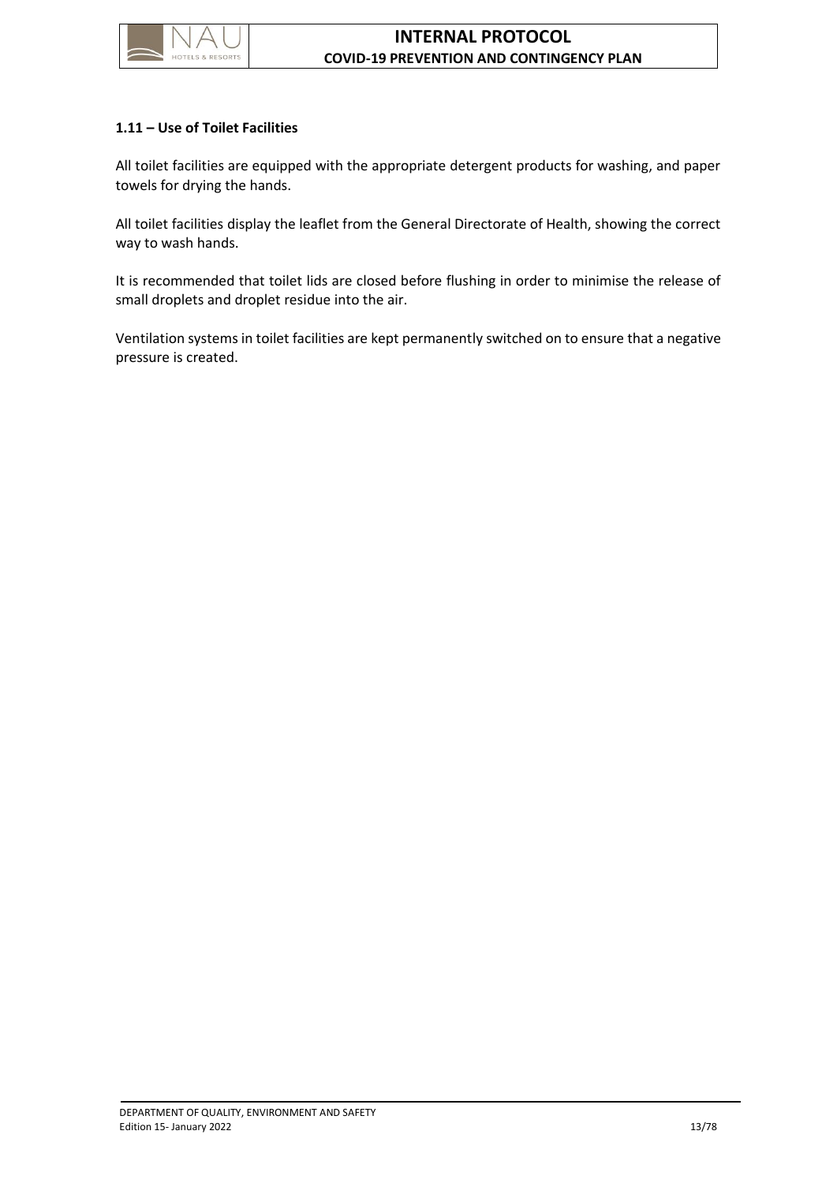

### <span id="page-17-0"></span>**1.11 – Use of Toilet Facilities**

All toilet facilities are equipped with the appropriate detergent products for washing, and paper towels for drying the hands.

All toilet facilities display the leaflet from the General Directorate of Health, showing the correct way to wash hands.

It is recommended that toilet lids are closed before flushing in order to minimise the release of small droplets and droplet residue into the air.

Ventilation systems in toilet facilities are kept permanently switched on to ensure that a negative pressure is created.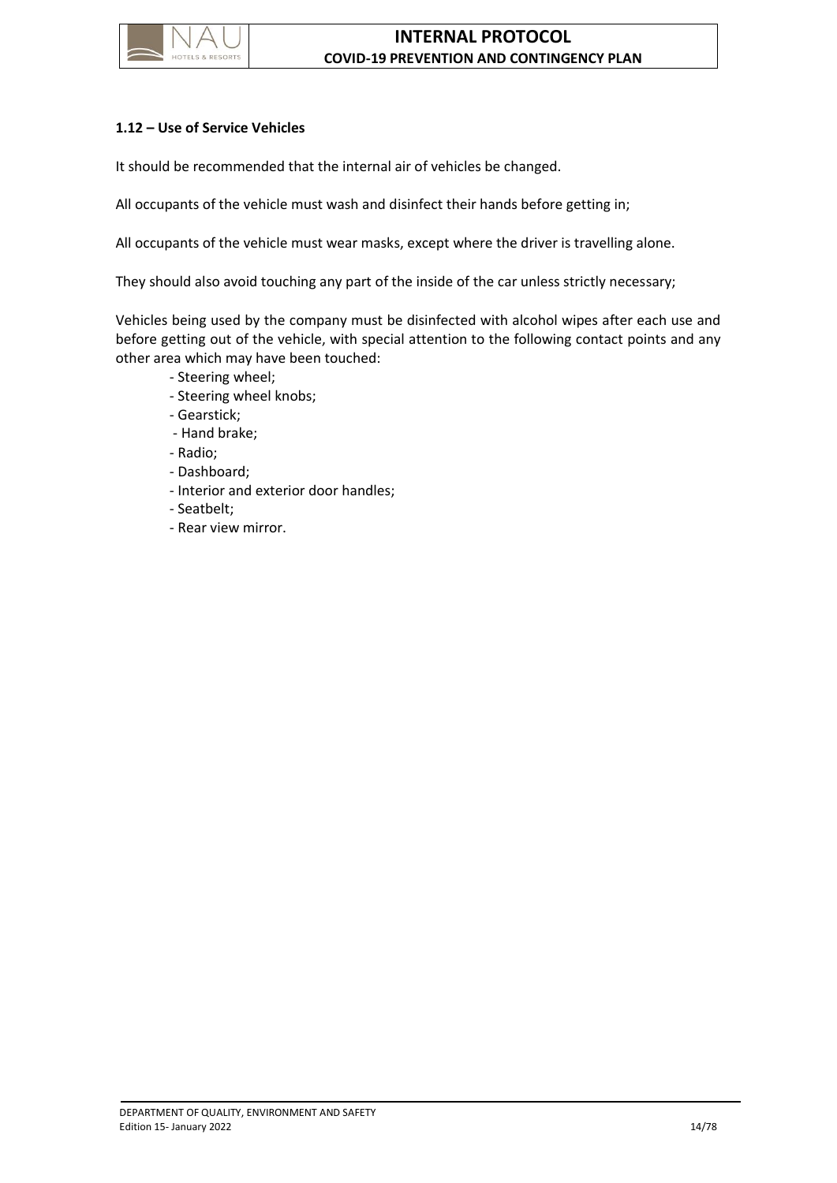

# <span id="page-18-0"></span>**1.12 – Use of Service Vehicles**

It should be recommended that the internal air of vehicles be changed.

All occupants of the vehicle must wash and disinfect their hands before getting in;

All occupants of the vehicle must wear masks, except where the driver is travelling alone.

They should also avoid touching any part of the inside of the car unless strictly necessary;

Vehicles being used by the company must be disinfected with alcohol wipes after each use and before getting out of the vehicle, with special attention to the following contact points and any other area which may have been touched:

- Steering wheel;
- Steering wheel knobs;
- Gearstick;
- Hand brake;
- Radio;
- Dashboard;
- Interior and exterior door handles;
- Seatbelt;
- Rear view mirror.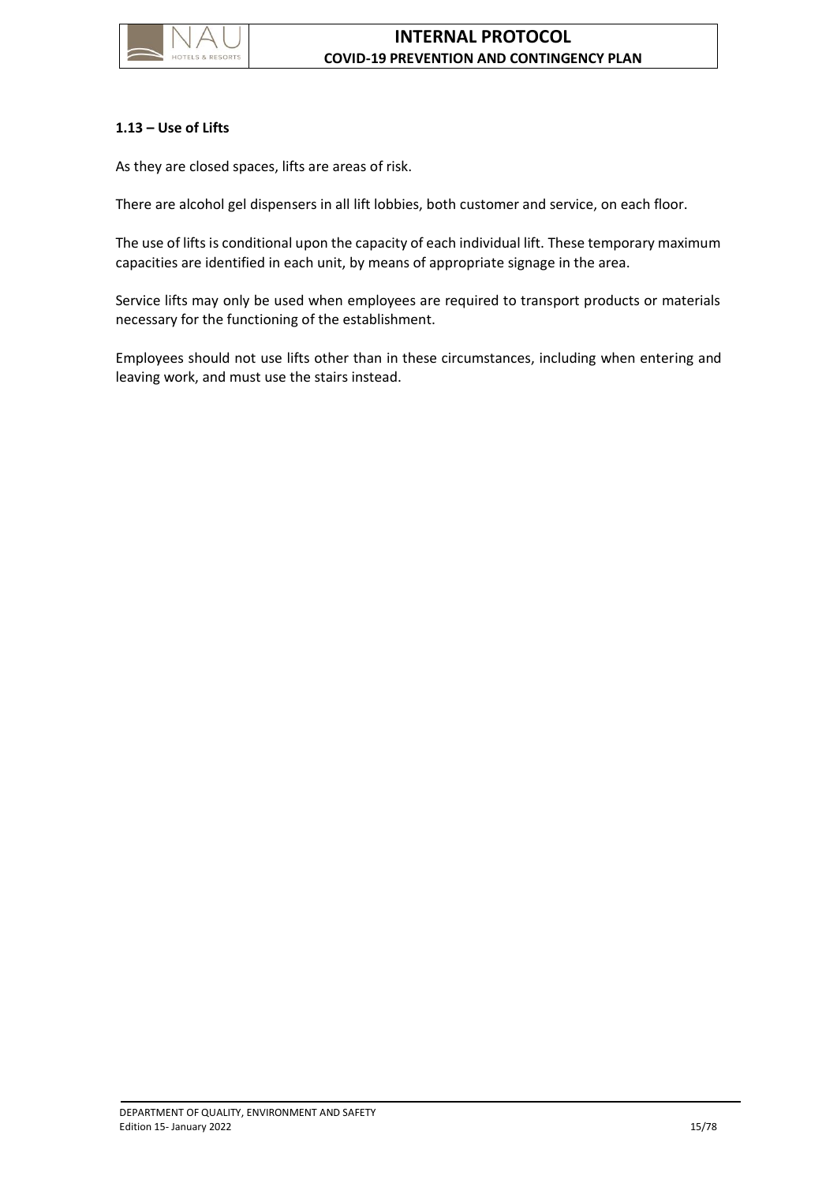

# <span id="page-19-0"></span>**1.13 – Use of Lifts**

As they are closed spaces, lifts are areas of risk.

There are alcohol gel dispensers in all lift lobbies, both customer and service, on each floor.

The use of lifts is conditional upon the capacity of each individual lift. These temporary maximum capacities are identified in each unit, by means of appropriate signage in the area.

Service lifts may only be used when employees are required to transport products or materials necessary for the functioning of the establishment.

Employees should not use lifts other than in these circumstances, including when entering and leaving work, and must use the stairs instead.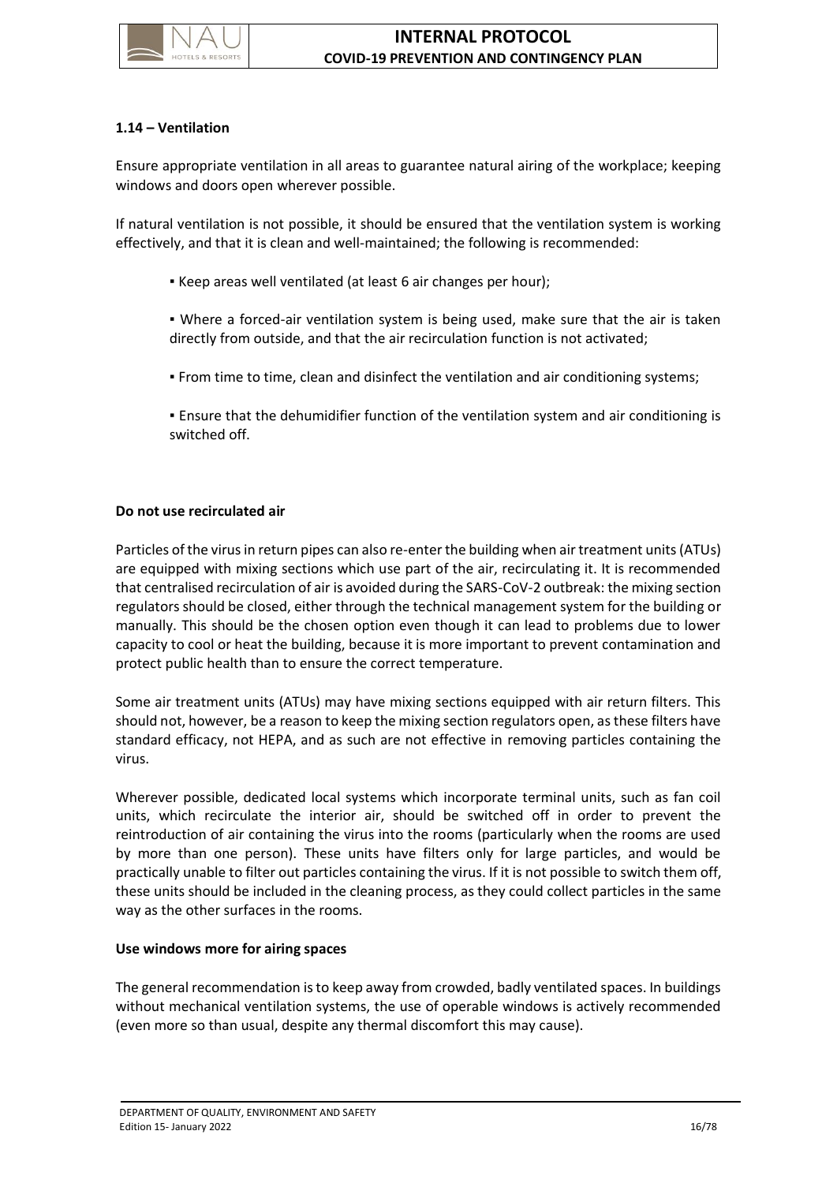

# <span id="page-20-0"></span>**1.14 – Ventilation**

Ensure appropriate ventilation in all areas to guarantee natural airing of the workplace; keeping windows and doors open wherever possible.

If natural ventilation is not possible, it should be ensured that the ventilation system is working effectively, and that it is clean and well-maintained; the following is recommended:

- Keep areas well ventilated (at least 6 air changes per hour);
- . Where a forced-air ventilation system is being used, make sure that the air is taken directly from outside, and that the air recirculation function is not activated;
- From time to time, clean and disinfect the ventilation and air conditioning systems;
- Ensure that the dehumidifier function of the ventilation system and air conditioning is switched off.

# **Do not use recirculated air**

Particles of the virus in return pipes can also re-enter the building when air treatment units (ATUs) are equipped with mixing sections which use part of the air, recirculating it. It is recommended that centralised recirculation of air is avoided during the SARS-CoV-2 outbreak: the mixing section regulators should be closed, either through the technical management system for the building or manually. This should be the chosen option even though it can lead to problems due to lower capacity to cool or heat the building, because it is more important to prevent contamination and protect public health than to ensure the correct temperature.

Some air treatment units (ATUs) may have mixing sections equipped with air return filters. This should not, however, be a reason to keep the mixing section regulators open, as these filters have standard efficacy, not HEPA, and as such are not effective in removing particles containing the virus.

Wherever possible, dedicated local systems which incorporate terminal units, such as fan coil units, which recirculate the interior air, should be switched off in order to prevent the reintroduction of air containing the virus into the rooms (particularly when the rooms are used by more than one person). These units have filters only for large particles, and would be practically unable to filter out particles containing the virus. If it is not possible to switch them off, these units should be included in the cleaning process, as they could collect particles in the same way as the other surfaces in the rooms.

### **Use windows more for airing spaces**

The general recommendation is to keep away from crowded, badly ventilated spaces. In buildings without mechanical ventilation systems, the use of operable windows is actively recommended (even more so than usual, despite any thermal discomfort this may cause).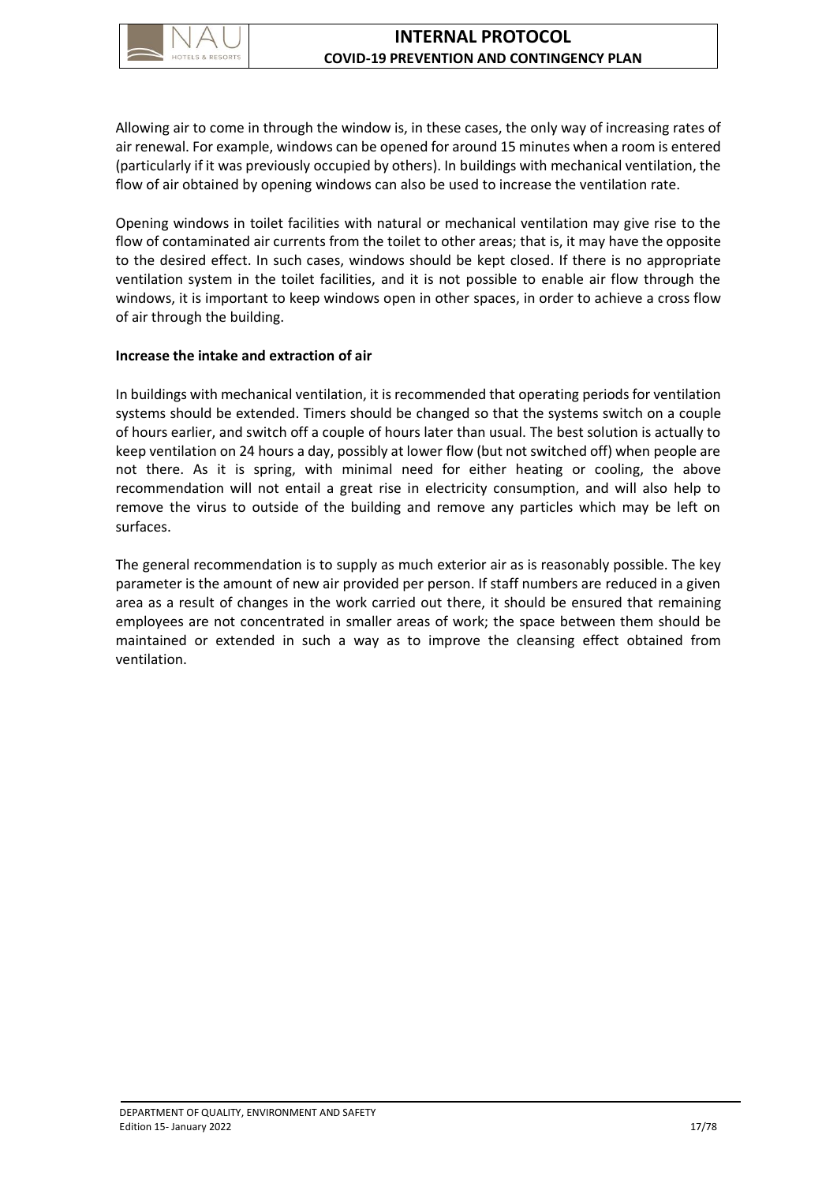

Allowing air to come in through the window is, in these cases, the only way of increasing rates of air renewal. For example, windows can be opened for around 15 minutes when a room is entered (particularly if it was previously occupied by others). In buildings with mechanical ventilation, the flow of air obtained by opening windows can also be used to increase the ventilation rate.

Opening windows in toilet facilities with natural or mechanical ventilation may give rise to the flow of contaminated air currents from the toilet to other areas; that is, it may have the opposite to the desired effect. In such cases, windows should be kept closed. If there is no appropriate ventilation system in the toilet facilities, and it is not possible to enable air flow through the windows, it is important to keep windows open in other spaces, in order to achieve a cross flow of air through the building.

### **Increase the intake and extraction of air**

In buildings with mechanical ventilation, it is recommended that operating periods for ventilation systems should be extended. Timers should be changed so that the systems switch on a couple of hours earlier, and switch off a couple of hours later than usual. The best solution is actually to keep ventilation on 24 hours a day, possibly at lower flow (but not switched off) when people are not there. As it is spring, with minimal need for either heating or cooling, the above recommendation will not entail a great rise in electricity consumption, and will also help to remove the virus to outside of the building and remove any particles which may be left on surfaces.

The general recommendation is to supply as much exterior air as is reasonably possible. The key parameter is the amount of new air provided per person. If staff numbers are reduced in a given area as a result of changes in the work carried out there, it should be ensured that remaining employees are not concentrated in smaller areas of work; the space between them should be maintained or extended in such a way as to improve the cleansing effect obtained from ventilation.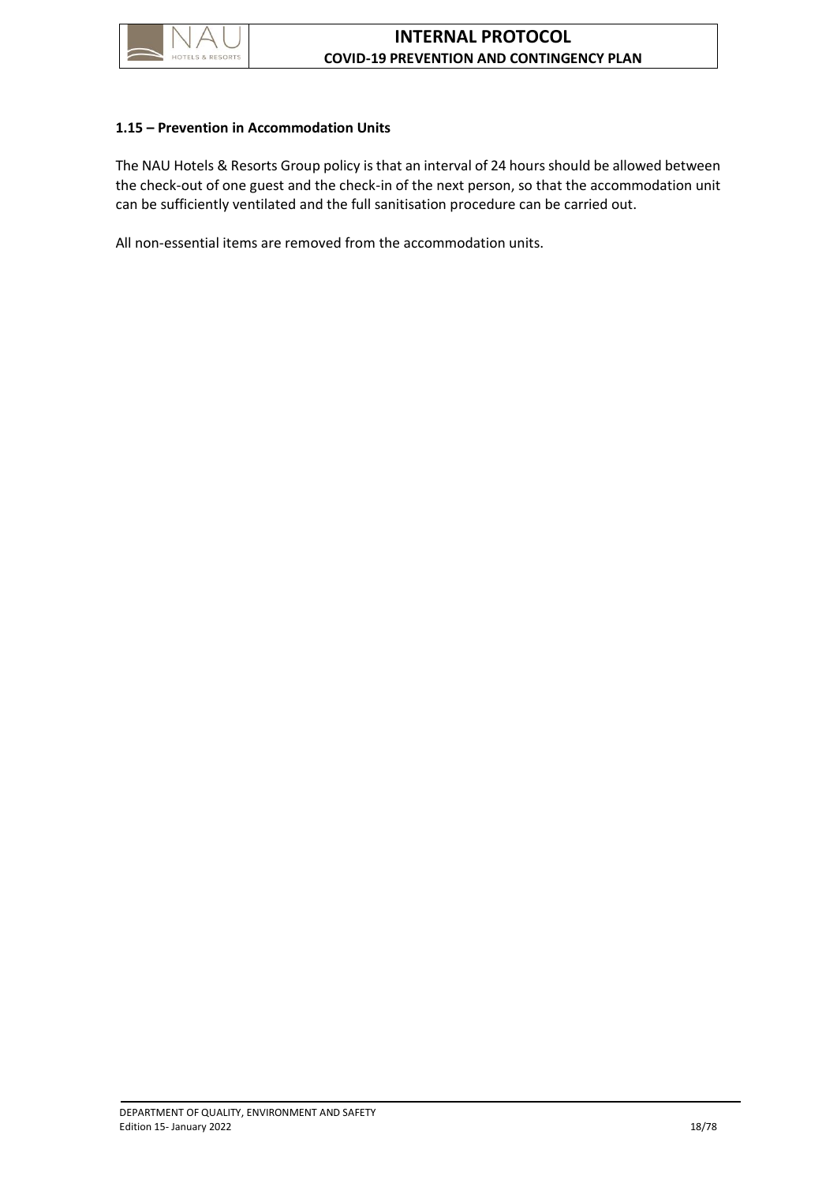

### <span id="page-22-0"></span>**1.15 – Prevention in Accommodation Units**

The NAU Hotels & Resorts Group policy is that an interval of 24 hours should be allowed between the check-out of one guest and the check-in of the next person, so that the accommodation unit can be sufficiently ventilated and the full sanitisation procedure can be carried out.

All non-essential items are removed from the accommodation units.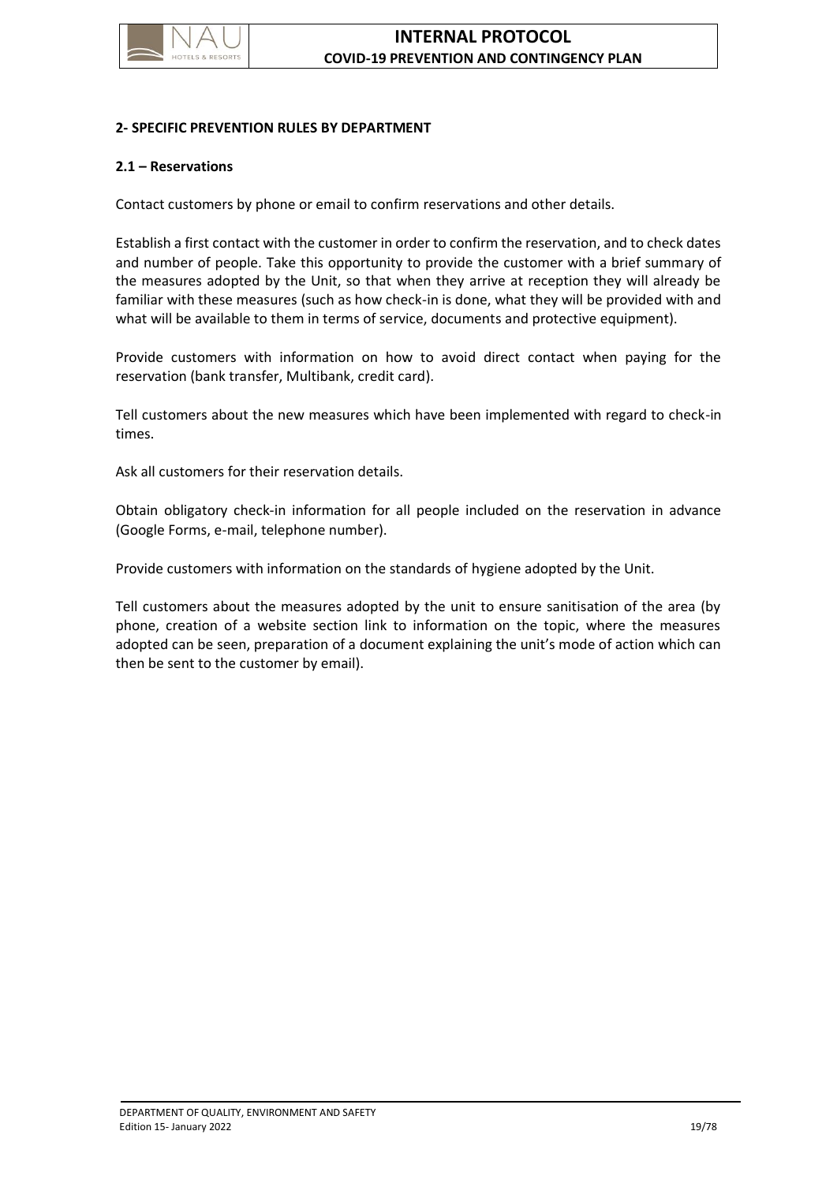

#### <span id="page-23-0"></span>**2- SPECIFIC PREVENTION RULES BY DEPARTMENT**

#### <span id="page-23-1"></span>**2.1 – Reservations**

Contact customers by phone or email to confirm reservations and other details.

Establish a first contact with the customer in order to confirm the reservation, and to check dates and number of people. Take this opportunity to provide the customer with a brief summary of the measures adopted by the Unit, so that when they arrive at reception they will already be familiar with these measures (such as how check-in is done, what they will be provided with and what will be available to them in terms of service, documents and protective equipment).

Provide customers with information on how to avoid direct contact when paying for the reservation (bank transfer, Multibank, credit card).

Tell customers about the new measures which have been implemented with regard to check-in times.

Ask all customers for their reservation details.

Obtain obligatory check-in information for all people included on the reservation in advance (Google Forms, e-mail, telephone number).

Provide customers with information on the standards of hygiene adopted by the Unit.

Tell customers about the measures adopted by the unit to ensure sanitisation of the area (by phone, creation of a website section link to information on the topic, where the measures adopted can be seen, preparation of a document explaining the unit's mode of action which can then be sent to the customer by email).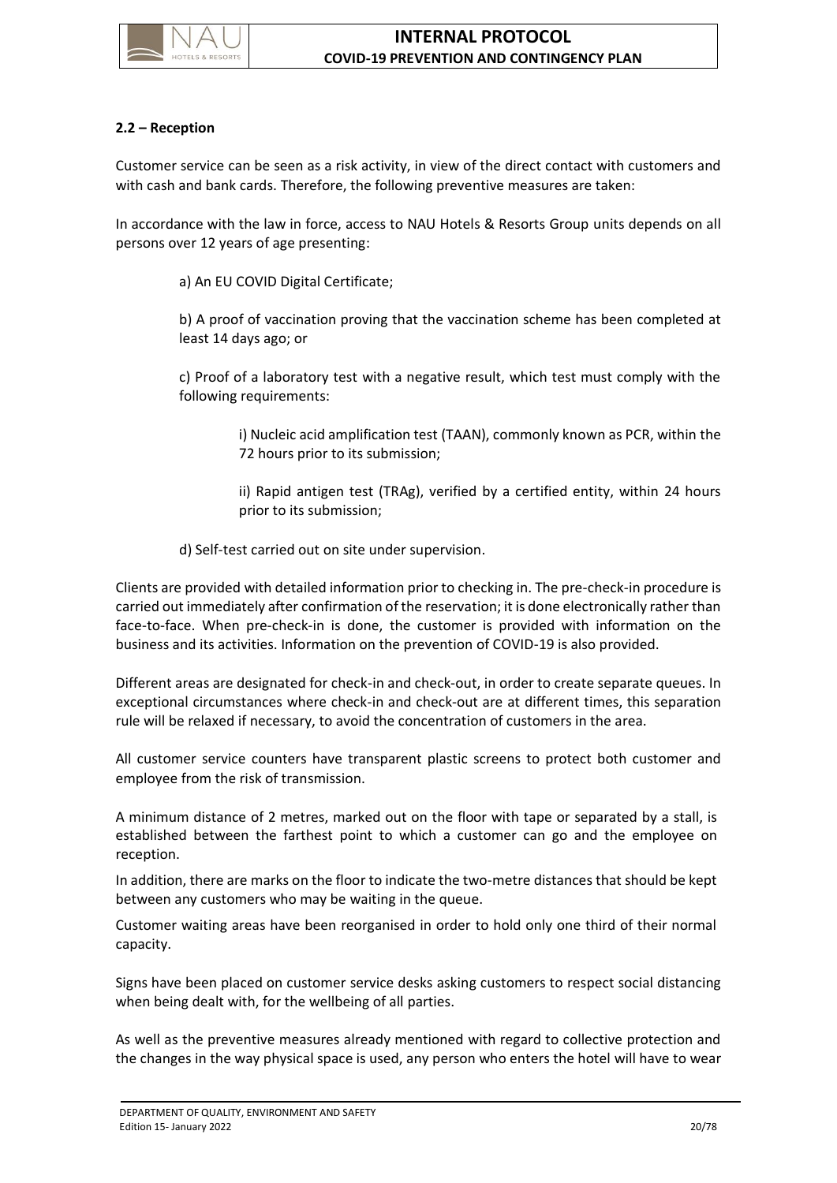

# <span id="page-24-0"></span>**2.2 – Reception**

Customer service can be seen as a risk activity, in view of the direct contact with customers and with cash and bank cards. Therefore, the following preventive measures are taken:

In accordance with the law in force, access to NAU Hotels & Resorts Group units depends on all persons over 12 years of age presenting:

a) An EU COVID Digital Certificate;

b) A proof of vaccination proving that the vaccination scheme has been completed at least 14 days ago; or

c) Proof of a laboratory test with a negative result, which test must comply with the following requirements:

> i) Nucleic acid amplification test (TAAN), commonly known as PCR, within the 72 hours prior to its submission;

> ii) Rapid antigen test (TRAg), verified by a certified entity, within 24 hours prior to its submission;

d) Self-test carried out on site under supervision.

Clients are provided with detailed information prior to checking in. The pre-check-in procedure is carried out immediately after confirmation of the reservation; it is done electronically rather than face-to-face. When pre-check-in is done, the customer is provided with information on the business and its activities. Information on the prevention of COVID-19 is also provided.

Different areas are designated for check-in and check-out, in order to create separate queues. In exceptional circumstances where check-in and check-out are at different times, this separation rule will be relaxed if necessary, to avoid the concentration of customers in the area.

All customer service counters have transparent plastic screens to protect both customer and employee from the risk of transmission.

A minimum distance of 2 metres, marked out on the floor with tape or separated by a stall, is established between the farthest point to which a customer can go and the employee on reception.

In addition, there are marks on the floor to indicate the two-metre distances that should be kept between any customers who may be waiting in the queue.

Customer waiting areas have been reorganised in order to hold only one third of their normal capacity.

Signs have been placed on customer service desks asking customers to respect social distancing when being dealt with, for the wellbeing of all parties.

As well as the preventive measures already mentioned with regard to collective protection and the changes in the way physical space is used, any person who enters the hotel will have to wear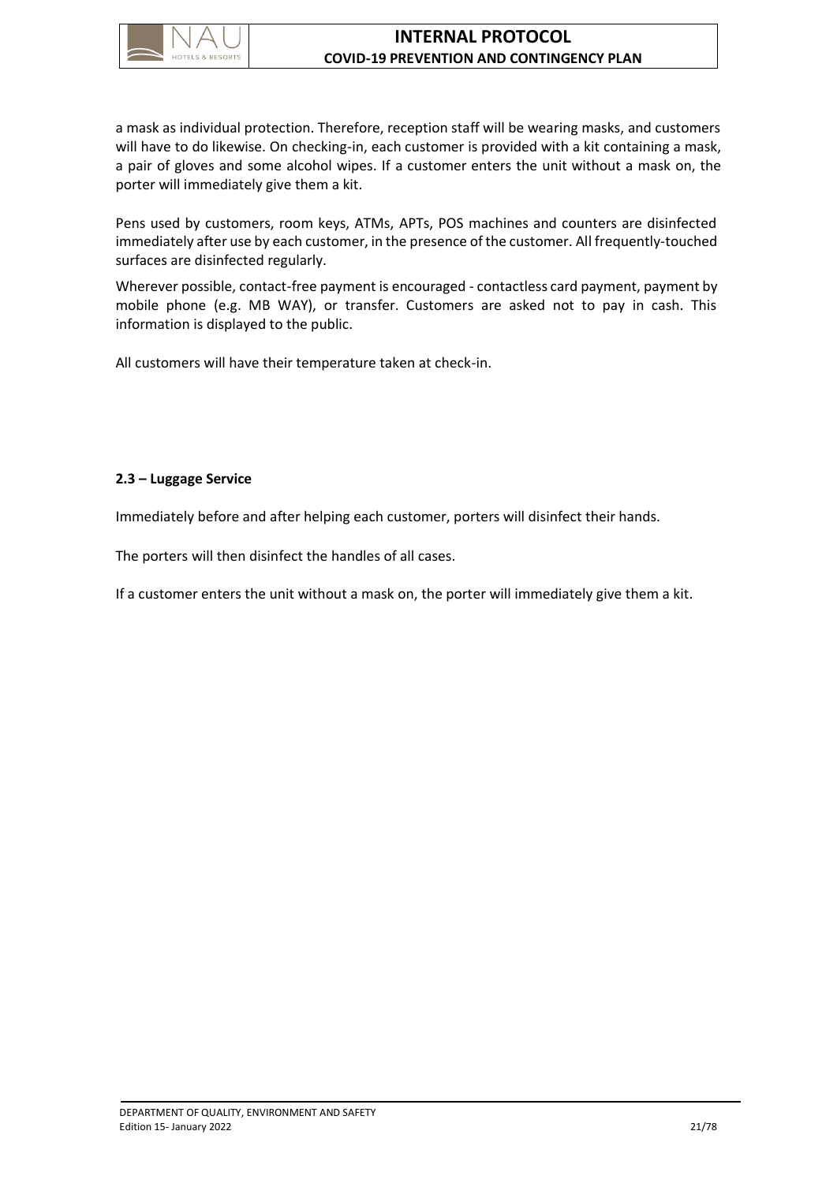

# **INTERNAL PROTOCOL COVID-19 PREVENTION AND CONTINGENCY PLAN**

a mask as individual protection. Therefore, reception staff will be wearing masks, and customers will have to do likewise. On checking-in, each customer is provided with a kit containing a mask, a pair of gloves and some alcohol wipes. If a customer enters the unit without a mask on, the porter will immediately give them a kit.

Pens used by customers, room keys, ATMs, APTs, POS machines and counters are disinfected immediately after use by each customer, in the presence of the customer. All frequently-touched surfaces are disinfected regularly.

Wherever possible, contact-free payment is encouraged - contactless card payment, payment by mobile phone (e.g. MB WAY), or transfer. Customers are asked not to pay in cash. This information is displayed to the public.

All customers will have their temperature taken at check-in.

### <span id="page-25-0"></span>**2.3 – Luggage Service**

Immediately before and after helping each customer, porters will disinfect their hands.

The porters will then disinfect the handles of all cases.

If a customer enters the unit without a mask on, the porter will immediately give them a kit.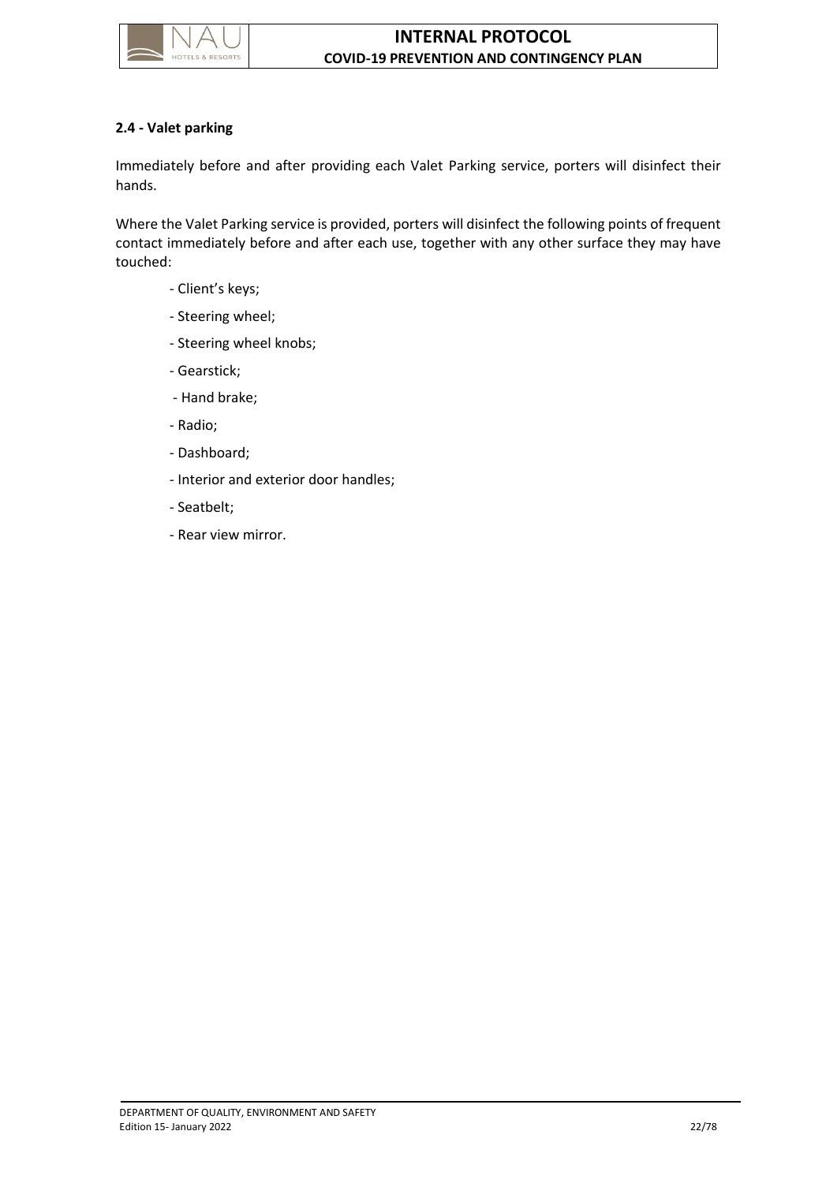

# <span id="page-26-0"></span>**2.4 - Valet parking**

Immediately before and after providing each Valet Parking service, porters will disinfect their hands.

Where the Valet Parking service is provided, porters will disinfect the following points of frequent contact immediately before and after each use, together with any other surface they may have touched:

- Client's keys;
- Steering wheel;
- Steering wheel knobs;
- Gearstick;
- Hand brake;
- Radio;
- Dashboard;
- Interior and exterior door handles;
- Seatbelt;
- Rear view mirror.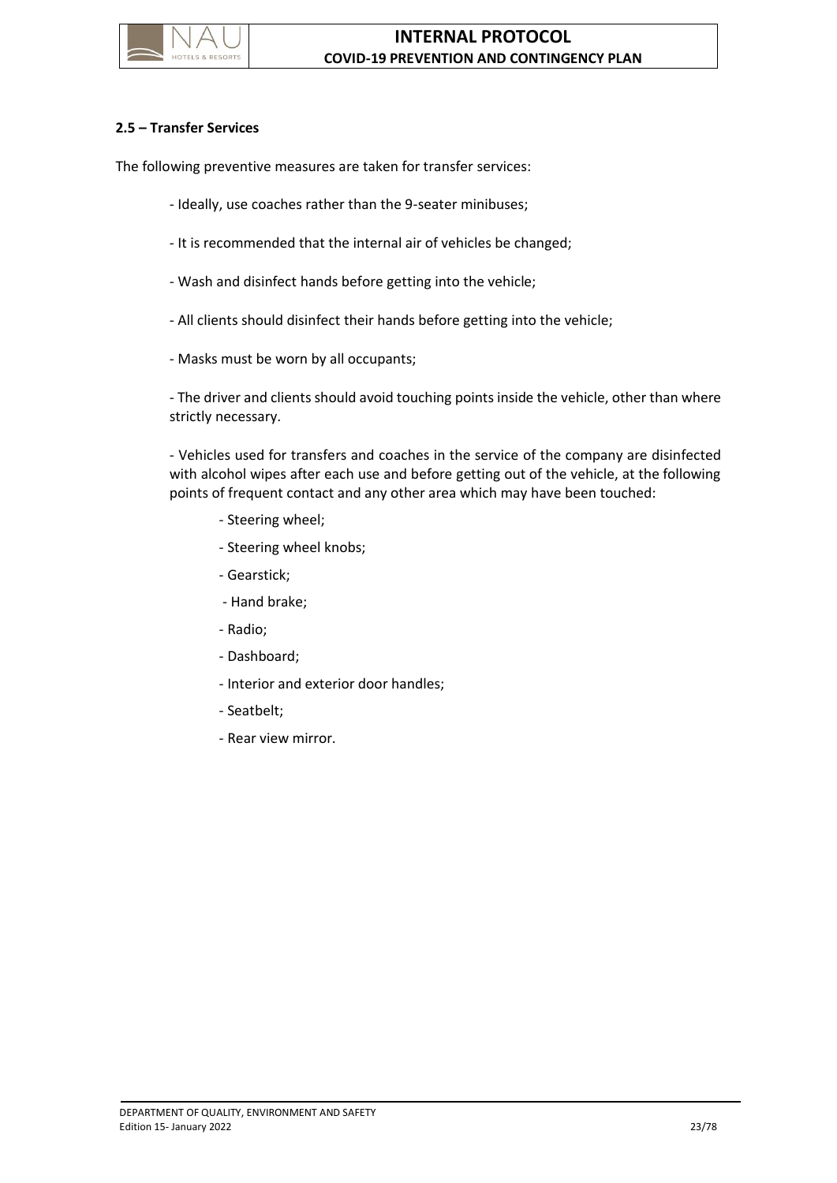

### <span id="page-27-0"></span>**2.5 – Transfer Services**

The following preventive measures are taken for transfer services:

- Ideally, use coaches rather than the 9-seater minibuses;
- It is recommended that the internal air of vehicles be changed;
- Wash and disinfect hands before getting into the vehicle;
- All clients should disinfect their hands before getting into the vehicle;
- Masks must be worn by all occupants;

- The driver and clients should avoid touching points inside the vehicle, other than where strictly necessary.

- Vehicles used for transfers and coaches in the service of the company are disinfected with alcohol wipes after each use and before getting out of the vehicle, at the following points of frequent contact and any other area which may have been touched:

- Steering wheel;
- Steering wheel knobs;
- Gearstick;
- Hand brake;
- Radio;
- Dashboard;
- Interior and exterior door handles;
- Seatbelt;
- Rear view mirror.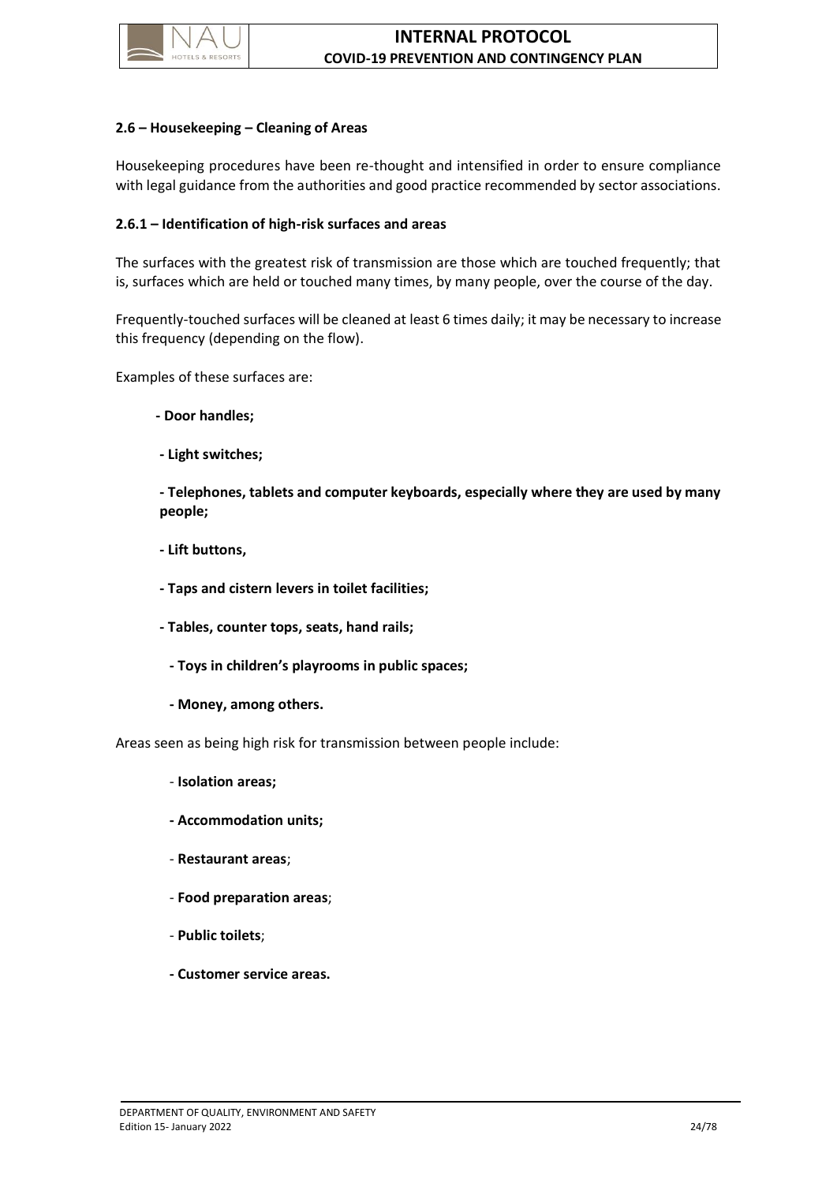

### <span id="page-28-0"></span>**2.6 – Housekeeping – Cleaning of Areas**

Housekeeping procedures have been re-thought and intensified in order to ensure compliance with legal guidance from the authorities and good practice recommended by sector associations.

### <span id="page-28-1"></span>**2.6.1 – Identification of high-risk surfaces and areas**

The surfaces with the greatest risk of transmission are those which are touched frequently; that is, surfaces which are held or touched many times, by many people, over the course of the day.

Frequently-touched surfaces will be cleaned at least 6 times daily; it may be necessary to increase this frequency (depending on the flow).

Examples of these surfaces are:

- **- Door handles;**
- **- Light switches;**

**- Telephones, tablets and computer keyboards, especially where they are used by many people;**

- **- Lift buttons,**
- **- Taps and cistern levers in toilet facilities;**
- **- Tables, counter tops, seats, hand rails;**
- **- Toys in children's playrooms in public spaces;**
- **- Money, among others.**

Areas seen as being high risk for transmission between people include:

- **Isolation areas;**
- **- Accommodation units;**
- **Restaurant areas**;
- **Food preparation areas**;
- **Public toilets**;
- **- Customer service areas.**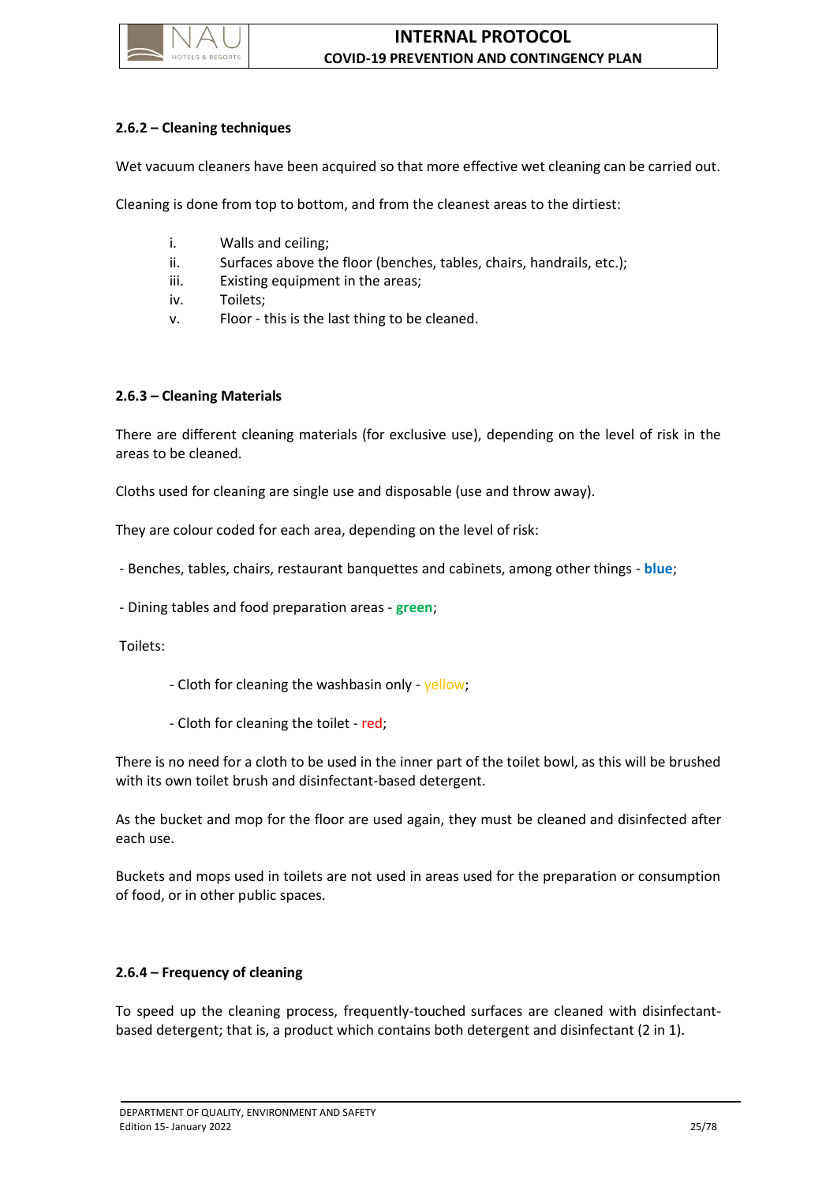

# <span id="page-29-0"></span>**2.6.2 – Cleaning techniques**

Wet vacuum cleaners have been acquired so that more effective wet cleaning can be carried out.

Cleaning is done from top to bottom, and from the cleanest areas to the dirtiest:

- i. Walls and ceiling;
- ii. Surfaces above the floor (benches, tables, chairs, handrails, etc.);
- iii. Existing equipment in the areas;
- iv. Toilets;
- v. Floor this is the last thing to be cleaned.

### <span id="page-29-1"></span>**2.6.3 – Cleaning Materials**

There are different cleaning materials (for exclusive use), depending on the level of risk in the areas to be cleaned.

Cloths used for cleaning are single use and disposable (use and throw away).

They are colour coded for each area, depending on the level of risk:

- Benches, tables, chairs, restaurant banquettes and cabinets, among other things - **blue**;

- Dining tables and food preparation areas - **green**;

Toilets:

- Cloth for cleaning the washbasin only yellow;
- Cloth for cleaning the toilet red;

There is no need for a cloth to be used in the inner part of the toilet bowl, as this will be brushed with its own toilet brush and disinfectant-based detergent.

As the bucket and mop for the floor are used again, they must be cleaned and disinfected after each use.

Buckets and mops used in toilets are not used in areas used for the preparation or consumption of food, or in other public spaces.

### <span id="page-29-2"></span>**2.6.4 – Frequency of cleaning**

To speed up the cleaning process, frequently-touched surfaces are cleaned with disinfectantbased detergent; that is, a product which contains both detergent and disinfectant (2 in 1).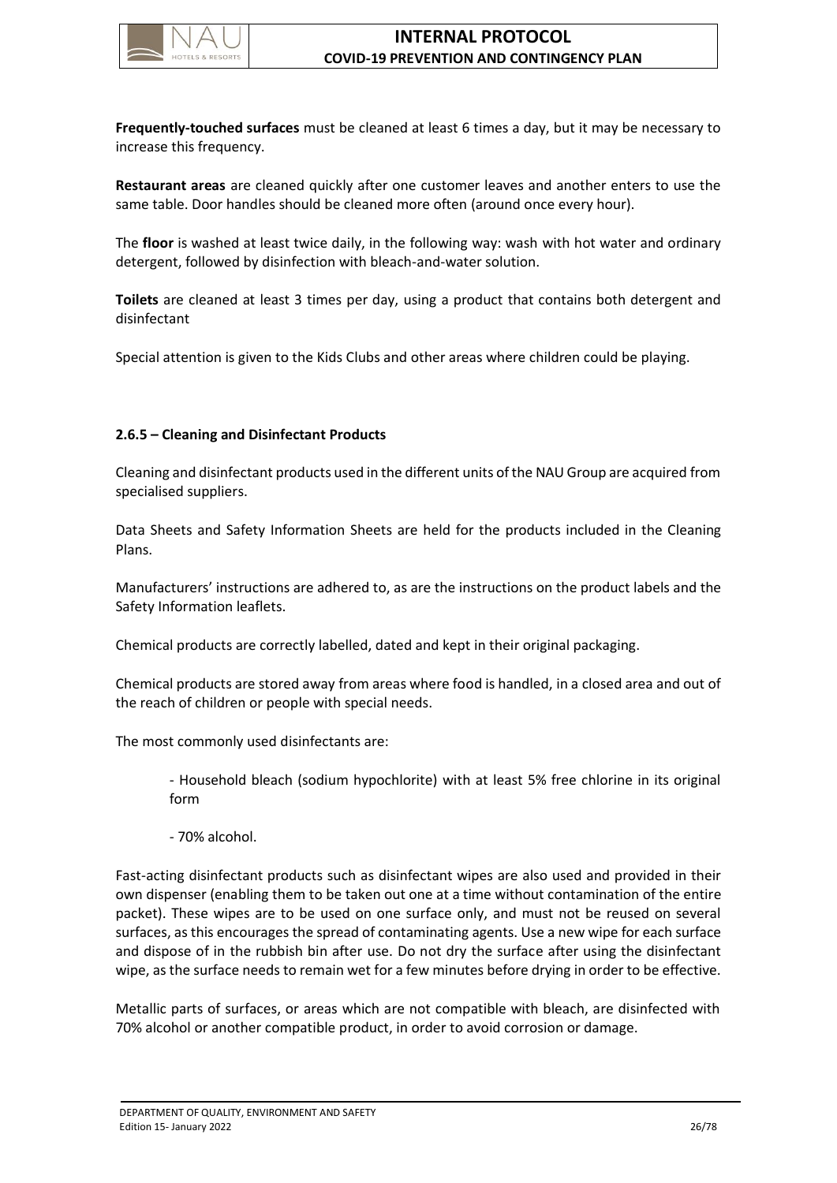

**Frequently-touched surfaces** must be cleaned at least 6 times a day, but it may be necessary to increase this frequency.

**Restaurant areas** are cleaned quickly after one customer leaves and another enters to use the same table. Door handles should be cleaned more often (around once every hour).

The **floor** is washed at least twice daily, in the following way: wash with hot water and ordinary detergent, followed by disinfection with bleach-and-water solution.

**Toilets** are cleaned at least 3 times per day, using a product that contains both detergent and disinfectant

Special attention is given to the Kids Clubs and other areas where children could be playing.

# <span id="page-30-0"></span>**2.6.5 – Cleaning and Disinfectant Products**

Cleaning and disinfectant products used in the different units of the NAU Group are acquired from specialised suppliers.

Data Sheets and Safety Information Sheets are held for the products included in the Cleaning Plans.

Manufacturers' instructions are adhered to, as are the instructions on the product labels and the Safety Information leaflets.

Chemical products are correctly labelled, dated and kept in their original packaging.

Chemical products are stored away from areas where food is handled, in a closed area and out of the reach of children or people with special needs.

The most commonly used disinfectants are:

- Household bleach (sodium hypochlorite) with at least 5% free chlorine in its original form

- 70% alcohol.

Fast-acting disinfectant products such as disinfectant wipes are also used and provided in their own dispenser (enabling them to be taken out one at a time without contamination of the entire packet). These wipes are to be used on one surface only, and must not be reused on several surfaces, as this encourages the spread of contaminating agents. Use a new wipe for each surface and dispose of in the rubbish bin after use. Do not dry the surface after using the disinfectant wipe, as the surface needs to remain wet for a few minutes before drying in order to be effective.

Metallic parts of surfaces, or areas which are not compatible with bleach, are disinfected with 70% alcohol or another compatible product, in order to avoid corrosion or damage.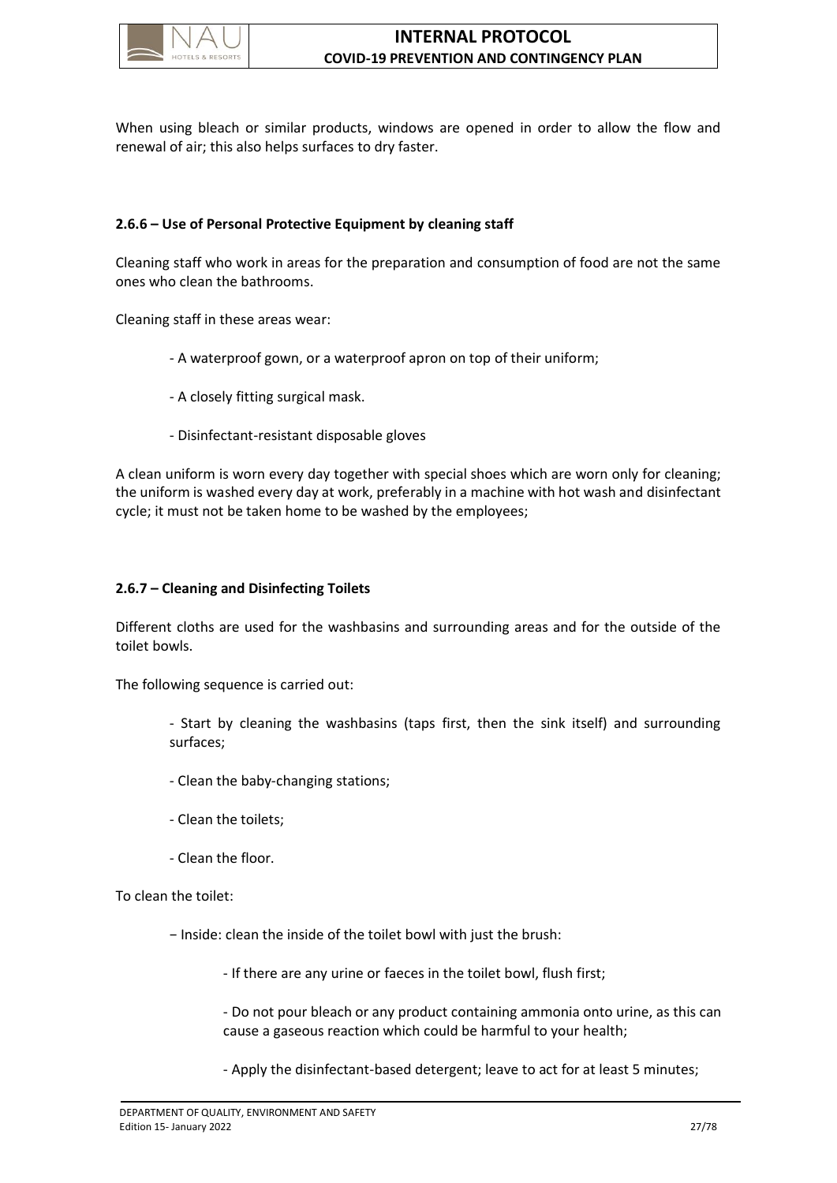

When using bleach or similar products, windows are opened in order to allow the flow and renewal of air; this also helps surfaces to dry faster.

# <span id="page-31-0"></span>**2.6.6 – Use of Personal Protective Equipment by cleaning staff**

Cleaning staff who work in areas for the preparation and consumption of food are not the same ones who clean the bathrooms.

Cleaning staff in these areas wear:

- A waterproof gown, or a waterproof apron on top of their uniform;
- A closely fitting surgical mask.
- Disinfectant-resistant disposable gloves

A clean uniform is worn every day together with special shoes which are worn only for cleaning; the uniform is washed every day at work, preferably in a machine with hot wash and disinfectant cycle; it must not be taken home to be washed by the employees;

# <span id="page-31-1"></span>**2.6.7 – Cleaning and Disinfecting Toilets**

Different cloths are used for the washbasins and surrounding areas and for the outside of the toilet bowls.

The following sequence is carried out:

- Start by cleaning the washbasins (taps first, then the sink itself) and surrounding surfaces;

- Clean the baby-changing stations;
- Clean the toilets;
- Clean the floor.

To clean the toilet:

− Inside: clean the inside of the toilet bowl with just the brush:

- If there are any urine or faeces in the toilet bowl, flush first;

- Do not pour bleach or any product containing ammonia onto urine, as this can cause a gaseous reaction which could be harmful to your health;

- Apply the disinfectant-based detergent; leave to act for at least 5 minutes;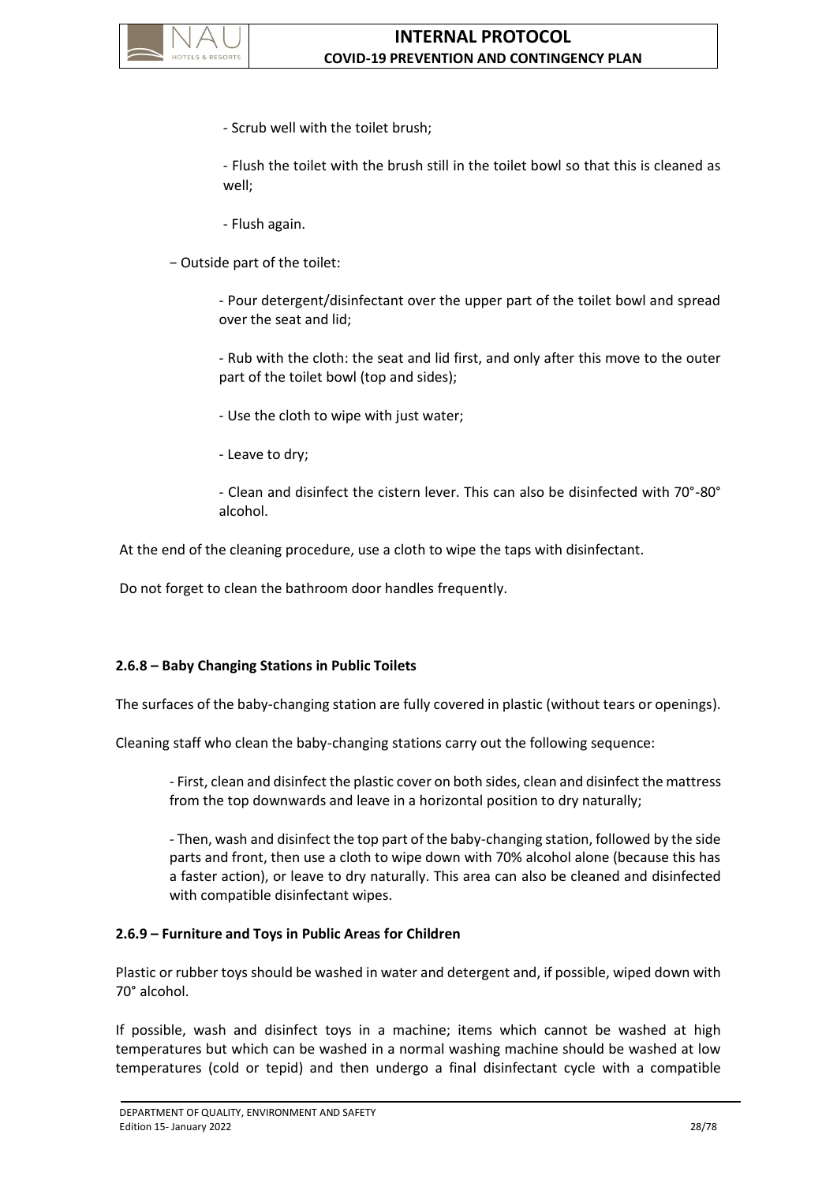

- Scrub well with the toilet brush;

- Flush the toilet with the brush still in the toilet bowl so that this is cleaned as well;

- Flush again.

− Outside part of the toilet:

- Pour detergent/disinfectant over the upper part of the toilet bowl and spread over the seat and lid;

- Rub with the cloth: the seat and lid first, and only after this move to the outer part of the toilet bowl (top and sides);

- Use the cloth to wipe with just water;
- Leave to dry;

- Clean and disinfect the cistern lever. This can also be disinfected with 70°-80° alcohol.

At the end of the cleaning procedure, use a cloth to wipe the taps with disinfectant.

Do not forget to clean the bathroom door handles frequently.

### <span id="page-32-0"></span>**2.6.8 – Baby Changing Stations in Public Toilets**

The surfaces of the baby-changing station are fully covered in plastic (without tears or openings).

Cleaning staff who clean the baby-changing stations carry out the following sequence:

- First, clean and disinfect the plastic cover on both sides, clean and disinfect the mattress from the top downwards and leave in a horizontal position to dry naturally;

- Then, wash and disinfect the top part of the baby-changing station, followed by the side parts and front, then use a cloth to wipe down with 70% alcohol alone (because this has a faster action), or leave to dry naturally. This area can also be cleaned and disinfected with compatible disinfectant wipes.

#### <span id="page-32-1"></span>**2.6.9 – Furniture and Toys in Public Areas for Children**

Plastic or rubber toys should be washed in water and detergent and, if possible, wiped down with 70° alcohol.

If possible, wash and disinfect toys in a machine; items which cannot be washed at high temperatures but which can be washed in a normal washing machine should be washed at low temperatures (cold or tepid) and then undergo a final disinfectant cycle with a compatible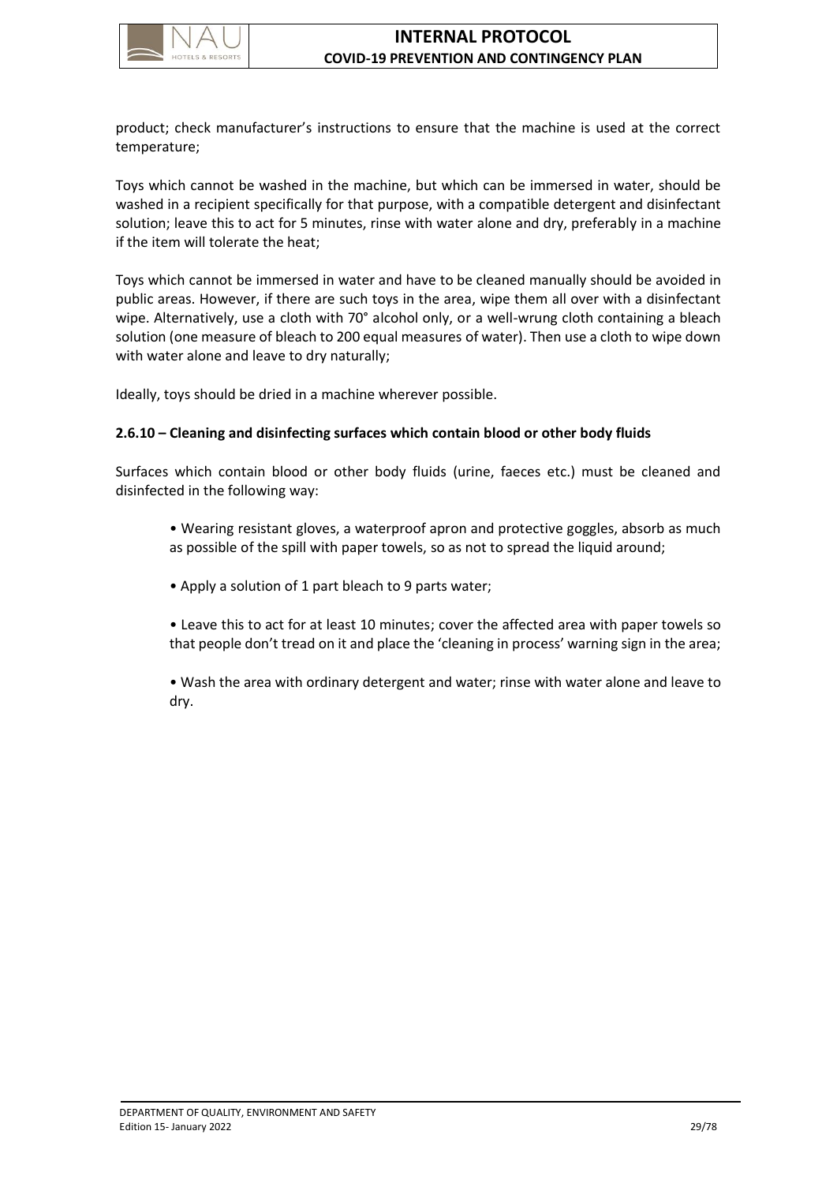

product; check manufacturer's instructions to ensure that the machine is used at the correct temperature;

Toys which cannot be washed in the machine, but which can be immersed in water, should be washed in a recipient specifically for that purpose, with a compatible detergent and disinfectant solution; leave this to act for 5 minutes, rinse with water alone and dry, preferably in a machine if the item will tolerate the heat;

Toys which cannot be immersed in water and have to be cleaned manually should be avoided in public areas. However, if there are such toys in the area, wipe them all over with a disinfectant wipe. Alternatively, use a cloth with 70° alcohol only, or a well-wrung cloth containing a bleach solution (one measure of bleach to 200 equal measures of water). Then use a cloth to wipe down with water alone and leave to dry naturally;

Ideally, toys should be dried in a machine wherever possible.

# <span id="page-33-0"></span>**2.6.10 – Cleaning and disinfecting surfaces which contain blood or other body fluids**

Surfaces which contain blood or other body fluids (urine, faeces etc.) must be cleaned and disinfected in the following way:

- Wearing resistant gloves, a waterproof apron and protective goggles, absorb as much as possible of the spill with paper towels, so as not to spread the liquid around;
- Apply a solution of 1 part bleach to 9 parts water;
- Leave this to act for at least 10 minutes; cover the affected area with paper towels so that people don't tread on it and place the 'cleaning in process' warning sign in the area;
- Wash the area with ordinary detergent and water; rinse with water alone and leave to dry.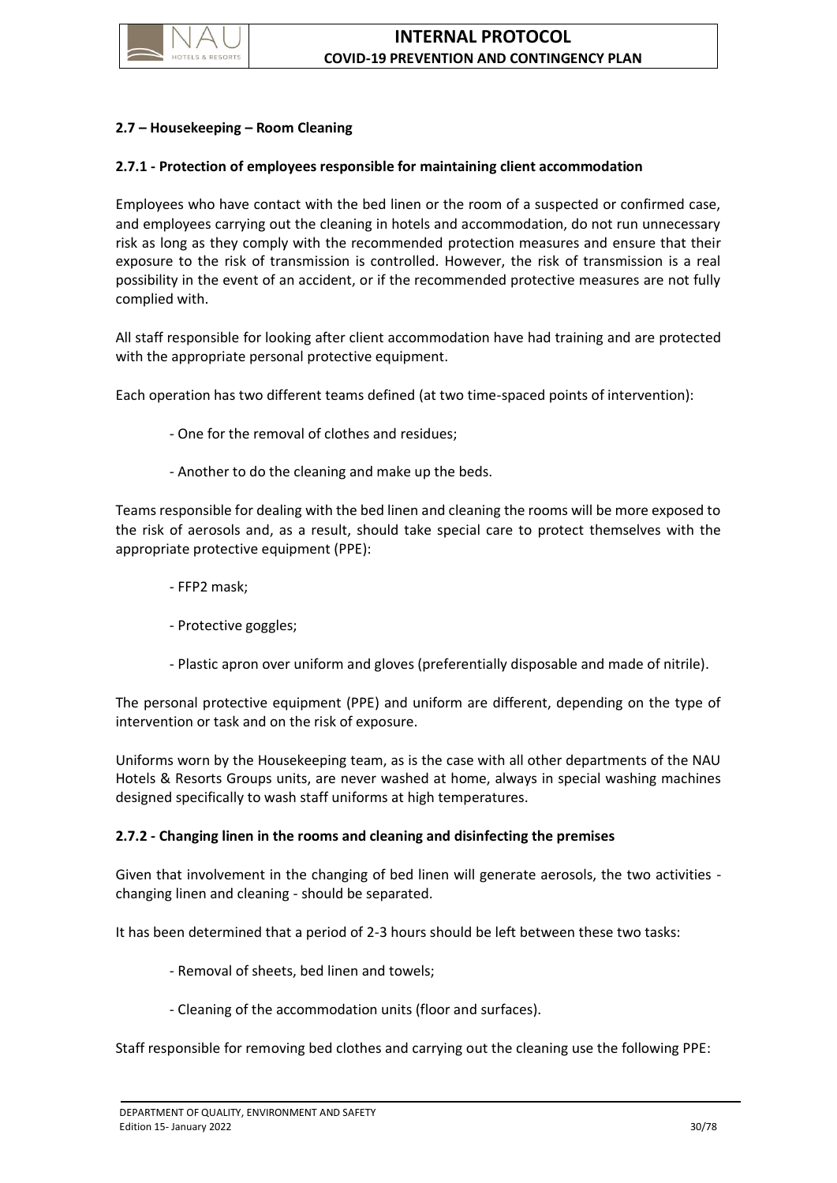

# <span id="page-34-0"></span>**2.7 – Housekeeping – Room Cleaning**

#### <span id="page-34-1"></span>**2.7.1 - Protection of employees responsible for maintaining client accommodation**

Employees who have contact with the bed linen or the room of a suspected or confirmed case, and employees carrying out the cleaning in hotels and accommodation, do not run unnecessary risk as long as they comply with the recommended protection measures and ensure that their exposure to the risk of transmission is controlled. However, the risk of transmission is a real possibility in the event of an accident, or if the recommended protective measures are not fully complied with.

All staff responsible for looking after client accommodation have had training and are protected with the appropriate personal protective equipment.

Each operation has two different teams defined (at two time-spaced points of intervention):

- One for the removal of clothes and residues;
- Another to do the cleaning and make up the beds.

Teams responsible for dealing with the bed linen and cleaning the rooms will be more exposed to the risk of aerosols and, as a result, should take special care to protect themselves with the appropriate protective equipment (PPE):

- FFP2 mask;
- Protective goggles;
- Plastic apron over uniform and gloves (preferentially disposable and made of nitrile).

The personal protective equipment (PPE) and uniform are different, depending on the type of intervention or task and on the risk of exposure.

Uniforms worn by the Housekeeping team, as is the case with all other departments of the NAU Hotels & Resorts Groups units, are never washed at home, always in special washing machines designed specifically to wash staff uniforms at high temperatures.

#### <span id="page-34-2"></span>**2.7.2 - Changing linen in the rooms and cleaning and disinfecting the premises**

Given that involvement in the changing of bed linen will generate aerosols, the two activities changing linen and cleaning - should be separated.

It has been determined that a period of 2-3 hours should be left between these two tasks:

- Removal of sheets, bed linen and towels;
- Cleaning of the accommodation units (floor and surfaces).

Staff responsible for removing bed clothes and carrying out the cleaning use the following PPE: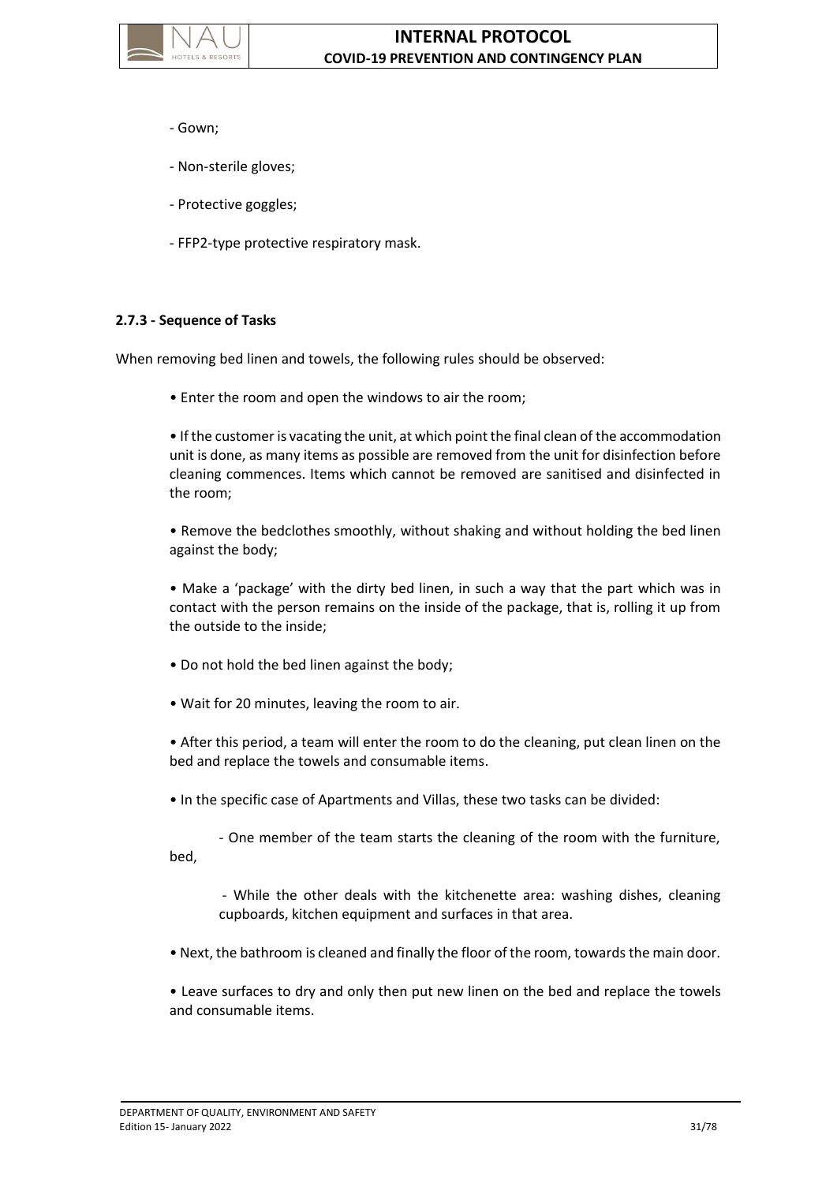

- Gown;
- Non-sterile gloves;
- Protective goggles;
- FFP2-type protective respiratory mask.

### <span id="page-35-0"></span>**2.7.3 - Sequence of Tasks**

When removing bed linen and towels, the following rules should be observed:

• Enter the room and open the windows to air the room;

• If the customer is vacating the unit, at which point the final clean of the accommodation unit is done, as many items as possible are removed from the unit for disinfection before cleaning commences. Items which cannot be removed are sanitised and disinfected in the room;

• Remove the bedclothes smoothly, without shaking and without holding the bed linen against the body;

• Make a 'package' with the dirty bed linen, in such a way that the part which was in contact with the person remains on the inside of the package, that is, rolling it up from the outside to the inside;

- Do not hold the bed linen against the body;
- Wait for 20 minutes, leaving the room to air.

• After this period, a team will enter the room to do the cleaning, put clean linen on the bed and replace the towels and consumable items.

• In the specific case of Apartments and Villas, these two tasks can be divided:

- One member of the team starts the cleaning of the room with the furniture, bed,

- While the other deals with the kitchenette area: washing dishes, cleaning cupboards, kitchen equipment and surfaces in that area.

• Next, the bathroom is cleaned and finally the floor of the room, towards the main door.

• Leave surfaces to dry and only then put new linen on the bed and replace the towels and consumable items.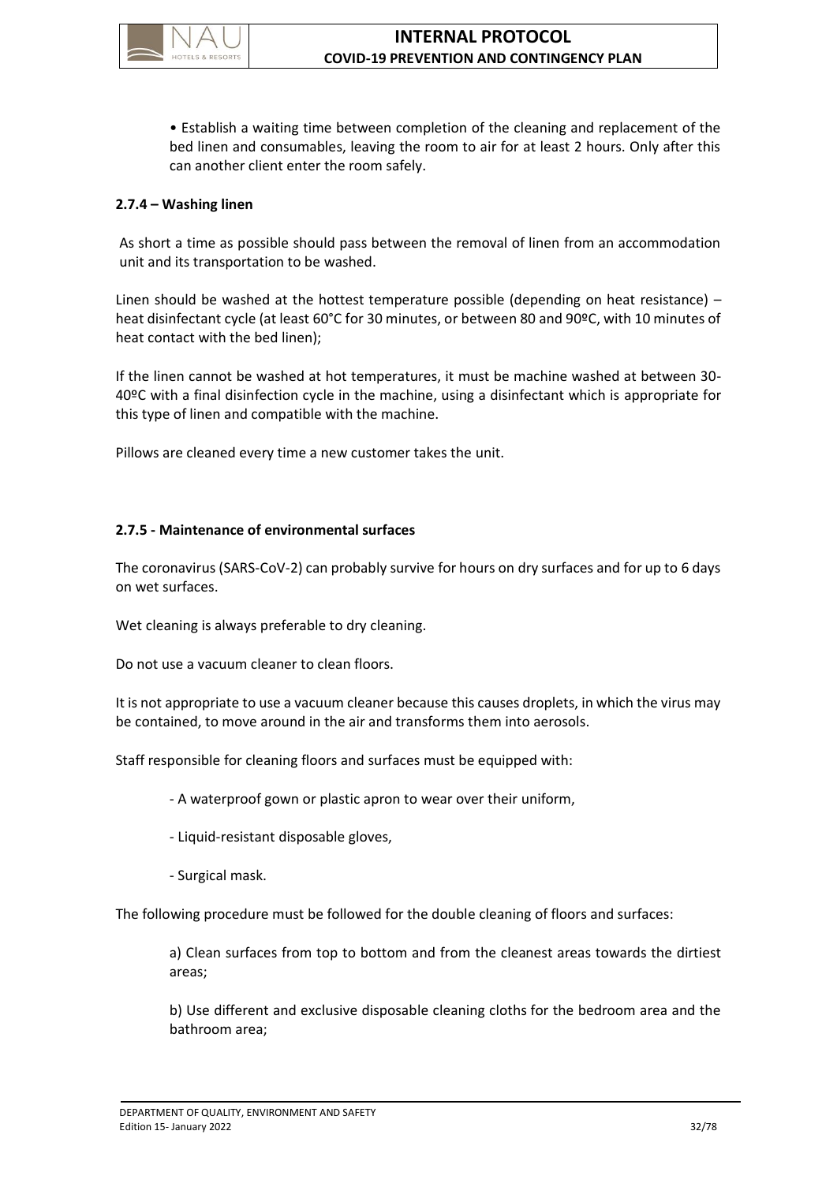

• Establish a waiting time between completion of the cleaning and replacement of the bed linen and consumables, leaving the room to air for at least 2 hours. Only after this can another client enter the room safely.

## **2.7.4 – Washing linen**

As short a time as possible should pass between the removal of linen from an accommodation unit and its transportation to be washed.

Linen should be washed at the hottest temperature possible (depending on heat resistance) – heat disinfectant cycle (at least 60°C for 30 minutes, or between 80 and 90ºC, with 10 minutes of heat contact with the bed linen);

If the linen cannot be washed at hot temperatures, it must be machine washed at between 30- 40ºC with a final disinfection cycle in the machine, using a disinfectant which is appropriate for this type of linen and compatible with the machine.

Pillows are cleaned every time a new customer takes the unit.

## **2.7.5 - Maintenance of environmental surfaces**

The coronavirus (SARS-CoV-2) can probably survive for hours on dry surfaces and for up to 6 days on wet surfaces.

Wet cleaning is always preferable to dry cleaning.

Do not use a vacuum cleaner to clean floors.

It is not appropriate to use a vacuum cleaner because this causes droplets, in which the virus may be contained, to move around in the air and transforms them into aerosols.

Staff responsible for cleaning floors and surfaces must be equipped with:

- A waterproof gown or plastic apron to wear over their uniform,

- Liquid-resistant disposable gloves,
- Surgical mask.

The following procedure must be followed for the double cleaning of floors and surfaces:

a) Clean surfaces from top to bottom and from the cleanest areas towards the dirtiest areas;

b) Use different and exclusive disposable cleaning cloths for the bedroom area and the bathroom area;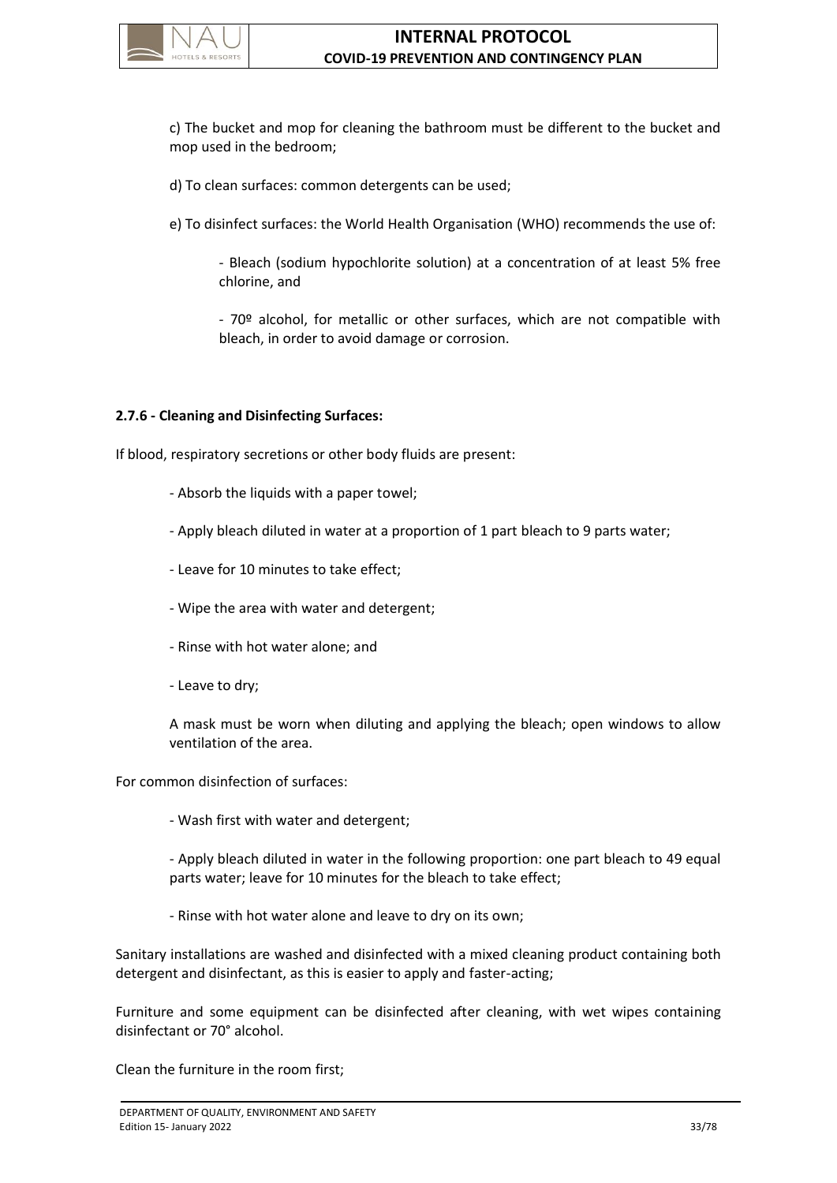

c) The bucket and mop for cleaning the bathroom must be different to the bucket and mop used in the bedroom;

d) To clean surfaces: common detergents can be used;

e) To disinfect surfaces: the World Health Organisation (WHO) recommends the use of:

- Bleach (sodium hypochlorite solution) at a concentration of at least 5% free chlorine, and

- 70º alcohol, for metallic or other surfaces, which are not compatible with bleach, in order to avoid damage or corrosion.

## **2.7.6 - Cleaning and Disinfecting Surfaces:**

If blood, respiratory secretions or other body fluids are present:

- Absorb the liquids with a paper towel;
- Apply bleach diluted in water at a proportion of 1 part bleach to 9 parts water;
- Leave for 10 minutes to take effect;
- Wipe the area with water and detergent;
- Rinse with hot water alone; and
- Leave to dry;

A mask must be worn when diluting and applying the bleach; open windows to allow ventilation of the area.

For common disinfection of surfaces:

- Wash first with water and detergent;

- Apply bleach diluted in water in the following proportion: one part bleach to 49 equal parts water; leave for 10 minutes for the bleach to take effect;

- Rinse with hot water alone and leave to dry on its own;

Sanitary installations are washed and disinfected with a mixed cleaning product containing both detergent and disinfectant, as this is easier to apply and faster-acting;

Furniture and some equipment can be disinfected after cleaning, with wet wipes containing disinfectant or 70° alcohol.

Clean the furniture in the room first;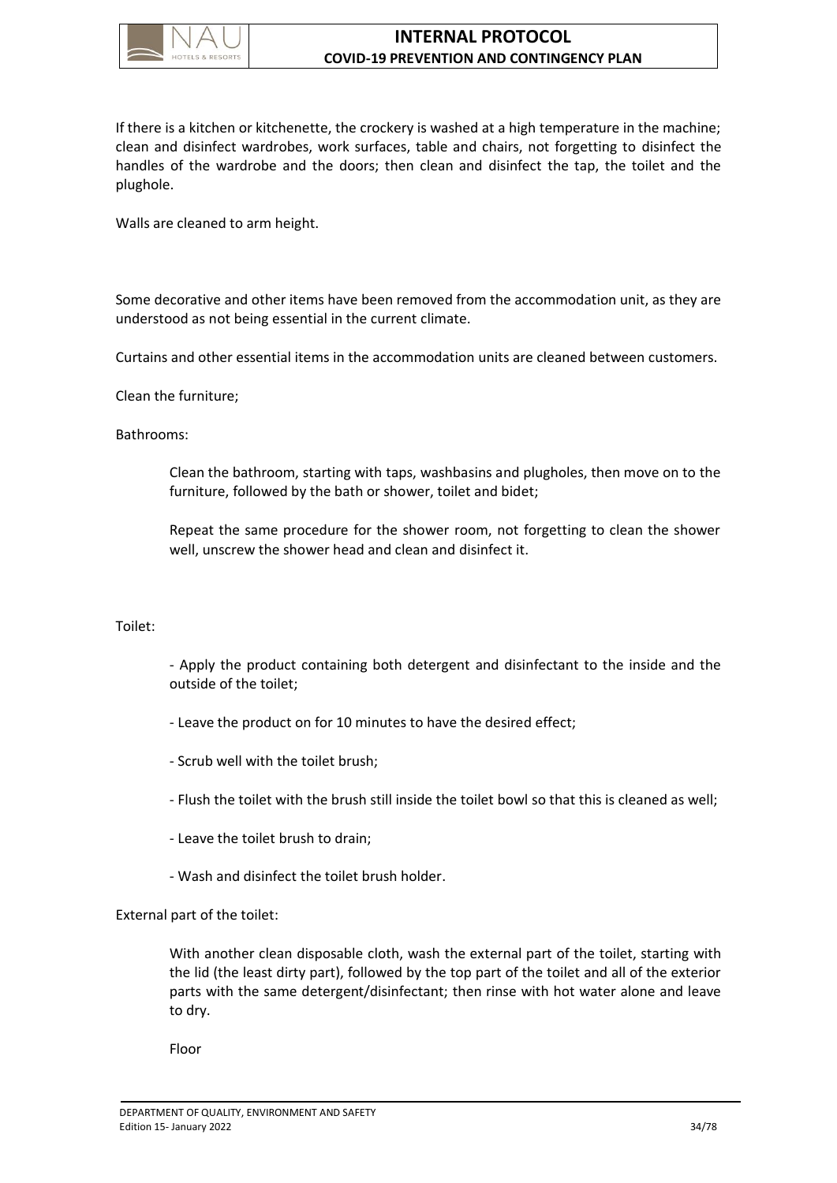

# **INTERNAL PROTOCOL COVID-19 PREVENTION AND CONTINGENCY PLAN**

If there is a kitchen or kitchenette, the crockery is washed at a high temperature in the machine; clean and disinfect wardrobes, work surfaces, table and chairs, not forgetting to disinfect the handles of the wardrobe and the doors; then clean and disinfect the tap, the toilet and the plughole.

Walls are cleaned to arm height.

Some decorative and other items have been removed from the accommodation unit, as they are understood as not being essential in the current climate.

Curtains and other essential items in the accommodation units are cleaned between customers.

Clean the furniture;

#### Bathrooms:

Clean the bathroom, starting with taps, washbasins and plugholes, then move on to the furniture, followed by the bath or shower, toilet and bidet;

Repeat the same procedure for the shower room, not forgetting to clean the shower well, unscrew the shower head and clean and disinfect it.

### Toilet:

- Apply the product containing both detergent and disinfectant to the inside and the outside of the toilet;

- Leave the product on for 10 minutes to have the desired effect;
- Scrub well with the toilet brush;
- Flush the toilet with the brush still inside the toilet bowl so that this is cleaned as well;
- Leave the toilet brush to drain;
- Wash and disinfect the toilet brush holder.

External part of the toilet:

With another clean disposable cloth, wash the external part of the toilet, starting with the lid (the least dirty part), followed by the top part of the toilet and all of the exterior parts with the same detergent/disinfectant; then rinse with hot water alone and leave to dry.

Floor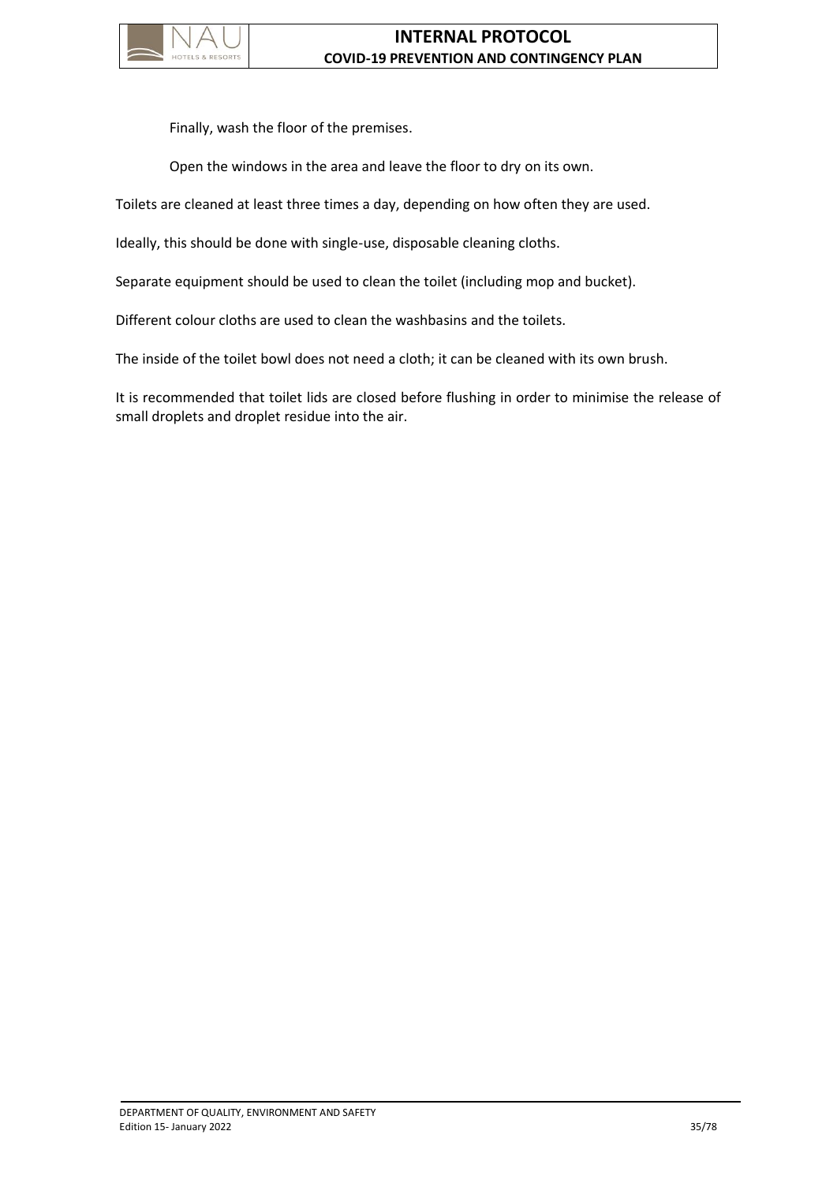

Finally, wash the floor of the premises.

Open the windows in the area and leave the floor to dry on its own.

Toilets are cleaned at least three times a day, depending on how often they are used.

Ideally, this should be done with single-use, disposable cleaning cloths.

Separate equipment should be used to clean the toilet (including mop and bucket).

Different colour cloths are used to clean the washbasins and the toilets.

The inside of the toilet bowl does not need a cloth; it can be cleaned with its own brush.

It is recommended that toilet lids are closed before flushing in order to minimise the release of small droplets and droplet residue into the air.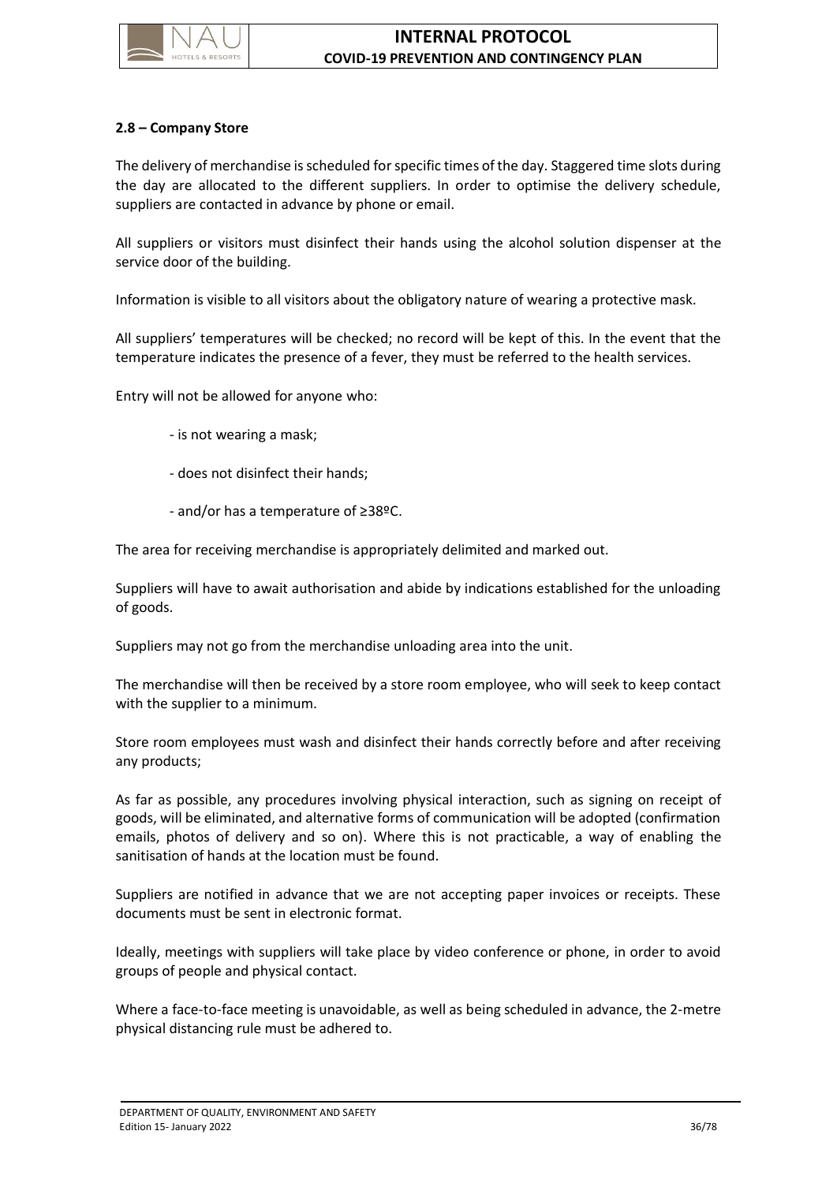

## **2.8 – Company Store**

The delivery of merchandise is scheduled for specific times of the day. Staggered time slots during the day are allocated to the different suppliers. In order to optimise the delivery schedule, suppliers are contacted in advance by phone or email.

All suppliers or visitors must disinfect their hands using the alcohol solution dispenser at the service door of the building.

Information is visible to all visitors about the obligatory nature of wearing a protective mask.

All suppliers' temperatures will be checked; no record will be kept of this. In the event that the temperature indicates the presence of a fever, they must be referred to the health services.

Entry will not be allowed for anyone who:

- is not wearing a mask;
- does not disinfect their hands;
- and/or has a temperature of ≥38ºC.

The area for receiving merchandise is appropriately delimited and marked out.

Suppliers will have to await authorisation and abide by indications established for the unloading of goods.

Suppliers may not go from the merchandise unloading area into the unit.

The merchandise will then be received by a store room employee, who will seek to keep contact with the supplier to a minimum.

Store room employees must wash and disinfect their hands correctly before and after receiving any products;

As far as possible, any procedures involving physical interaction, such as signing on receipt of goods, will be eliminated, and alternative forms of communication will be adopted (confirmation emails, photos of delivery and so on). Where this is not practicable, a way of enabling the sanitisation of hands at the location must be found.

Suppliers are notified in advance that we are not accepting paper invoices or receipts. These documents must be sent in electronic format.

Ideally, meetings with suppliers will take place by video conference or phone, in order to avoid groups of people and physical contact.

Where a face-to-face meeting is unavoidable, as well as being scheduled in advance, the 2-metre physical distancing rule must be adhered to.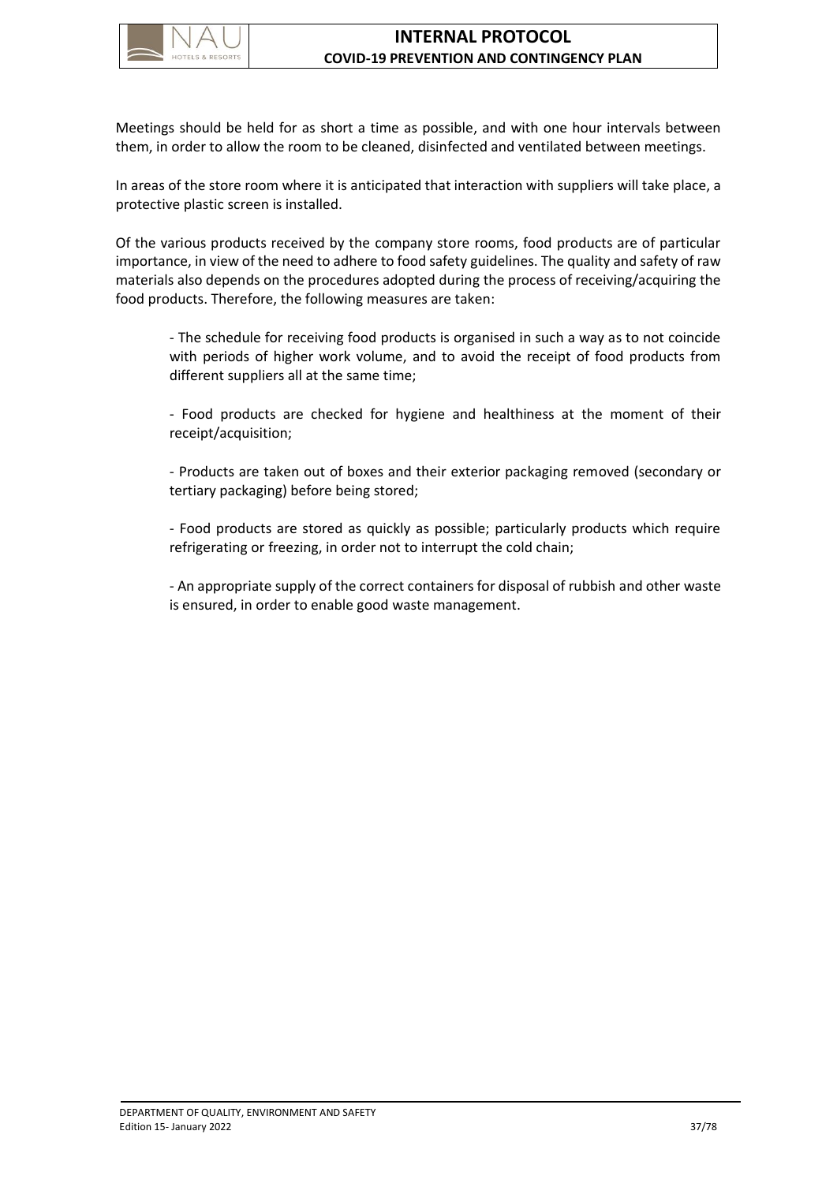

Meetings should be held for as short a time as possible, and with one hour intervals between them, in order to allow the room to be cleaned, disinfected and ventilated between meetings.

In areas of the store room where it is anticipated that interaction with suppliers will take place, a protective plastic screen is installed.

Of the various products received by the company store rooms, food products are of particular importance, in view of the need to adhere to food safety guidelines. The quality and safety of raw materials also depends on the procedures adopted during the process of receiving/acquiring the food products. Therefore, the following measures are taken:

- The schedule for receiving food products is organised in such a way as to not coincide with periods of higher work volume, and to avoid the receipt of food products from different suppliers all at the same time;

- Food products are checked for hygiene and healthiness at the moment of their receipt/acquisition;

- Products are taken out of boxes and their exterior packaging removed (secondary or tertiary packaging) before being stored;

- Food products are stored as quickly as possible; particularly products which require refrigerating or freezing, in order not to interrupt the cold chain;

- An appropriate supply of the correct containers for disposal of rubbish and other waste is ensured, in order to enable good waste management.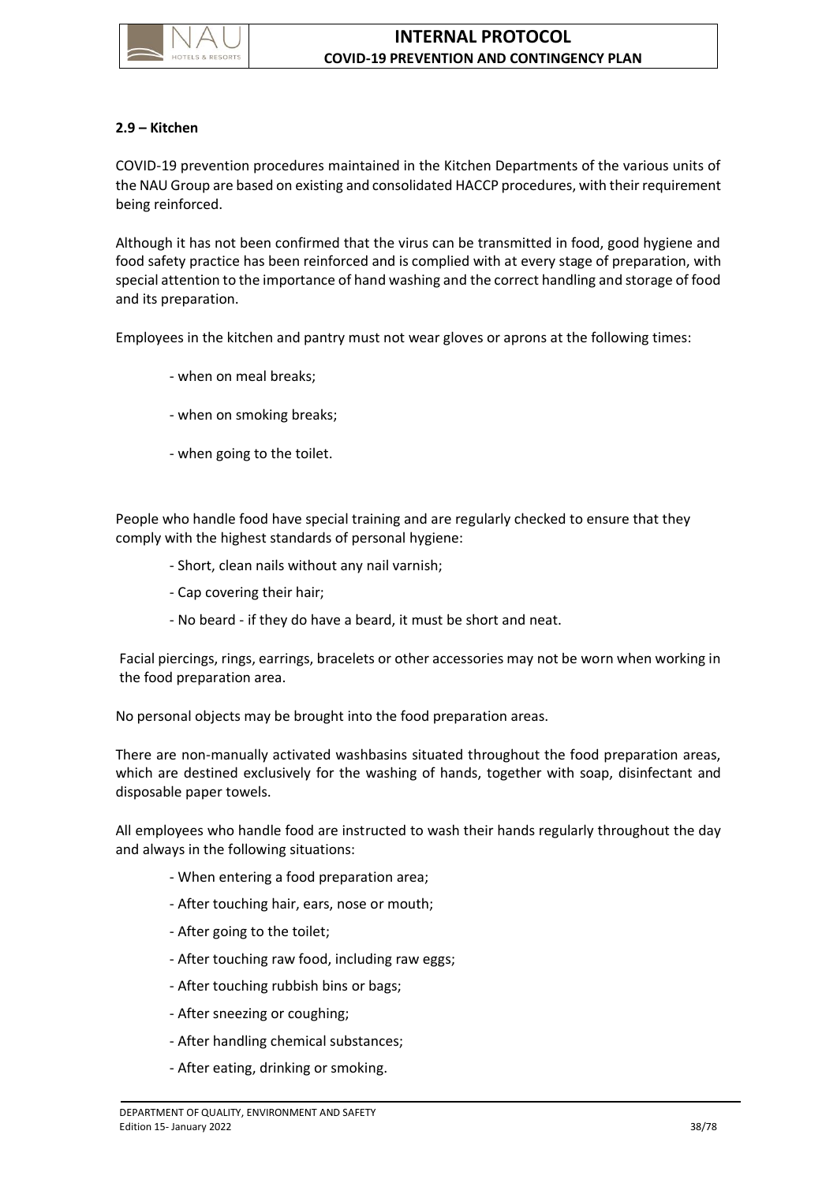

### **2.9 – Kitchen**

COVID-19 prevention procedures maintained in the Kitchen Departments of the various units of the NAU Group are based on existing and consolidated HACCP procedures, with their requirement being reinforced.

Although it has not been confirmed that the virus can be transmitted in food, good hygiene and food safety practice has been reinforced and is complied with at every stage of preparation, with special attention to the importance of hand washing and the correct handling and storage of food and its preparation.

Employees in the kitchen and pantry must not wear gloves or aprons at the following times:

- when on meal breaks;
- when on smoking breaks;
- when going to the toilet.

People who handle food have special training and are regularly checked to ensure that they comply with the highest standards of personal hygiene:

- Short, clean nails without any nail varnish;
- Cap covering their hair;
- No beard if they do have a beard, it must be short and neat.

Facial piercings, rings, earrings, bracelets or other accessories may not be worn when working in the food preparation area.

No personal objects may be brought into the food preparation areas.

There are non-manually activated washbasins situated throughout the food preparation areas, which are destined exclusively for the washing of hands, together with soap, disinfectant and disposable paper towels.

All employees who handle food are instructed to wash their hands regularly throughout the day and always in the following situations:

- When entering a food preparation area;
- After touching hair, ears, nose or mouth;
- After going to the toilet;
- After touching raw food, including raw eggs;
- After touching rubbish bins or bags;
- After sneezing or coughing;
- After handling chemical substances;
- After eating, drinking or smoking.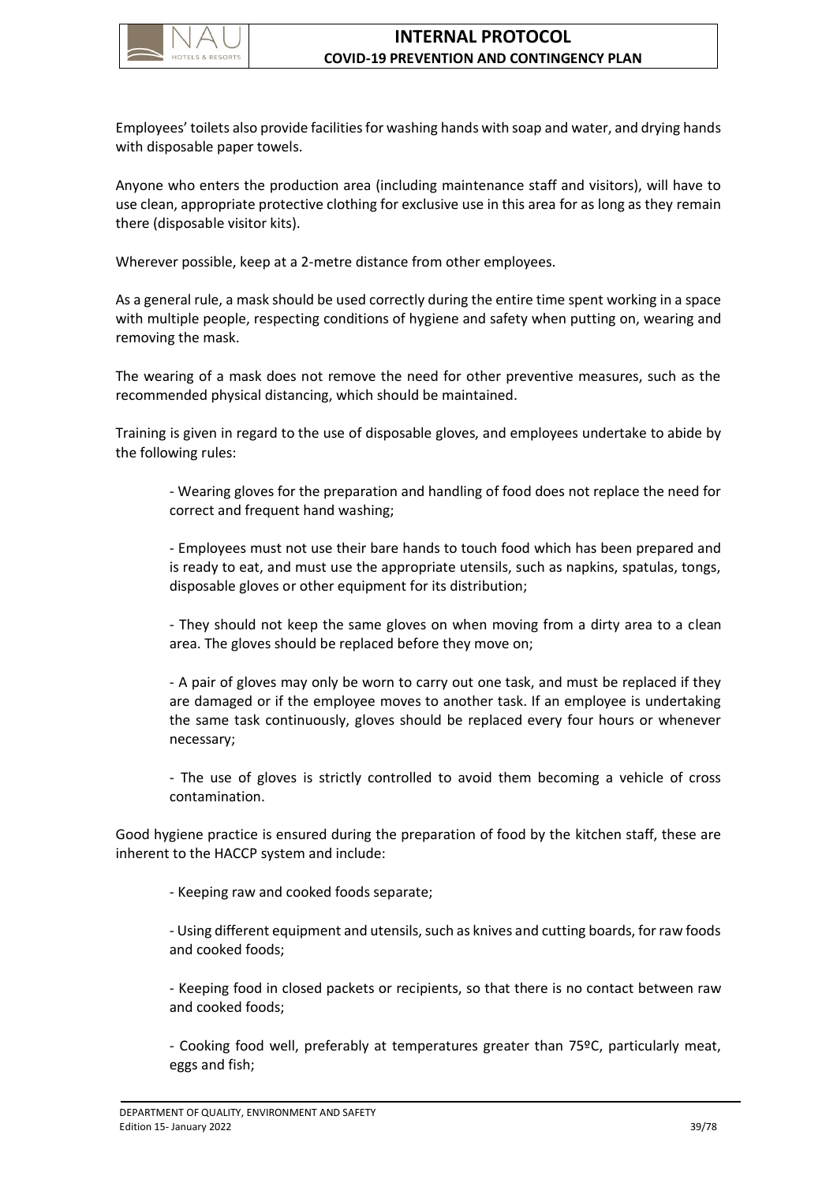

Employees' toilets also provide facilities for washing hands with soap and water, and drying hands with disposable paper towels.

Anyone who enters the production area (including maintenance staff and visitors), will have to use clean, appropriate protective clothing for exclusive use in this area for as long as they remain there (disposable visitor kits).

Wherever possible, keep at a 2-metre distance from other employees.

As a general rule, a mask should be used correctly during the entire time spent working in a space with multiple people, respecting conditions of hygiene and safety when putting on, wearing and removing the mask.

The wearing of a mask does not remove the need for other preventive measures, such as the recommended physical distancing, which should be maintained.

Training is given in regard to the use of disposable gloves, and employees undertake to abide by the following rules:

- Wearing gloves for the preparation and handling of food does not replace the need for correct and frequent hand washing;

- Employees must not use their bare hands to touch food which has been prepared and is ready to eat, and must use the appropriate utensils, such as napkins, spatulas, tongs, disposable gloves or other equipment for its distribution;

- They should not keep the same gloves on when moving from a dirty area to a clean area. The gloves should be replaced before they move on;

- A pair of gloves may only be worn to carry out one task, and must be replaced if they are damaged or if the employee moves to another task. If an employee is undertaking the same task continuously, gloves should be replaced every four hours or whenever necessary;

- The use of gloves is strictly controlled to avoid them becoming a vehicle of cross contamination.

Good hygiene practice is ensured during the preparation of food by the kitchen staff, these are inherent to the HACCP system and include:

- Keeping raw and cooked foods separate;

- Using different equipment and utensils, such as knives and cutting boards, for raw foods and cooked foods;

- Keeping food in closed packets or recipients, so that there is no contact between raw and cooked foods;

- Cooking food well, preferably at temperatures greater than 75ºC, particularly meat, eggs and fish;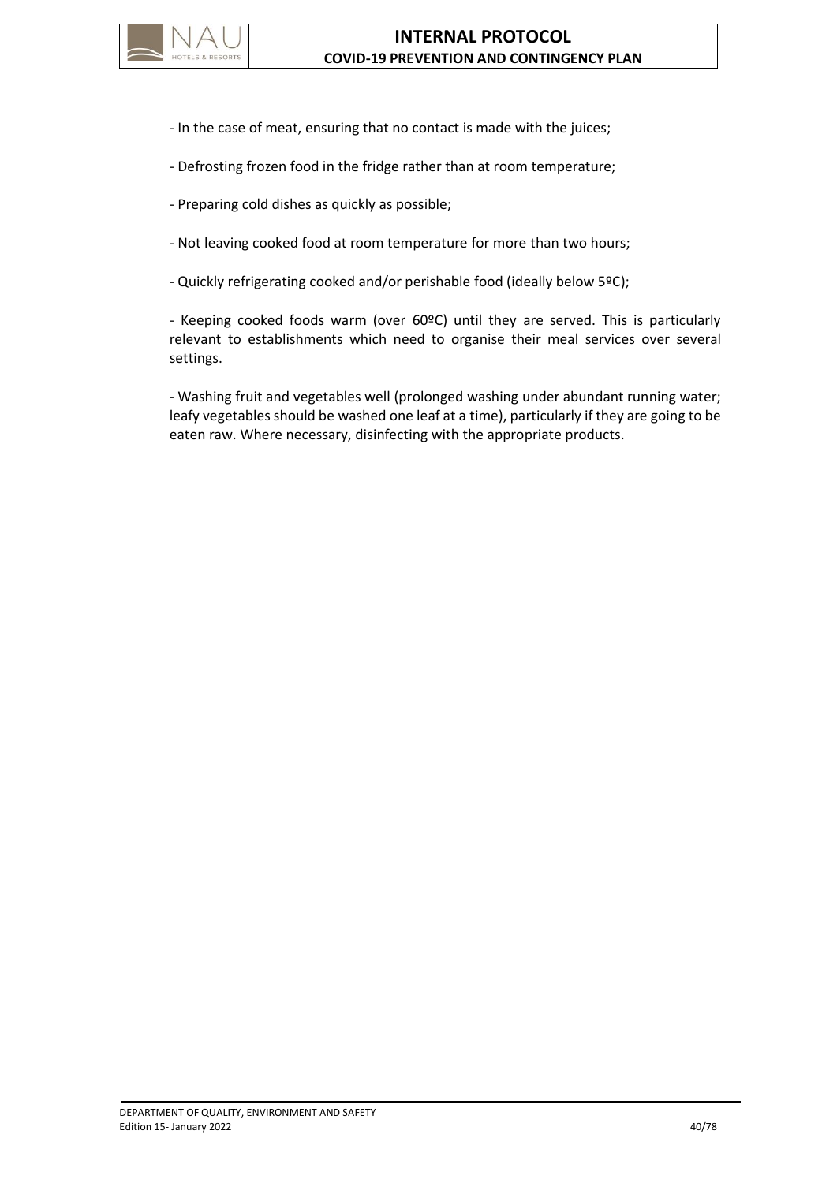

- In the case of meat, ensuring that no contact is made with the juices;
- Defrosting frozen food in the fridge rather than at room temperature;
- Preparing cold dishes as quickly as possible;
- Not leaving cooked food at room temperature for more than two hours;
- Quickly refrigerating cooked and/or perishable food (ideally below 5ºC);

- Keeping cooked foods warm (over 60ºC) until they are served. This is particularly relevant to establishments which need to organise their meal services over several settings.

- Washing fruit and vegetables well (prolonged washing under abundant running water; leafy vegetables should be washed one leaf at a time), particularly if they are going to be eaten raw. Where necessary, disinfecting with the appropriate products.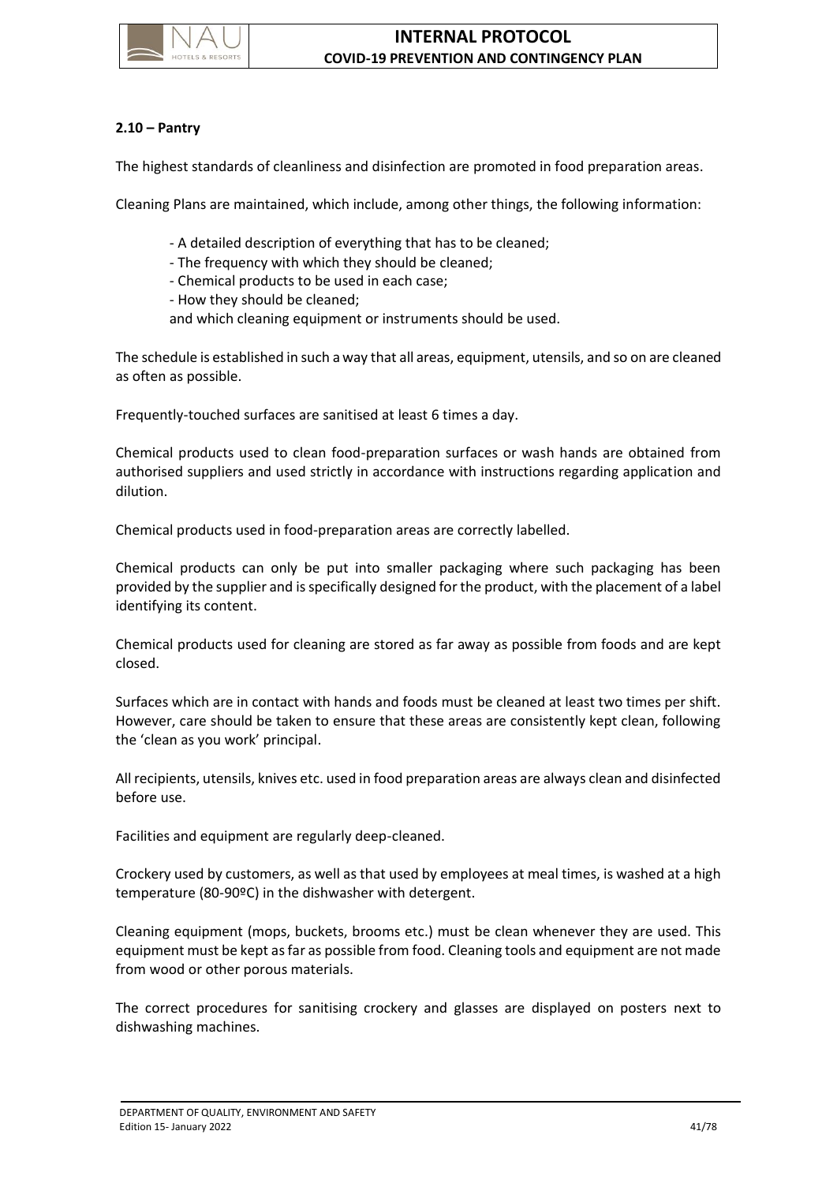

# **2.10 – Pantry**

The highest standards of cleanliness and disinfection are promoted in food preparation areas.

Cleaning Plans are maintained, which include, among other things, the following information:

- A detailed description of everything that has to be cleaned;
- The frequency with which they should be cleaned;
- Chemical products to be used in each case;
- How they should be cleaned;
- and which cleaning equipment or instruments should be used.

The schedule is established in such a way that all areas, equipment, utensils, and so on are cleaned as often as possible.

Frequently-touched surfaces are sanitised at least 6 times a day.

Chemical products used to clean food-preparation surfaces or wash hands are obtained from authorised suppliers and used strictly in accordance with instructions regarding application and dilution.

Chemical products used in food-preparation areas are correctly labelled.

Chemical products can only be put into smaller packaging where such packaging has been provided by the supplier and is specifically designed for the product, with the placement of a label identifying its content.

Chemical products used for cleaning are stored as far away as possible from foods and are kept closed.

Surfaces which are in contact with hands and foods must be cleaned at least two times per shift. However, care should be taken to ensure that these areas are consistently kept clean, following the 'clean as you work' principal.

All recipients, utensils, knives etc. used in food preparation areas are always clean and disinfected before use.

Facilities and equipment are regularly deep-cleaned.

Crockery used by customers, as well as that used by employees at meal times, is washed at a high temperature (80-90ºC) in the dishwasher with detergent.

Cleaning equipment (mops, buckets, brooms etc.) must be clean whenever they are used. This equipment must be kept as far as possible from food. Cleaning tools and equipment are not made from wood or other porous materials.

The correct procedures for sanitising crockery and glasses are displayed on posters next to dishwashing machines.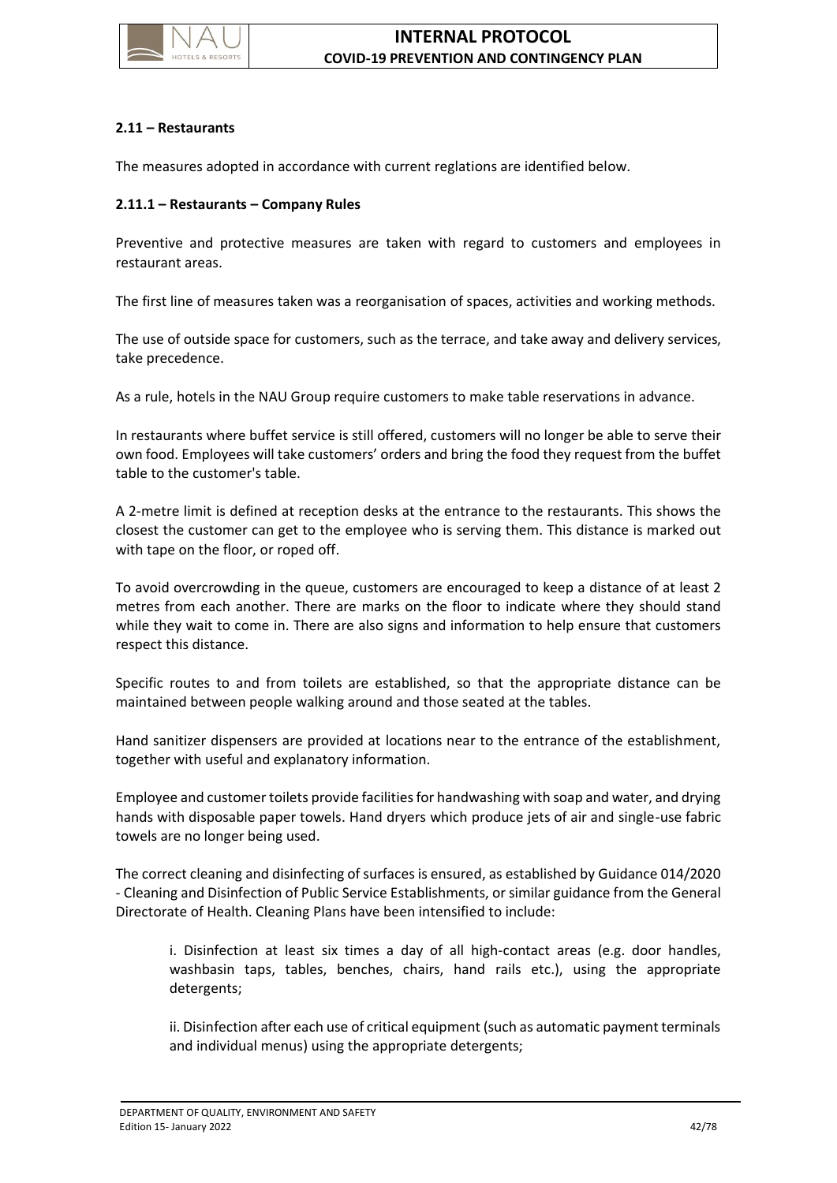

## **2.11 – Restaurants**

The measures adopted in accordance with current reglations are identified below.

### **2.11.1 – Restaurants – Company Rules**

Preventive and protective measures are taken with regard to customers and employees in restaurant areas.

The first line of measures taken was a reorganisation of spaces, activities and working methods.

The use of outside space for customers, such as the terrace, and take away and delivery services, take precedence.

As a rule, hotels in the NAU Group require customers to make table reservations in advance.

In restaurants where buffet service is still offered, customers will no longer be able to serve their own food. Employees will take customers' orders and bring the food they request from the buffet table to the customer's table.

A 2-metre limit is defined at reception desks at the entrance to the restaurants. This shows the closest the customer can get to the employee who is serving them. This distance is marked out with tape on the floor, or roped off.

To avoid overcrowding in the queue, customers are encouraged to keep a distance of at least 2 metres from each another. There are marks on the floor to indicate where they should stand while they wait to come in. There are also signs and information to help ensure that customers respect this distance.

Specific routes to and from toilets are established, so that the appropriate distance can be maintained between people walking around and those seated at the tables.

Hand sanitizer dispensers are provided at locations near to the entrance of the establishment, together with useful and explanatory information.

Employee and customer toilets provide facilities for handwashing with soap and water, and drying hands with disposable paper towels. Hand dryers which produce jets of air and single-use fabric towels are no longer being used.

The correct cleaning and disinfecting of surfaces is ensured, as established by Guidance 014/2020 - Cleaning and Disinfection of Public Service Establishments, or similar guidance from the General Directorate of Health. Cleaning Plans have been intensified to include:

i. Disinfection at least six times a day of all high-contact areas (e.g. door handles, washbasin taps, tables, benches, chairs, hand rails etc.), using the appropriate detergents;

ii. Disinfection after each use of critical equipment (such as automatic payment terminals and individual menus) using the appropriate detergents;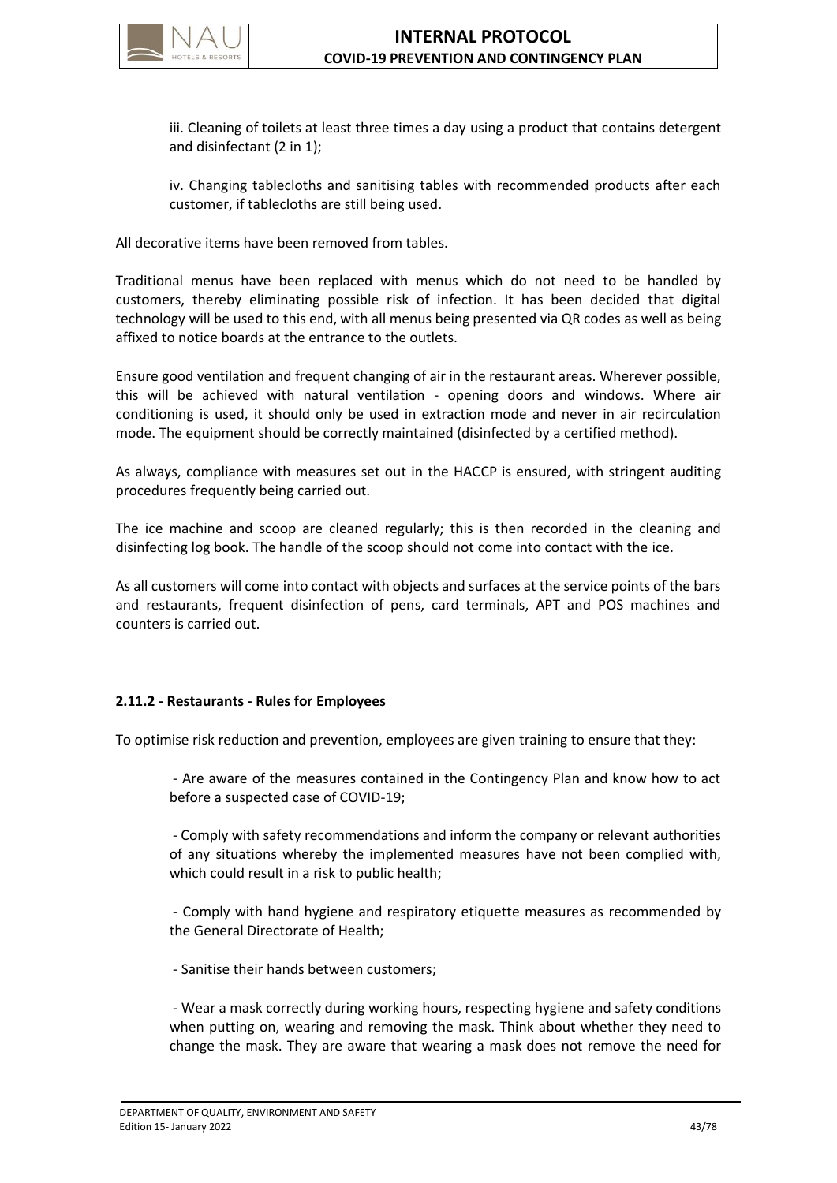

iii. Cleaning of toilets at least three times a day using a product that contains detergent and disinfectant (2 in 1);

iv. Changing tablecloths and sanitising tables with recommended products after each customer, if tablecloths are still being used.

All decorative items have been removed from tables.

Traditional menus have been replaced with menus which do not need to be handled by customers, thereby eliminating possible risk of infection. It has been decided that digital technology will be used to this end, with all menus being presented via QR codes as well as being affixed to notice boards at the entrance to the outlets.

Ensure good ventilation and frequent changing of air in the restaurant areas. Wherever possible, this will be achieved with natural ventilation - opening doors and windows. Where air conditioning is used, it should only be used in extraction mode and never in air recirculation mode. The equipment should be correctly maintained (disinfected by a certified method).

As always, compliance with measures set out in the HACCP is ensured, with stringent auditing procedures frequently being carried out.

The ice machine and scoop are cleaned regularly; this is then recorded in the cleaning and disinfecting log book. The handle of the scoop should not come into contact with the ice.

As all customers will come into contact with objects and surfaces at the service points of the bars and restaurants, frequent disinfection of pens, card terminals, APT and POS machines and counters is carried out.

### **2.11.2 - Restaurants - Rules for Employees**

To optimise risk reduction and prevention, employees are given training to ensure that they:

- Are aware of the measures contained in the Contingency Plan and know how to act before a suspected case of COVID-19;

- Comply with safety recommendations and inform the company or relevant authorities of any situations whereby the implemented measures have not been complied with, which could result in a risk to public health;

- Comply with hand hygiene and respiratory etiquette measures as recommended by the General Directorate of Health;

- Sanitise their hands between customers;

- Wear a mask correctly during working hours, respecting hygiene and safety conditions when putting on, wearing and removing the mask. Think about whether they need to change the mask. They are aware that wearing a mask does not remove the need for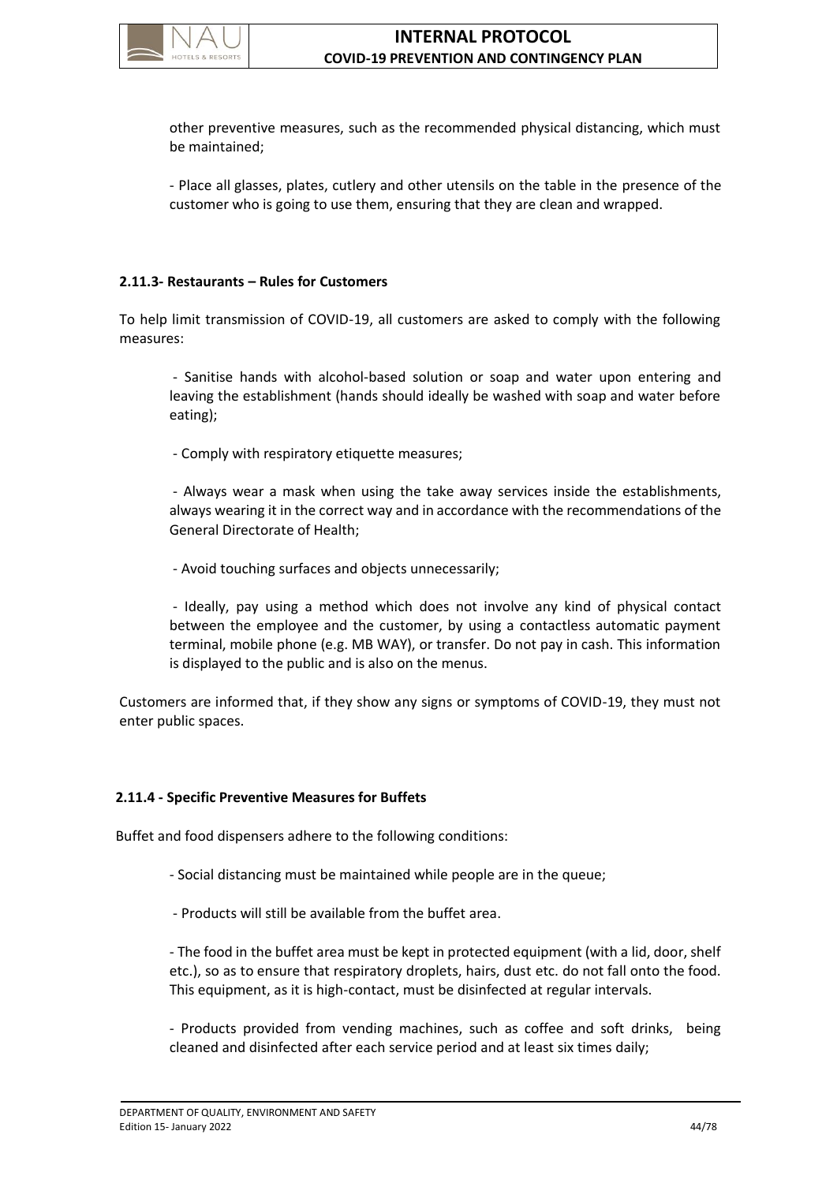

other preventive measures, such as the recommended physical distancing, which must be maintained;

- Place all glasses, plates, cutlery and other utensils on the table in the presence of the customer who is going to use them, ensuring that they are clean and wrapped.

### **2.11.3- Restaurants – Rules for Customers**

To help limit transmission of COVID-19, all customers are asked to comply with the following measures:

- Sanitise hands with alcohol-based solution or soap and water upon entering and leaving the establishment (hands should ideally be washed with soap and water before eating);

- Comply with respiratory etiquette measures;

- Always wear a mask when using the take away services inside the establishments, always wearing it in the correct way and in accordance with the recommendations of the General Directorate of Health;

- Avoid touching surfaces and objects unnecessarily;

- Ideally, pay using a method which does not involve any kind of physical contact between the employee and the customer, by using a contactless automatic payment terminal, mobile phone (e.g. MB WAY), or transfer. Do not pay in cash. This information is displayed to the public and is also on the menus.

Customers are informed that, if they show any signs or symptoms of COVID-19, they must not enter public spaces.

### **2.11.4 - Specific Preventive Measures for Buffets**

Buffet and food dispensers adhere to the following conditions:

- Social distancing must be maintained while people are in the queue;
- Products will still be available from the buffet area.

- The food in the buffet area must be kept in protected equipment (with a lid, door, shelf etc.), so as to ensure that respiratory droplets, hairs, dust etc. do not fall onto the food. This equipment, as it is high-contact, must be disinfected at regular intervals.

- Products provided from vending machines, such as coffee and soft drinks, being cleaned and disinfected after each service period and at least six times daily;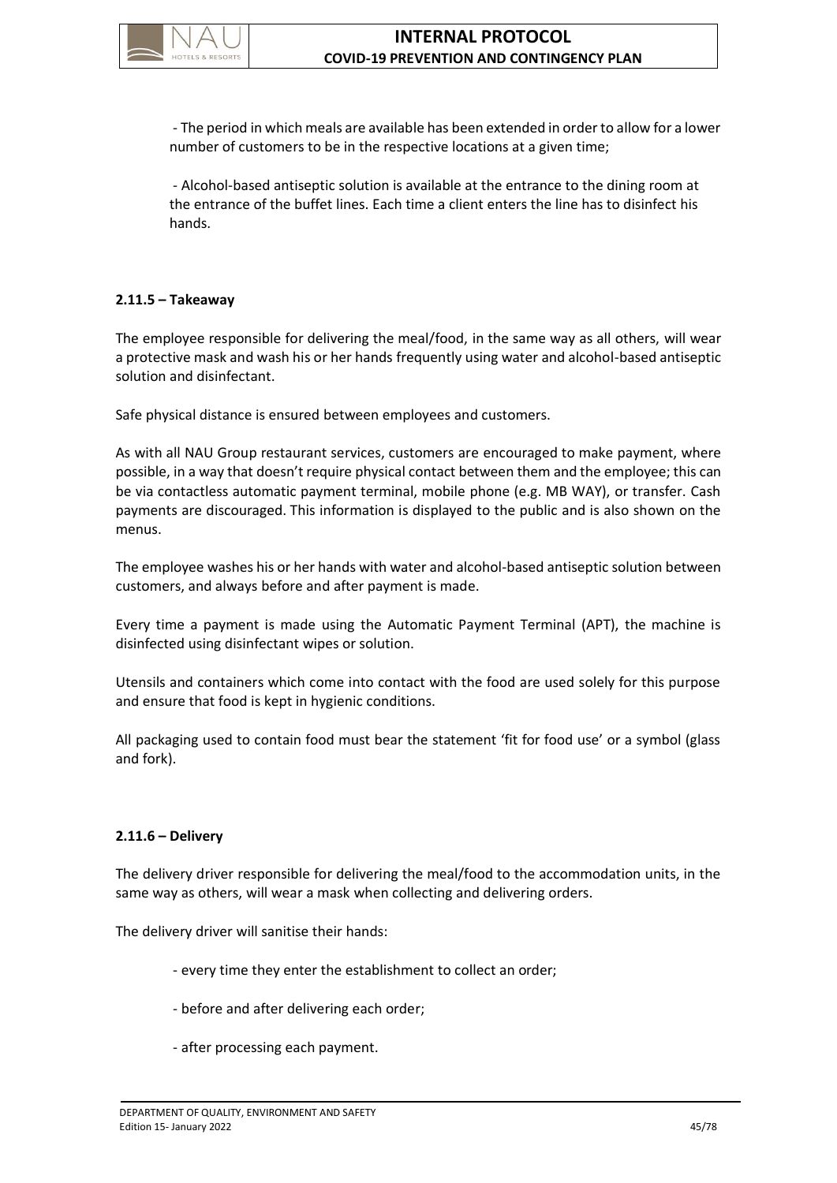

- The period in which meals are available has been extended in order to allow for a lower number of customers to be in the respective locations at a given time;

- Alcohol-based antiseptic solution is available at the entrance to the dining room at the entrance of the buffet lines. Each time a client enters the line has to disinfect his hands.

## **2.11.5 – Takeaway**

The employee responsible for delivering the meal/food, in the same way as all others, will wear a protective mask and wash his or her hands frequently using water and alcohol-based antiseptic solution and disinfectant.

Safe physical distance is ensured between employees and customers.

As with all NAU Group restaurant services, customers are encouraged to make payment, where possible, in a way that doesn't require physical contact between them and the employee; this can be via contactless automatic payment terminal, mobile phone (e.g. MB WAY), or transfer. Cash payments are discouraged. This information is displayed to the public and is also shown on the menus.

The employee washes his or her hands with water and alcohol-based antiseptic solution between customers, and always before and after payment is made.

Every time a payment is made using the Automatic Payment Terminal (APT), the machine is disinfected using disinfectant wipes or solution.

Utensils and containers which come into contact with the food are used solely for this purpose and ensure that food is kept in hygienic conditions.

All packaging used to contain food must bear the statement 'fit for food use' or a symbol (glass and fork).

# **2.11.6 – Delivery**

The delivery driver responsible for delivering the meal/food to the accommodation units, in the same way as others, will wear a mask when collecting and delivering orders.

The delivery driver will sanitise their hands:

- every time they enter the establishment to collect an order;
- before and after delivering each order;
- after processing each payment.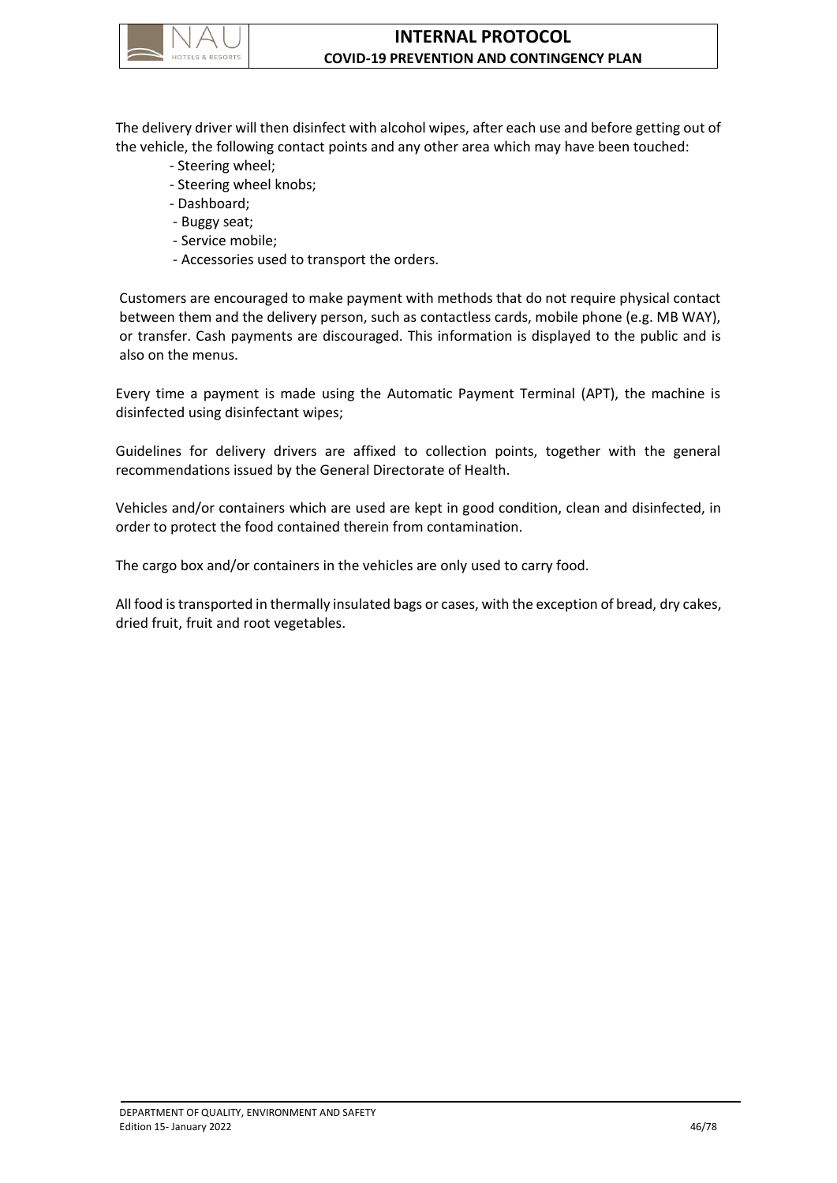

The delivery driver will then disinfect with alcohol wipes, after each use and before getting out of the vehicle, the following contact points and any other area which may have been touched:

- Steering wheel;
- Steering wheel knobs;
- Dashboard;
- Buggy seat;
- Service mobile;
- Accessories used to transport the orders.

Customers are encouraged to make payment with methods that do not require physical contact between them and the delivery person, such as contactless cards, mobile phone (e.g. MB WAY), or transfer. Cash payments are discouraged. This information is displayed to the public and is also on the menus.

Every time a payment is made using the Automatic Payment Terminal (APT), the machine is disinfected using disinfectant wipes;

Guidelines for delivery drivers are affixed to collection points, together with the general recommendations issued by the General Directorate of Health.

Vehicles and/or containers which are used are kept in good condition, clean and disinfected, in order to protect the food contained therein from contamination.

The cargo box and/or containers in the vehicles are only used to carry food.

All food is transported in thermally insulated bags or cases, with the exception of bread, dry cakes, dried fruit, fruit and root vegetables.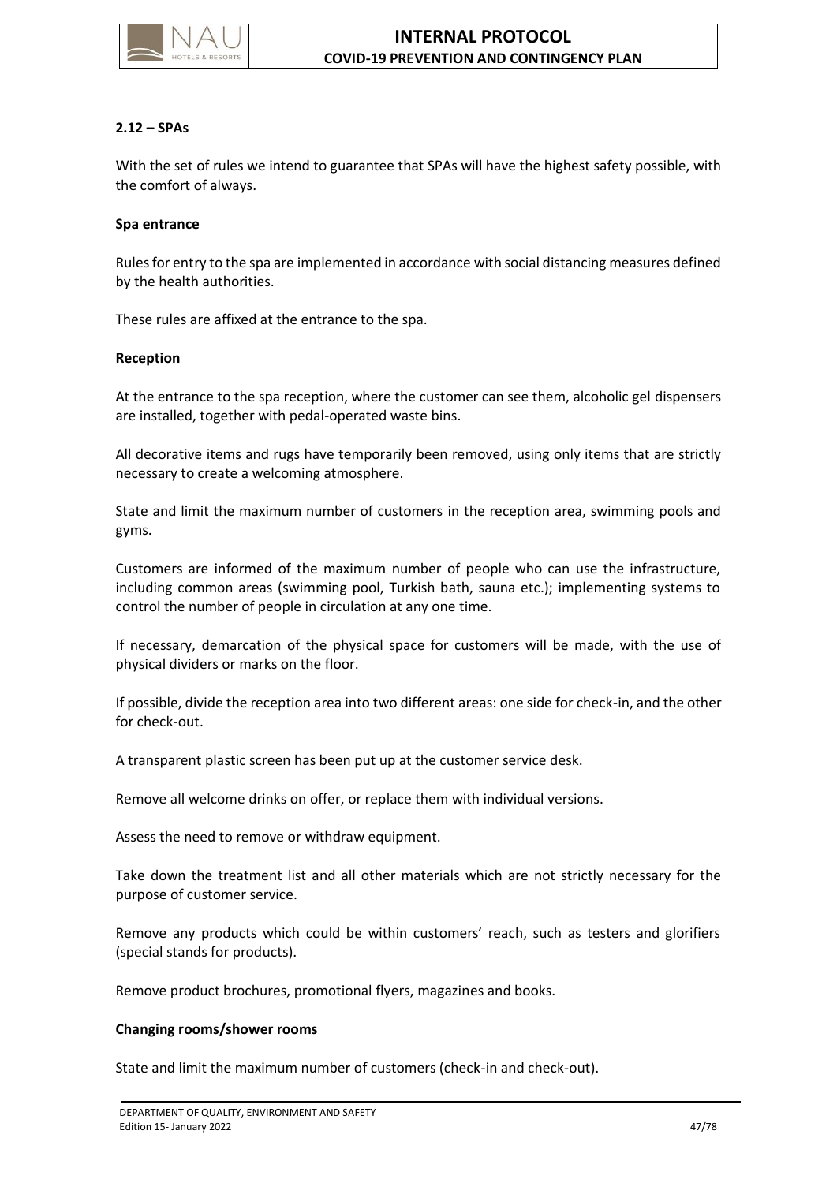

### **2.12 – SPAs**

With the set of rules we intend to guarantee that SPAs will have the highest safety possible, with the comfort of always.

#### **Spa entrance**

Rules for entry to the spa are implemented in accordance with social distancing measures defined by the health authorities.

These rules are affixed at the entrance to the spa.

#### **Reception**

At the entrance to the spa reception, where the customer can see them, alcoholic gel dispensers are installed, together with pedal-operated waste bins.

All decorative items and rugs have temporarily been removed, using only items that are strictly necessary to create a welcoming atmosphere.

State and limit the maximum number of customers in the reception area, swimming pools and gyms.

Customers are informed of the maximum number of people who can use the infrastructure, including common areas (swimming pool, Turkish bath, sauna etc.); implementing systems to control the number of people in circulation at any one time.

If necessary, demarcation of the physical space for customers will be made, with the use of physical dividers or marks on the floor.

If possible, divide the reception area into two different areas: one side for check-in, and the other for check-out.

A transparent plastic screen has been put up at the customer service desk.

Remove all welcome drinks on offer, or replace them with individual versions.

Assess the need to remove or withdraw equipment.

Take down the treatment list and all other materials which are not strictly necessary for the purpose of customer service.

Remove any products which could be within customers' reach, such as testers and glorifiers (special stands for products).

Remove product brochures, promotional flyers, magazines and books.

#### **Changing rooms/shower rooms**

State and limit the maximum number of customers (check-in and check-out).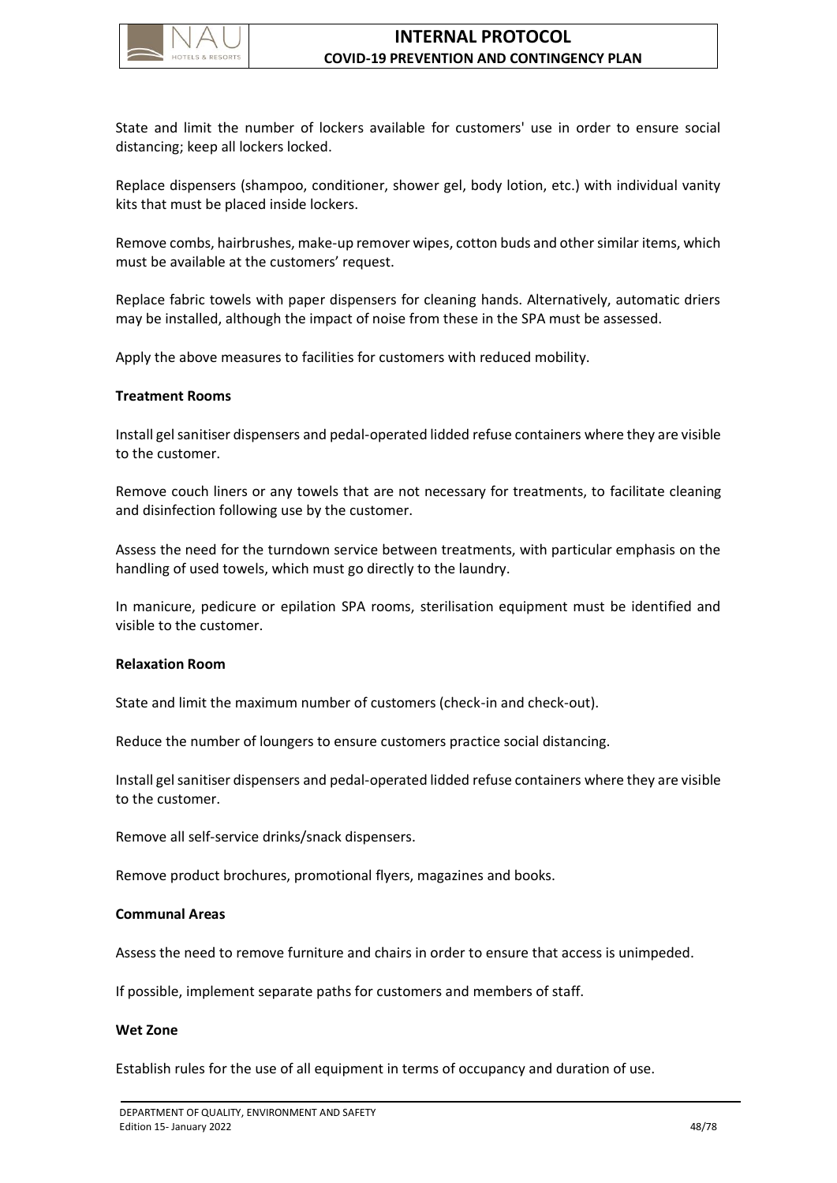

State and limit the number of lockers available for customers' use in order to ensure social distancing; keep all lockers locked.

Replace dispensers (shampoo, conditioner, shower gel, body lotion, etc.) with individual vanity kits that must be placed inside lockers.

Remove combs, hairbrushes, make-up remover wipes, cotton buds and other similar items, which must be available at the customers' request.

Replace fabric towels with paper dispensers for cleaning hands. Alternatively, automatic driers may be installed, although the impact of noise from these in the SPA must be assessed.

Apply the above measures to facilities for customers with reduced mobility.

#### **Treatment Rooms**

Install gel sanitiser dispensers and pedal-operated lidded refuse containers where they are visible to the customer.

Remove couch liners or any towels that are not necessary for treatments, to facilitate cleaning and disinfection following use by the customer.

Assess the need for the turndown service between treatments, with particular emphasis on the handling of used towels, which must go directly to the laundry.

In manicure, pedicure or epilation SPA rooms, sterilisation equipment must be identified and visible to the customer.

#### **Relaxation Room**

State and limit the maximum number of customers (check-in and check-out).

Reduce the number of loungers to ensure customers practice social distancing.

Install gel sanitiser dispensers and pedal-operated lidded refuse containers where they are visible to the customer.

Remove all self-service drinks/snack dispensers.

Remove product brochures, promotional flyers, magazines and books.

#### **Communal Areas**

Assess the need to remove furniture and chairs in order to ensure that access is unimpeded.

If possible, implement separate paths for customers and members of staff.

#### **Wet Zone**

Establish rules for the use of all equipment in terms of occupancy and duration of use.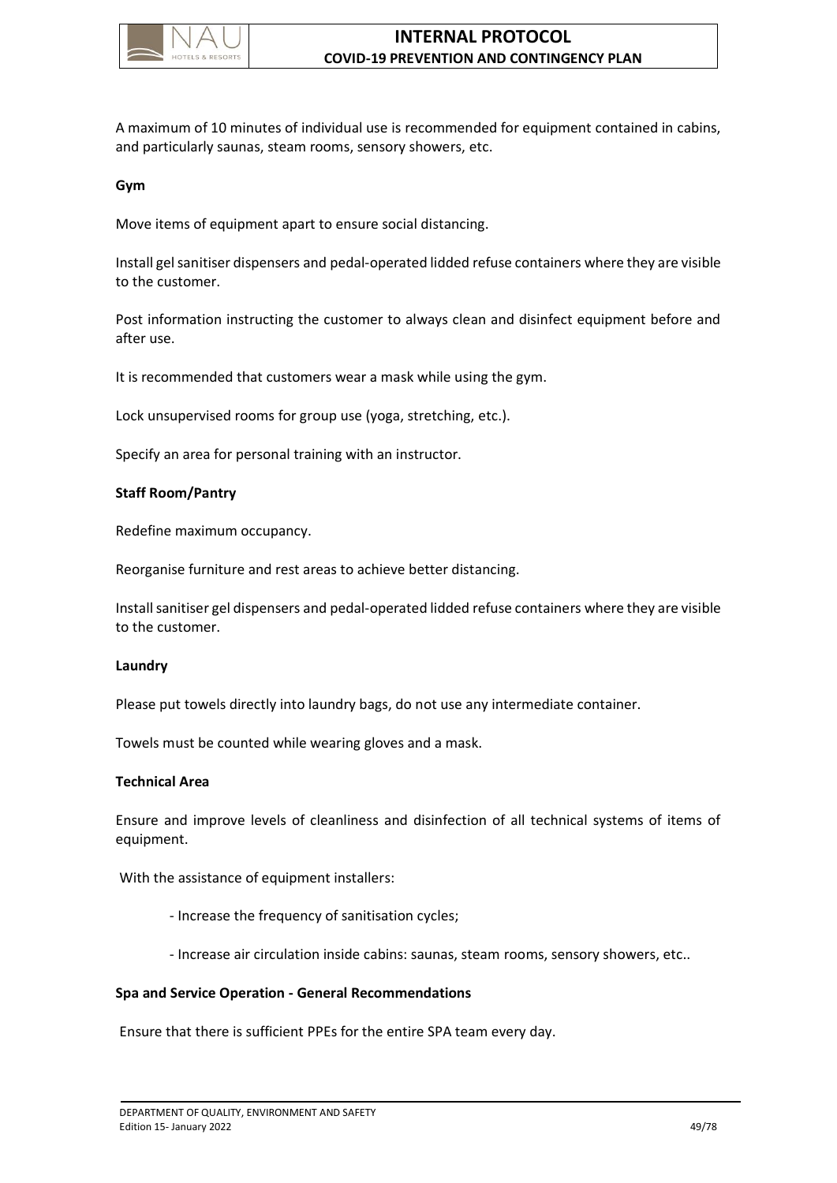

A maximum of 10 minutes of individual use is recommended for equipment contained in cabins, and particularly saunas, steam rooms, sensory showers, etc.

#### **Gym**

Move items of equipment apart to ensure social distancing.

Install gel sanitiser dispensers and pedal-operated lidded refuse containers where they are visible to the customer.

Post information instructing the customer to always clean and disinfect equipment before and after use.

It is recommended that customers wear a mask while using the gym.

Lock unsupervised rooms for group use (yoga, stretching, etc.).

Specify an area for personal training with an instructor.

#### **Staff Room/Pantry**

Redefine maximum occupancy.

Reorganise furniture and rest areas to achieve better distancing.

Install sanitiser gel dispensers and pedal-operated lidded refuse containers where they are visible to the customer.

#### **Laundry**

Please put towels directly into laundry bags, do not use any intermediate container.

Towels must be counted while wearing gloves and a mask.

#### **Technical Area**

Ensure and improve levels of cleanliness and disinfection of all technical systems of items of equipment.

With the assistance of equipment installers:

- Increase the frequency of sanitisation cycles;
- Increase air circulation inside cabins: saunas, steam rooms, sensory showers, etc..

### **Spa and Service Operation - General Recommendations**

Ensure that there is sufficient PPEs for the entire SPA team every day.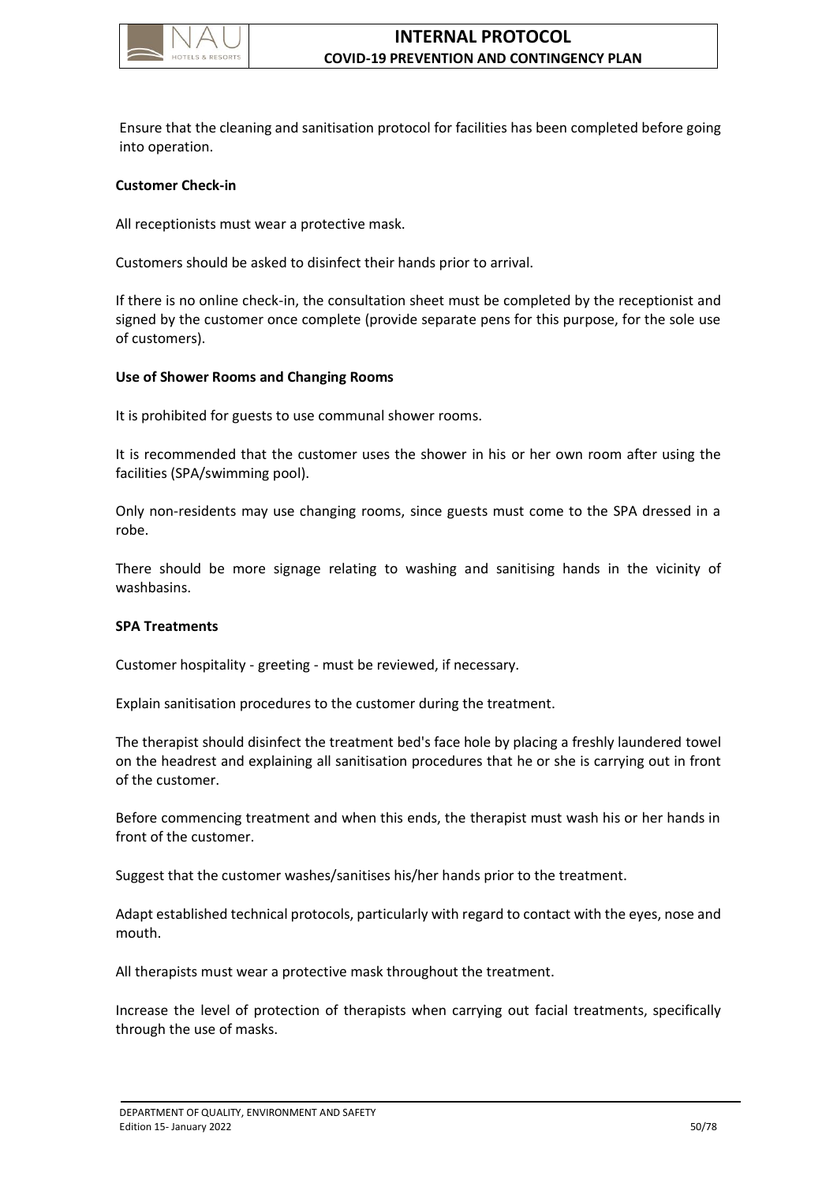

Ensure that the cleaning and sanitisation protocol for facilities has been completed before going into operation.

#### **Customer Check-in**

All receptionists must wear a protective mask.

Customers should be asked to disinfect their hands prior to arrival.

If there is no online check-in, the consultation sheet must be completed by the receptionist and signed by the customer once complete (provide separate pens for this purpose, for the sole use of customers).

#### **Use of Shower Rooms and Changing Rooms**

It is prohibited for guests to use communal shower rooms.

It is recommended that the customer uses the shower in his or her own room after using the facilities (SPA/swimming pool).

Only non-residents may use changing rooms, since guests must come to the SPA dressed in a robe.

There should be more signage relating to washing and sanitising hands in the vicinity of washbasins.

#### **SPA Treatments**

Customer hospitality - greeting - must be reviewed, if necessary.

Explain sanitisation procedures to the customer during the treatment.

The therapist should disinfect the treatment bed's face hole by placing a freshly laundered towel on the headrest and explaining all sanitisation procedures that he or she is carrying out in front of the customer.

Before commencing treatment and when this ends, the therapist must wash his or her hands in front of the customer.

Suggest that the customer washes/sanitises his/her hands prior to the treatment.

Adapt established technical protocols, particularly with regard to contact with the eyes, nose and mouth.

All therapists must wear a protective mask throughout the treatment.

Increase the level of protection of therapists when carrying out facial treatments, specifically through the use of masks.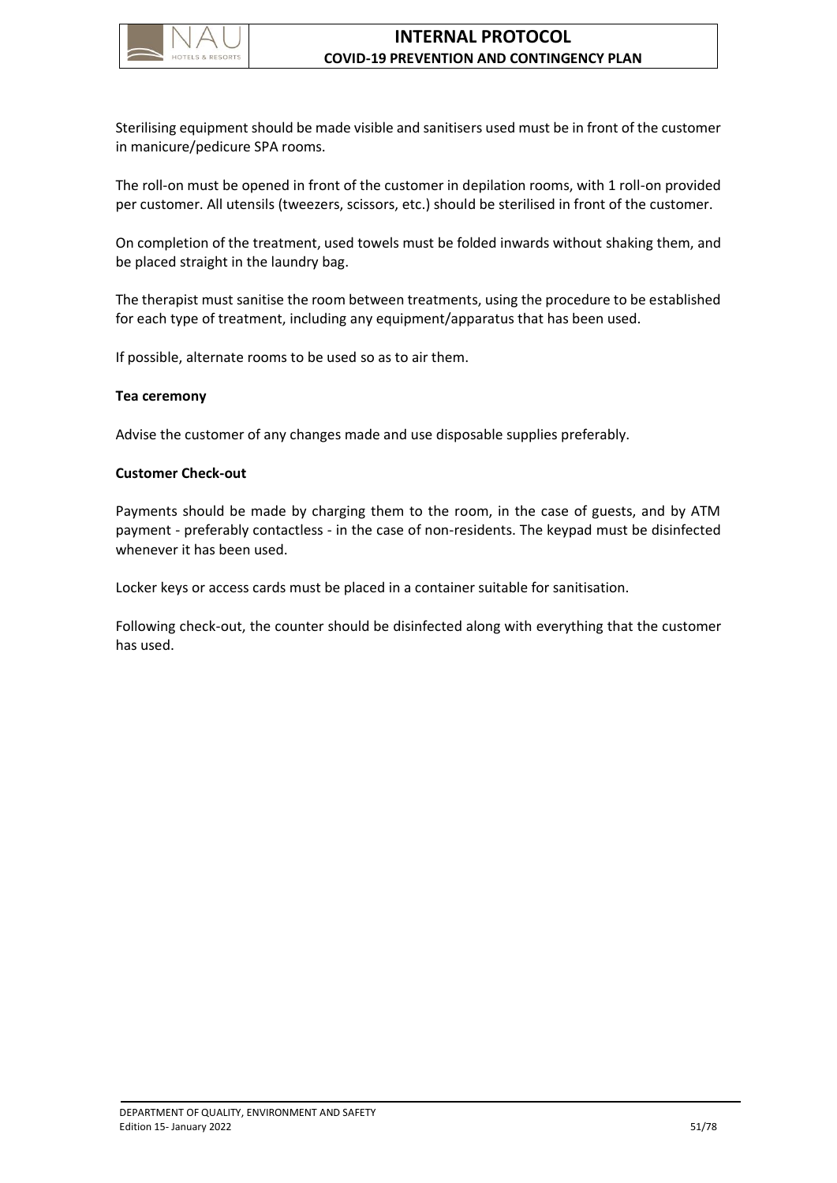

Sterilising equipment should be made visible and sanitisers used must be in front of the customer in manicure/pedicure SPA rooms.

The roll-on must be opened in front of the customer in depilation rooms, with 1 roll-on provided per customer. All utensils (tweezers, scissors, etc.) should be sterilised in front of the customer.

On completion of the treatment, used towels must be folded inwards without shaking them, and be placed straight in the laundry bag.

The therapist must sanitise the room between treatments, using the procedure to be established for each type of treatment, including any equipment/apparatus that has been used.

If possible, alternate rooms to be used so as to air them.

#### **Tea ceremony**

Advise the customer of any changes made and use disposable supplies preferably.

#### **Customer Check-out**

Payments should be made by charging them to the room, in the case of guests, and by ATM payment - preferably contactless - in the case of non-residents. The keypad must be disinfected whenever it has been used.

Locker keys or access cards must be placed in a container suitable for sanitisation.

Following check-out, the counter should be disinfected along with everything that the customer has used.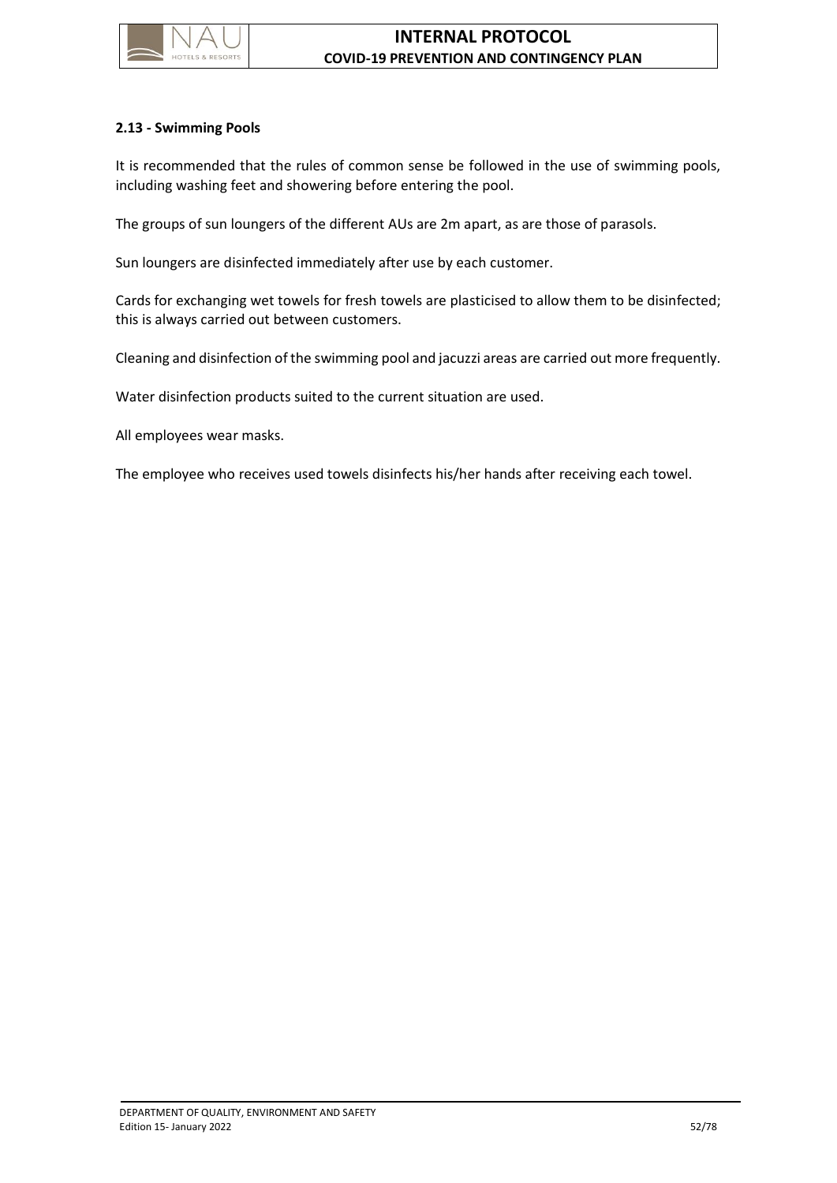

## **2.13 - Swimming Pools**

It is recommended that the rules of common sense be followed in the use of swimming pools, including washing feet and showering before entering the pool.

The groups of sun loungers of the different AUs are 2m apart, as are those of parasols.

Sun loungers are disinfected immediately after use by each customer.

Cards for exchanging wet towels for fresh towels are plasticised to allow them to be disinfected; this is always carried out between customers.

Cleaning and disinfection of the swimming pool and jacuzzi areas are carried out more frequently.

Water disinfection products suited to the current situation are used.

All employees wear masks.

The employee who receives used towels disinfects his/her hands after receiving each towel.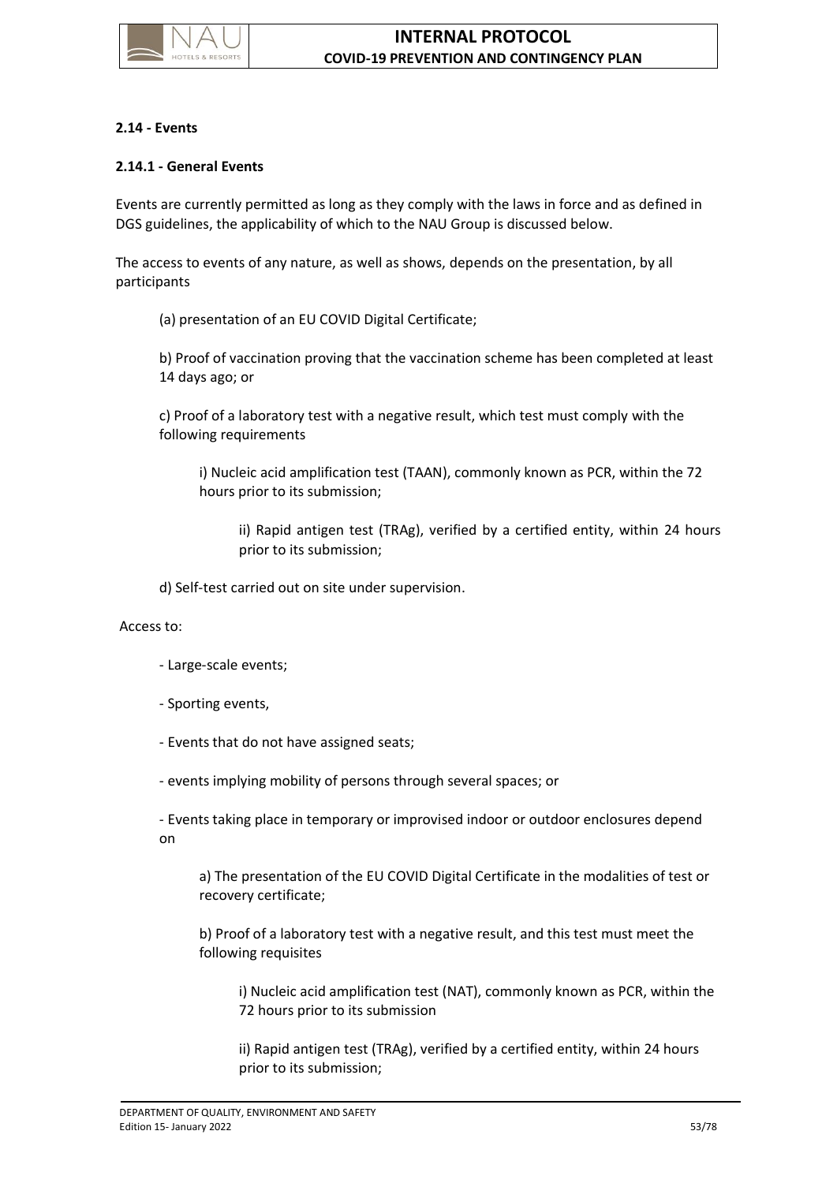

## **2.14 - Events**

## **2.14.1 - General Events**

Events are currently permitted as long as they comply with the laws in force and as defined in DGS guidelines, the applicability of which to the NAU Group is discussed below.

The access to events of any nature, as well as shows, depends on the presentation, by all participants

(a) presentation of an EU COVID Digital Certificate;

b) Proof of vaccination proving that the vaccination scheme has been completed at least 14 days ago; or

c) Proof of a laboratory test with a negative result, which test must comply with the following requirements

i) Nucleic acid amplification test (TAAN), commonly known as PCR, within the 72 hours prior to its submission;

ii) Rapid antigen test (TRAg), verified by a certified entity, within 24 hours prior to its submission;

d) Self-test carried out on site under supervision.

Access to:

- Large-scale events;
- Sporting events,
- Events that do not have assigned seats;
- events implying mobility of persons through several spaces; or

- Events taking place in temporary or improvised indoor or outdoor enclosures depend on

a) The presentation of the EU COVID Digital Certificate in the modalities of test or recovery certificate;

b) Proof of a laboratory test with a negative result, and this test must meet the following requisites

i) Nucleic acid amplification test (NAT), commonly known as PCR, within the 72 hours prior to its submission

ii) Rapid antigen test (TRAg), verified by a certified entity, within 24 hours prior to its submission;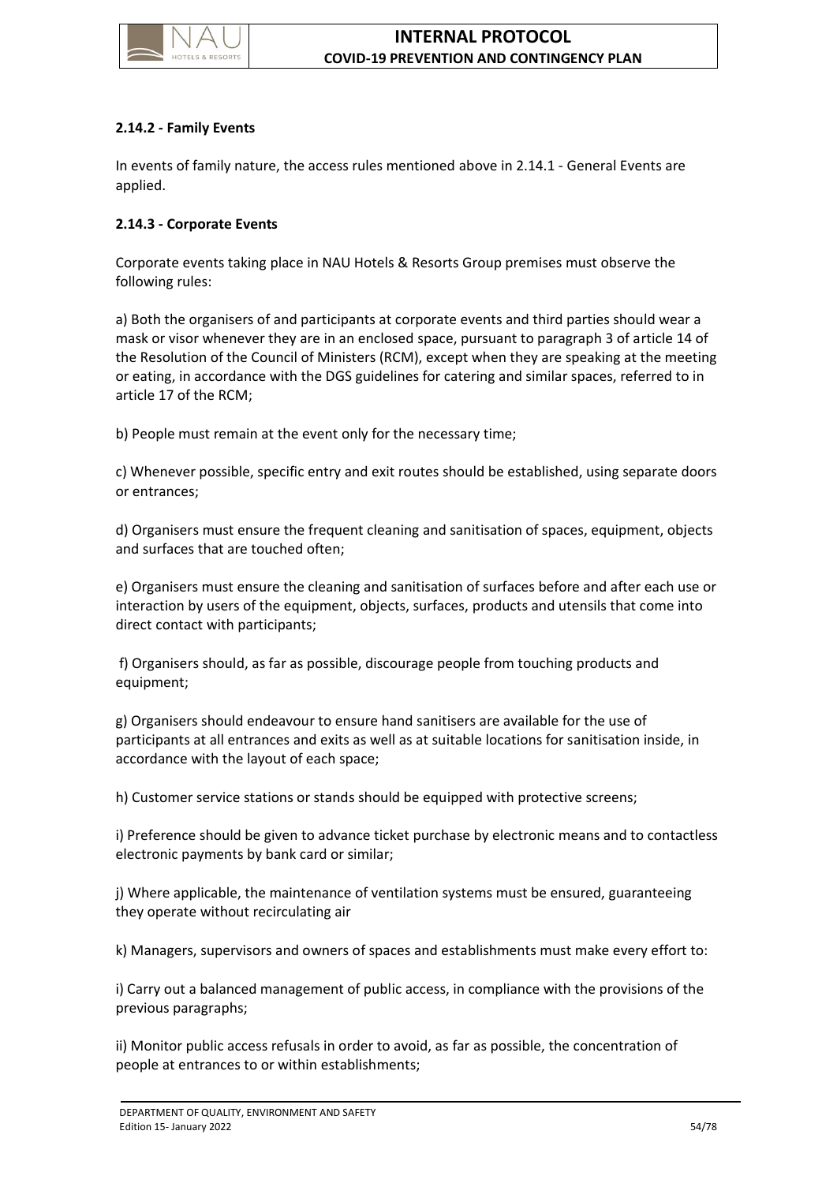

## **2.14.2 - Family Events**

In events of family nature, the access rules mentioned above in 2.14.1 - General Events are applied.

## **2.14.3 - Corporate Events**

Corporate events taking place in NAU Hotels & Resorts Group premises must observe the following rules:

a) Both the organisers of and participants at corporate events and third parties should wear a mask or visor whenever they are in an enclosed space, pursuant to paragraph 3 of article 14 of the Resolution of the Council of Ministers (RCM), except when they are speaking at the meeting or eating, in accordance with the DGS guidelines for catering and similar spaces, referred to in article 17 of the RCM;

b) People must remain at the event only for the necessary time;

c) Whenever possible, specific entry and exit routes should be established, using separate doors or entrances;

d) Organisers must ensure the frequent cleaning and sanitisation of spaces, equipment, objects and surfaces that are touched often;

e) Organisers must ensure the cleaning and sanitisation of surfaces before and after each use or interaction by users of the equipment, objects, surfaces, products and utensils that come into direct contact with participants;

f) Organisers should, as far as possible, discourage people from touching products and equipment;

g) Organisers should endeavour to ensure hand sanitisers are available for the use of participants at all entrances and exits as well as at suitable locations for sanitisation inside, in accordance with the layout of each space;

h) Customer service stations or stands should be equipped with protective screens;

i) Preference should be given to advance ticket purchase by electronic means and to contactless electronic payments by bank card or similar;

j) Where applicable, the maintenance of ventilation systems must be ensured, guaranteeing they operate without recirculating air

k) Managers, supervisors and owners of spaces and establishments must make every effort to:

i) Carry out a balanced management of public access, in compliance with the provisions of the previous paragraphs;

ii) Monitor public access refusals in order to avoid, as far as possible, the concentration of people at entrances to or within establishments;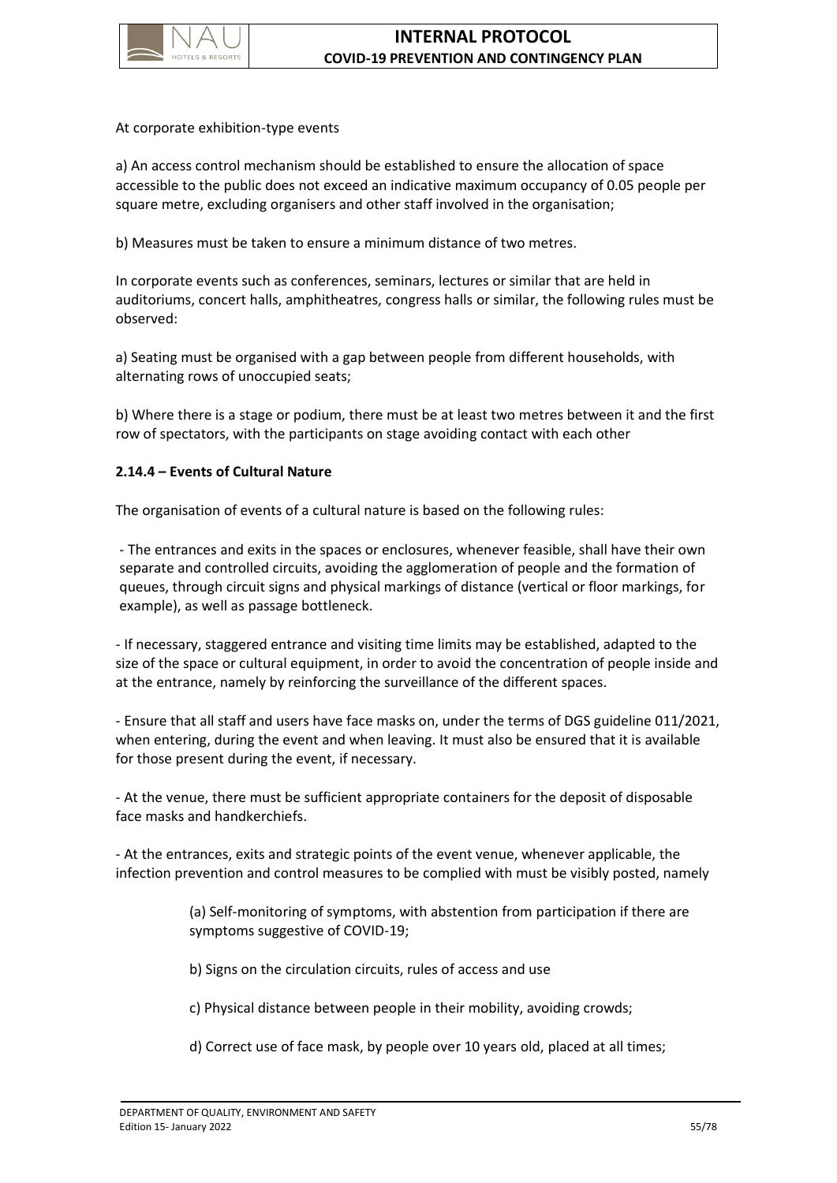

At corporate exhibition-type events

a) An access control mechanism should be established to ensure the allocation of space accessible to the public does not exceed an indicative maximum occupancy of 0.05 people per square metre, excluding organisers and other staff involved in the organisation;

b) Measures must be taken to ensure a minimum distance of two metres.

In corporate events such as conferences, seminars, lectures or similar that are held in auditoriums, concert halls, amphitheatres, congress halls or similar, the following rules must be observed:

a) Seating must be organised with a gap between people from different households, with alternating rows of unoccupied seats;

b) Where there is a stage or podium, there must be at least two metres between it and the first row of spectators, with the participants on stage avoiding contact with each other

## **2.14.4 – Events of Cultural Nature**

The organisation of events of a cultural nature is based on the following rules:

- The entrances and exits in the spaces or enclosures, whenever feasible, shall have their own separate and controlled circuits, avoiding the agglomeration of people and the formation of queues, through circuit signs and physical markings of distance (vertical or floor markings, for example), as well as passage bottleneck.

- If necessary, staggered entrance and visiting time limits may be established, adapted to the size of the space or cultural equipment, in order to avoid the concentration of people inside and at the entrance, namely by reinforcing the surveillance of the different spaces.

- Ensure that all staff and users have face masks on, under the terms of DGS guideline 011/2021, when entering, during the event and when leaving. It must also be ensured that it is available for those present during the event, if necessary.

- At the venue, there must be sufficient appropriate containers for the deposit of disposable face masks and handkerchiefs.

- At the entrances, exits and strategic points of the event venue, whenever applicable, the infection prevention and control measures to be complied with must be visibly posted, namely

> (a) Self-monitoring of symptoms, with abstention from participation if there are symptoms suggestive of COVID-19;

b) Signs on the circulation circuits, rules of access and use

c) Physical distance between people in their mobility, avoiding crowds;

d) Correct use of face mask, by people over 10 years old, placed at all times;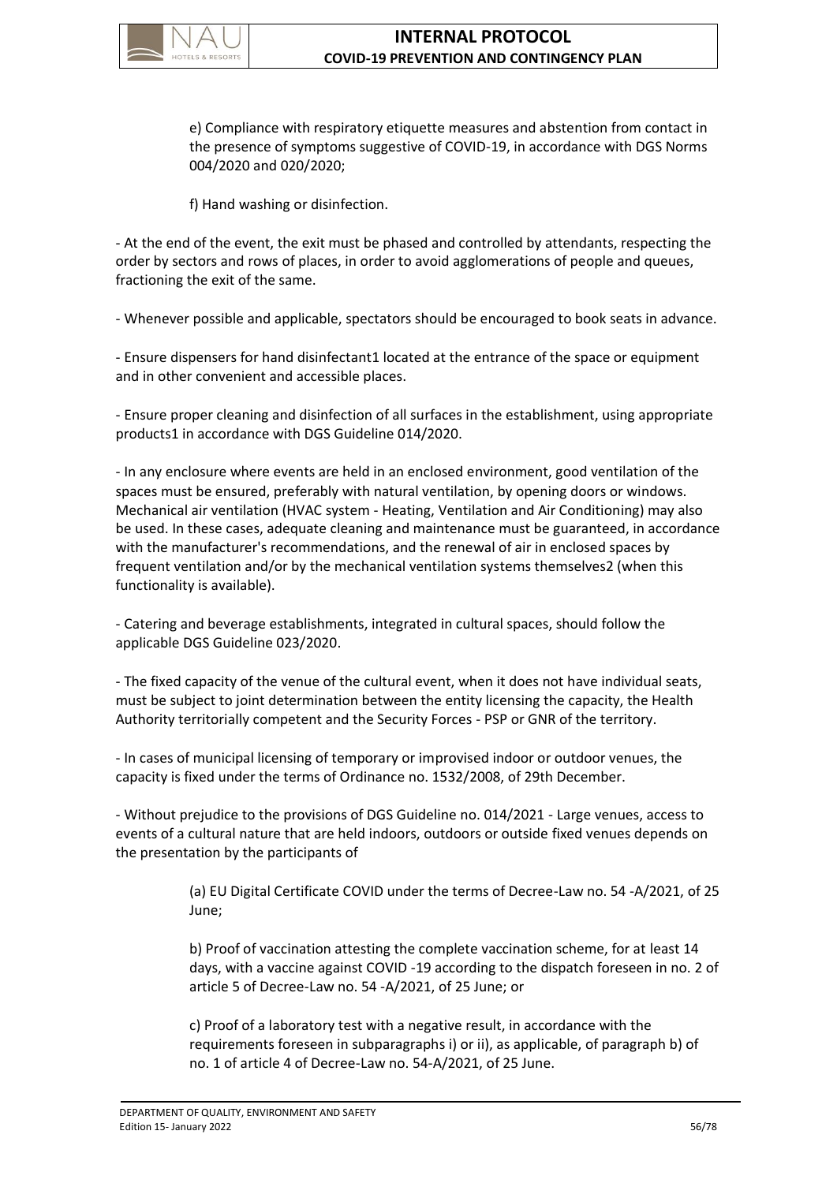

e) Compliance with respiratory etiquette measures and abstention from contact in the presence of symptoms suggestive of COVID-19, in accordance with DGS Norms 004/2020 and 020/2020;

f) Hand washing or disinfection.

- At the end of the event, the exit must be phased and controlled by attendants, respecting the order by sectors and rows of places, in order to avoid agglomerations of people and queues, fractioning the exit of the same.

- Whenever possible and applicable, spectators should be encouraged to book seats in advance.

- Ensure dispensers for hand disinfectant1 located at the entrance of the space or equipment and in other convenient and accessible places.

- Ensure proper cleaning and disinfection of all surfaces in the establishment, using appropriate products1 in accordance with DGS Guideline 014/2020.

- In any enclosure where events are held in an enclosed environment, good ventilation of the spaces must be ensured, preferably with natural ventilation, by opening doors or windows. Mechanical air ventilation (HVAC system - Heating, Ventilation and Air Conditioning) may also be used. In these cases, adequate cleaning and maintenance must be guaranteed, in accordance with the manufacturer's recommendations, and the renewal of air in enclosed spaces by frequent ventilation and/or by the mechanical ventilation systems themselves2 (when this functionality is available).

- Catering and beverage establishments, integrated in cultural spaces, should follow the applicable DGS Guideline 023/2020.

- The fixed capacity of the venue of the cultural event, when it does not have individual seats, must be subject to joint determination between the entity licensing the capacity, the Health Authority territorially competent and the Security Forces - PSP or GNR of the territory.

- In cases of municipal licensing of temporary or improvised indoor or outdoor venues, the capacity is fixed under the terms of Ordinance no. 1532/2008, of 29th December.

- Without prejudice to the provisions of DGS Guideline no. 014/2021 - Large venues, access to events of a cultural nature that are held indoors, outdoors or outside fixed venues depends on the presentation by the participants of

> (a) EU Digital Certificate COVID under the terms of Decree-Law no. 54 -A/2021, of 25 June;

> b) Proof of vaccination attesting the complete vaccination scheme, for at least 14 days, with a vaccine against COVID -19 according to the dispatch foreseen in no. 2 of article 5 of Decree-Law no. 54 -A/2021, of 25 June; or

c) Proof of a laboratory test with a negative result, in accordance with the requirements foreseen in subparagraphs i) or ii), as applicable, of paragraph b) of no. 1 of article 4 of Decree-Law no. 54-A/2021, of 25 June.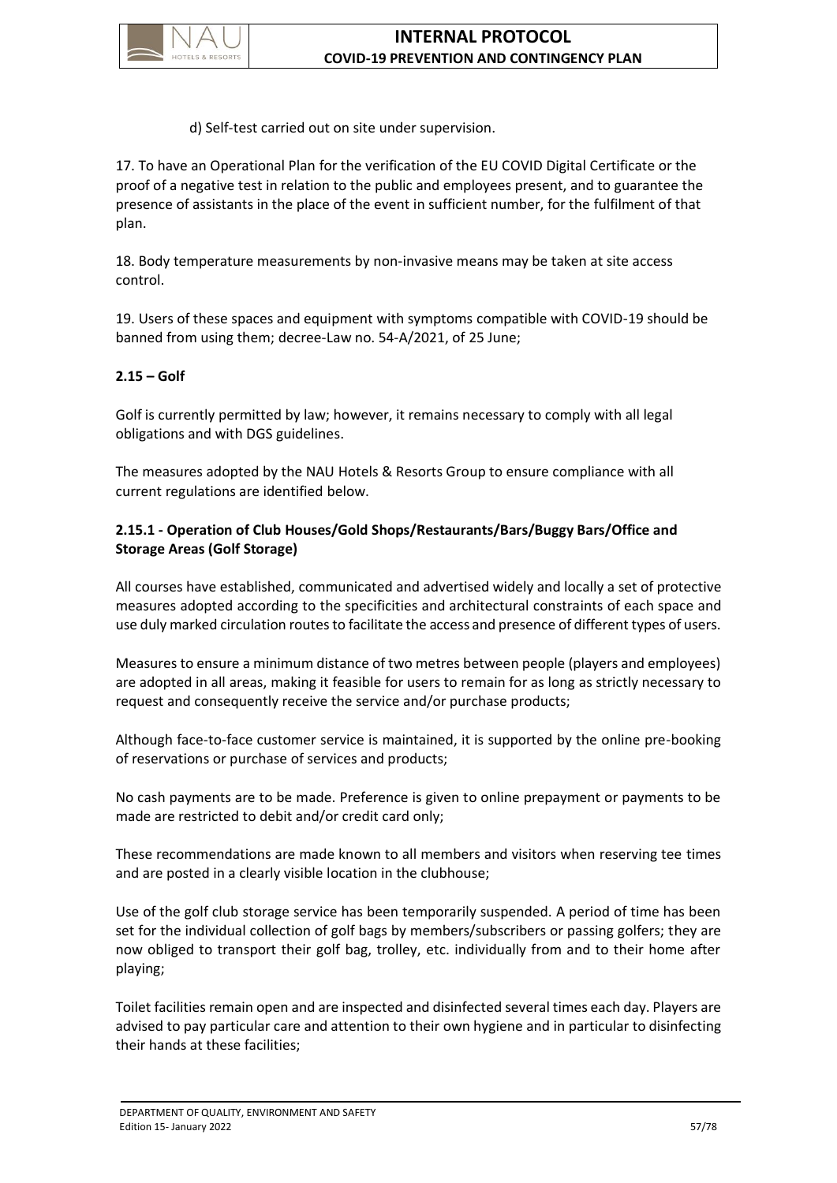

d) Self-test carried out on site under supervision.

17. To have an Operational Plan for the verification of the EU COVID Digital Certificate or the proof of a negative test in relation to the public and employees present, and to guarantee the presence of assistants in the place of the event in sufficient number, for the fulfilment of that plan.

18. Body temperature measurements by non-invasive means may be taken at site access control.

19. Users of these spaces and equipment with symptoms compatible with COVID-19 should be banned from using them; decree-Law no. 54-A/2021, of 25 June;

# **2.15 – Golf**

Golf is currently permitted by law; however, it remains necessary to comply with all legal obligations and with DGS guidelines.

The measures adopted by the NAU Hotels & Resorts Group to ensure compliance with all current regulations are identified below.

# **2.15.1 - Operation of Club Houses/Gold Shops/Restaurants/Bars/Buggy Bars/Office and Storage Areas (Golf Storage)**

All courses have established, communicated and advertised widely and locally a set of protective measures adopted according to the specificities and architectural constraints of each space and use duly marked circulation routes to facilitate the access and presence of different types of users.

Measures to ensure a minimum distance of two metres between people (players and employees) are adopted in all areas, making it feasible for users to remain for as long as strictly necessary to request and consequently receive the service and/or purchase products;

Although face-to-face customer service is maintained, it is supported by the online pre-booking of reservations or purchase of services and products;

No cash payments are to be made. Preference is given to online prepayment or payments to be made are restricted to debit and/or credit card only;

These recommendations are made known to all members and visitors when reserving tee times and are posted in a clearly visible location in the clubhouse;

Use of the golf club storage service has been temporarily suspended. A period of time has been set for the individual collection of golf bags by members/subscribers or passing golfers; they are now obliged to transport their golf bag, trolley, etc. individually from and to their home after playing;

Toilet facilities remain open and are inspected and disinfected several times each day. Players are advised to pay particular care and attention to their own hygiene and in particular to disinfecting their hands at these facilities;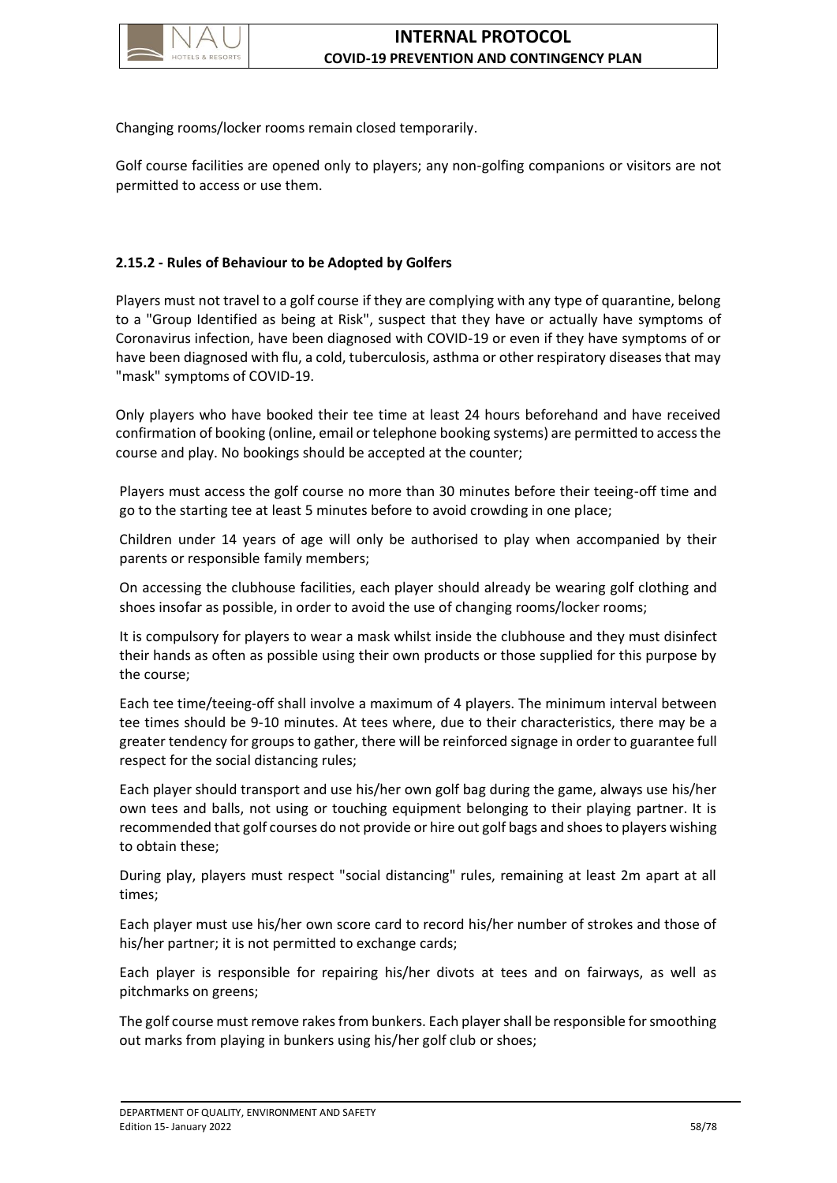

Changing rooms/locker rooms remain closed temporarily.

Golf course facilities are opened only to players; any non-golfing companions or visitors are not permitted to access or use them.

# **2.15.2 - Rules of Behaviour to be Adopted by Golfers**

Players must not travel to a golf course if they are complying with any type of quarantine, belong to a "Group Identified as being at Risk", suspect that they have or actually have symptoms of Coronavirus infection, have been diagnosed with COVID-19 or even if they have symptoms of or have been diagnosed with flu, a cold, tuberculosis, asthma or other respiratory diseases that may "mask" symptoms of COVID-19.

Only players who have booked their tee time at least 24 hours beforehand and have received confirmation of booking (online, email or telephone booking systems) are permitted to access the course and play. No bookings should be accepted at the counter;

Players must access the golf course no more than 30 minutes before their teeing-off time and go to the starting tee at least 5 minutes before to avoid crowding in one place;

Children under 14 years of age will only be authorised to play when accompanied by their parents or responsible family members;

On accessing the clubhouse facilities, each player should already be wearing golf clothing and shoes insofar as possible, in order to avoid the use of changing rooms/locker rooms;

It is compulsory for players to wear a mask whilst inside the clubhouse and they must disinfect their hands as often as possible using their own products or those supplied for this purpose by the course;

Each tee time/teeing-off shall involve a maximum of 4 players. The minimum interval between tee times should be 9-10 minutes. At tees where, due to their characteristics, there may be a greater tendency for groups to gather, there will be reinforced signage in order to guarantee full respect for the social distancing rules;

Each player should transport and use his/her own golf bag during the game, always use his/her own tees and balls, not using or touching equipment belonging to their playing partner. It is recommended that golf courses do not provide or hire out golf bags and shoes to players wishing to obtain these;

During play, players must respect "social distancing" rules, remaining at least 2m apart at all times;

Each player must use his/her own score card to record his/her number of strokes and those of his/her partner; it is not permitted to exchange cards;

Each player is responsible for repairing his/her divots at tees and on fairways, as well as pitchmarks on greens;

The golf course must remove rakes from bunkers. Each player shall be responsible for smoothing out marks from playing in bunkers using his/her golf club or shoes;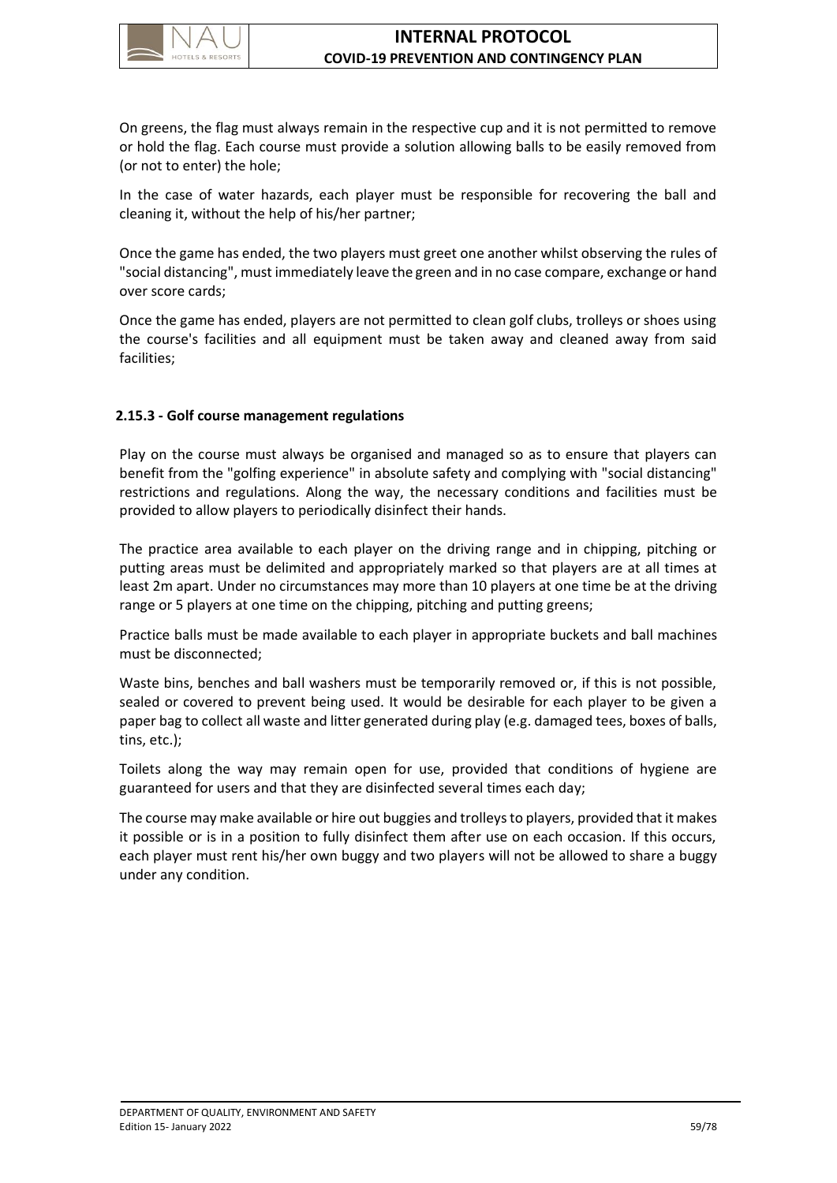

On greens, the flag must always remain in the respective cup and it is not permitted to remove or hold the flag. Each course must provide a solution allowing balls to be easily removed from (or not to enter) the hole;

In the case of water hazards, each player must be responsible for recovering the ball and cleaning it, without the help of his/her partner;

Once the game has ended, the two players must greet one another whilst observing the rules of "social distancing", must immediately leave the green and in no case compare, exchange or hand over score cards;

Once the game has ended, players are not permitted to clean golf clubs, trolleys or shoes using the course's facilities and all equipment must be taken away and cleaned away from said facilities;

# **2.15.3 - Golf course management regulations**

Play on the course must always be organised and managed so as to ensure that players can benefit from the "golfing experience" in absolute safety and complying with "social distancing" restrictions and regulations. Along the way, the necessary conditions and facilities must be provided to allow players to periodically disinfect their hands.

The practice area available to each player on the driving range and in chipping, pitching or putting areas must be delimited and appropriately marked so that players are at all times at least 2m apart. Under no circumstances may more than 10 players at one time be at the driving range or 5 players at one time on the chipping, pitching and putting greens;

Practice balls must be made available to each player in appropriate buckets and ball machines must be disconnected;

Waste bins, benches and ball washers must be temporarily removed or, if this is not possible, sealed or covered to prevent being used. It would be desirable for each player to be given a paper bag to collect all waste and litter generated during play (e.g. damaged tees, boxes of balls, tins, etc.);

Toilets along the way may remain open for use, provided that conditions of hygiene are guaranteed for users and that they are disinfected several times each day;

The course may make available or hire out buggies and trolleys to players, provided that it makes it possible or is in a position to fully disinfect them after use on each occasion. If this occurs, each player must rent his/her own buggy and two players will not be allowed to share a buggy under any condition.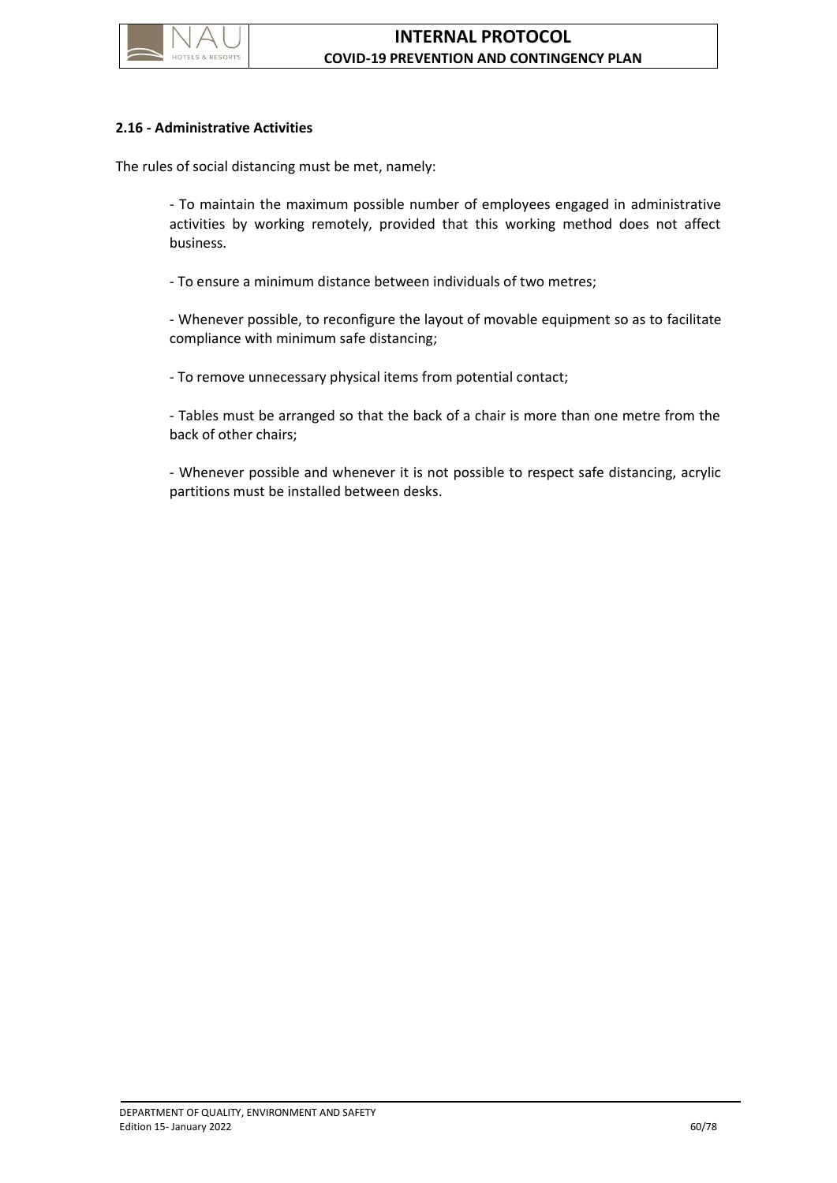

## **2.16 - Administrative Activities**

The rules of social distancing must be met, namely:

- To maintain the maximum possible number of employees engaged in administrative activities by working remotely, provided that this working method does not affect business.

- To ensure a minimum distance between individuals of two metres;

- Whenever possible, to reconfigure the layout of movable equipment so as to facilitate compliance with minimum safe distancing;

- To remove unnecessary physical items from potential contact;

- Tables must be arranged so that the back of a chair is more than one metre from the back of other chairs;

- Whenever possible and whenever it is not possible to respect safe distancing, acrylic partitions must be installed between desks.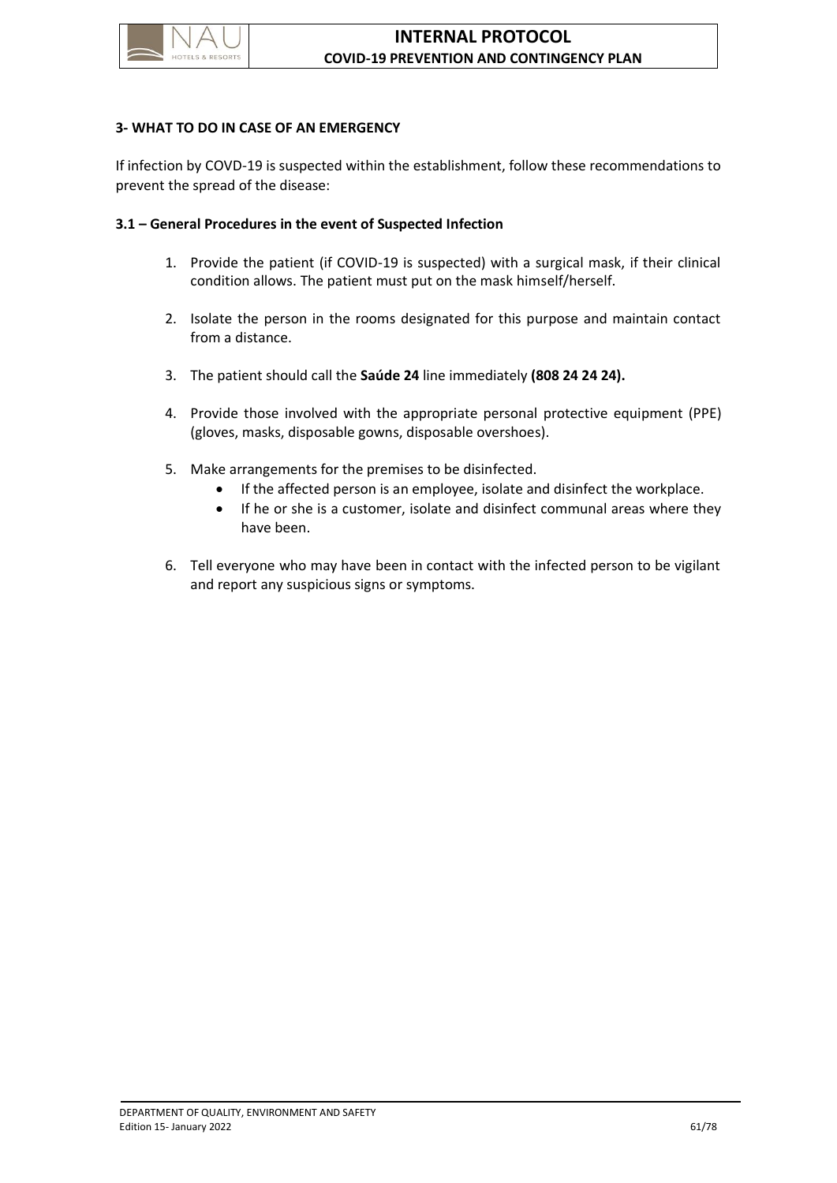

### **3- WHAT TO DO IN CASE OF AN EMERGENCY**

If infection by COVD-19 is suspected within the establishment, follow these recommendations to prevent the spread of the disease:

#### **3.1 – General Procedures in the event of Suspected Infection**

- 1. Provide the patient (if COVID-19 is suspected) with a surgical mask, if their clinical condition allows. The patient must put on the mask himself/herself.
- 2. Isolate the person in the rooms designated for this purpose and maintain contact from a distance.
- 3. The patient should call the **Saúde 24** line immediately **(808 24 24 24).**
- 4. Provide those involved with the appropriate personal protective equipment (PPE) (gloves, masks, disposable gowns, disposable overshoes).
- 5. Make arrangements for the premises to be disinfected.
	- If the affected person is an employee, isolate and disinfect the workplace.
	- If he or she is a customer, isolate and disinfect communal areas where they have been.
- 6. Tell everyone who may have been in contact with the infected person to be vigilant and report any suspicious signs or symptoms.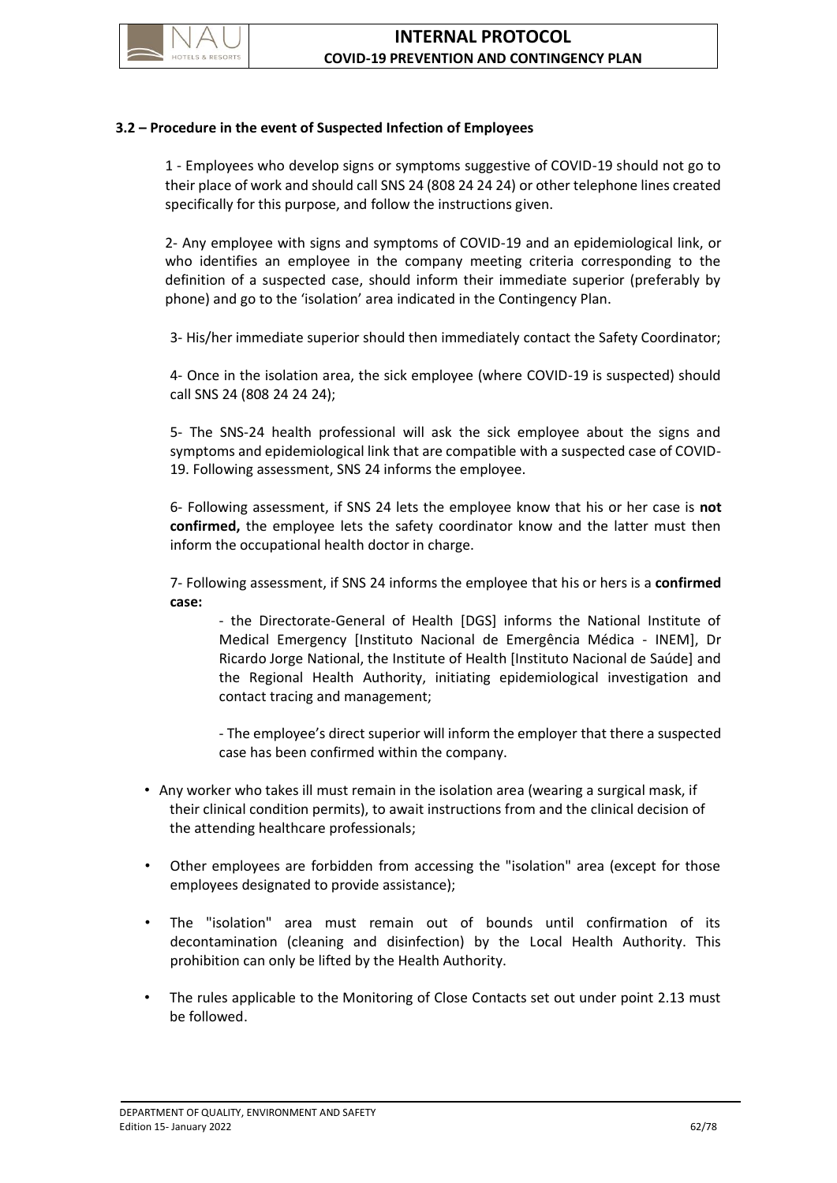

## **3.2 – Procedure in the event of Suspected Infection of Employees**

1 - Employees who develop signs or symptoms suggestive of COVID-19 should not go to their place of work and should call SNS 24 (808 24 24 24) or other telephone lines created specifically for this purpose, and follow the instructions given.

2- Any employee with signs and symptoms of COVID-19 and an epidemiological link, or who identifies an employee in the company meeting criteria corresponding to the definition of a suspected case, should inform their immediate superior (preferably by phone) and go to the 'isolation' area indicated in the Contingency Plan.

3- His/her immediate superior should then immediately contact the Safety Coordinator;

4- Once in the isolation area, the sick employee (where COVID-19 is suspected) should call SNS 24 (808 24 24 24);

5- The SNS-24 health professional will ask the sick employee about the signs and symptoms and epidemiological link that are compatible with a suspected case of COVID-19. Following assessment, SNS 24 informs the employee.

6- Following assessment, if SNS 24 lets the employee know that his or her case is **not confirmed,** the employee lets the safety coordinator know and the latter must then inform the occupational health doctor in charge.

7- Following assessment, if SNS 24 informs the employee that his or hers is a **confirmed case:**

- the Directorate-General of Health [DGS] informs the National Institute of Medical Emergency [Instituto Nacional de Emergência Médica - INEM], Dr Ricardo Jorge National, the Institute of Health [Instituto Nacional de Saúde] and the Regional Health Authority, initiating epidemiological investigation and contact tracing and management;

- The employee's direct superior will inform the employer that there a suspected case has been confirmed within the company.

- Any worker who takes ill must remain in the isolation area (wearing a surgical mask, if their clinical condition permits), to await instructions from and the clinical decision of the attending healthcare professionals;
- Other employees are forbidden from accessing the "isolation" area (except for those employees designated to provide assistance);
- The "isolation" area must remain out of bounds until confirmation of its decontamination (cleaning and disinfection) by the Local Health Authority. This prohibition can only be lifted by the Health Authority.
- The rules applicable to the Monitoring of Close Contacts set out under point 2.13 must be followed.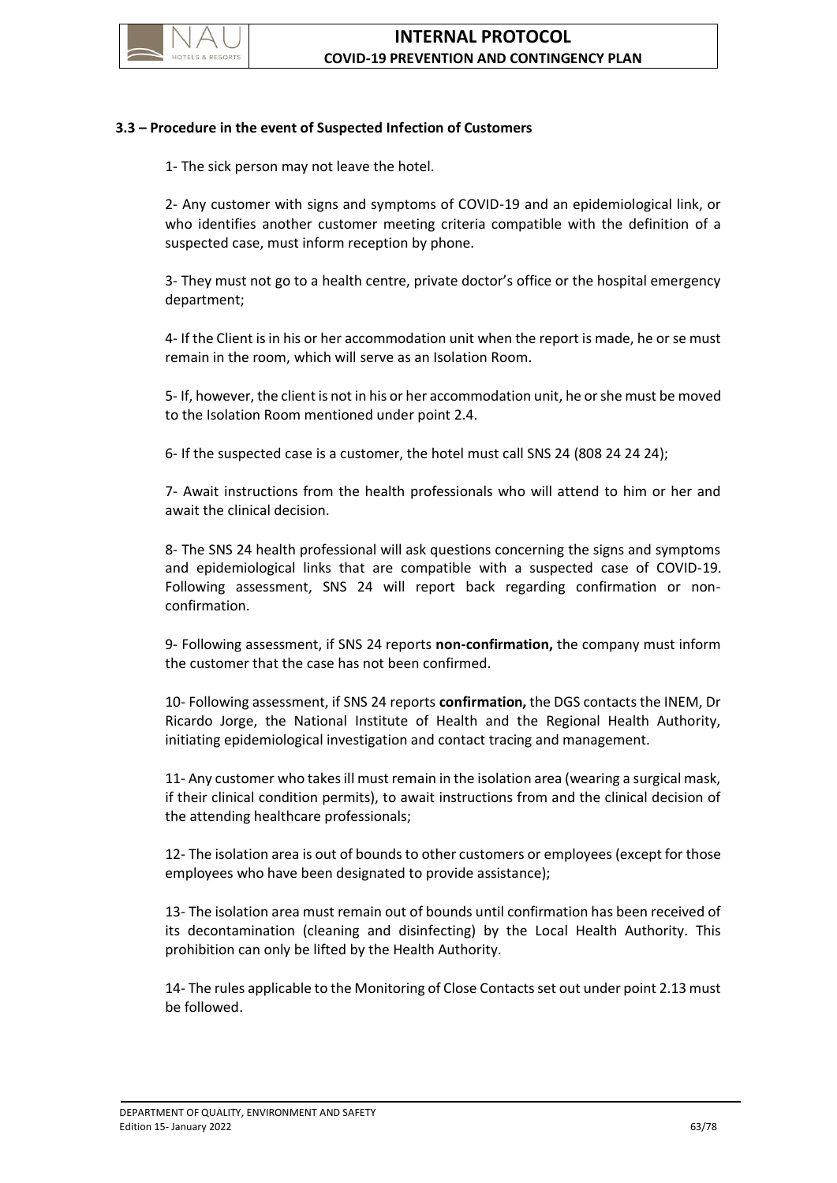

## **3.3 – Procedure in the event of Suspected Infection of Customers**

1- The sick person may not leave the hotel.

2- Any customer with signs and symptoms of COVID-19 and an epidemiological link, or who identifies another customer meeting criteria compatible with the definition of a suspected case, must inform reception by phone.

3- They must not go to a health centre, private doctor's office or the hospital emergency department;

4- If the Client is in his or her accommodation unit when the report is made, he or se must remain in the room, which will serve as an Isolation Room.

5- If, however, the client is not in his or her accommodation unit, he or she must be moved to the Isolation Room mentioned under point 2.4.

6- If the suspected case is a customer, the hotel must call SNS 24 (808 24 24 24);

7- Await instructions from the health professionals who will attend to him or her and await the clinical decision.

8- The SNS 24 health professional will ask questions concerning the signs and symptoms and epidemiological links that are compatible with a suspected case of COVID-19. Following assessment, SNS 24 will report back regarding confirmation or nonconfirmation.

9- Following assessment, if SNS 24 reports **non-confirmation,** the company must inform the customer that the case has not been confirmed.

10- Following assessment, if SNS 24 reports **confirmation,** the DGS contacts the INEM, Dr Ricardo Jorge, the National Institute of Health and the Regional Health Authority, initiating epidemiological investigation and contact tracing and management.

11- Any customer who takes ill must remain in the isolation area (wearing a surgical mask, if their clinical condition permits), to await instructions from and the clinical decision of the attending healthcare professionals;

12- The isolation area is out of bounds to other customers or employees (except for those employees who have been designated to provide assistance);

13- The isolation area must remain out of bounds until confirmation has been received of its decontamination (cleaning and disinfecting) by the Local Health Authority. This prohibition can only be lifted by the Health Authority.

14- The rules applicable to the Monitoring of Close Contacts set out under point 2.13 must be followed.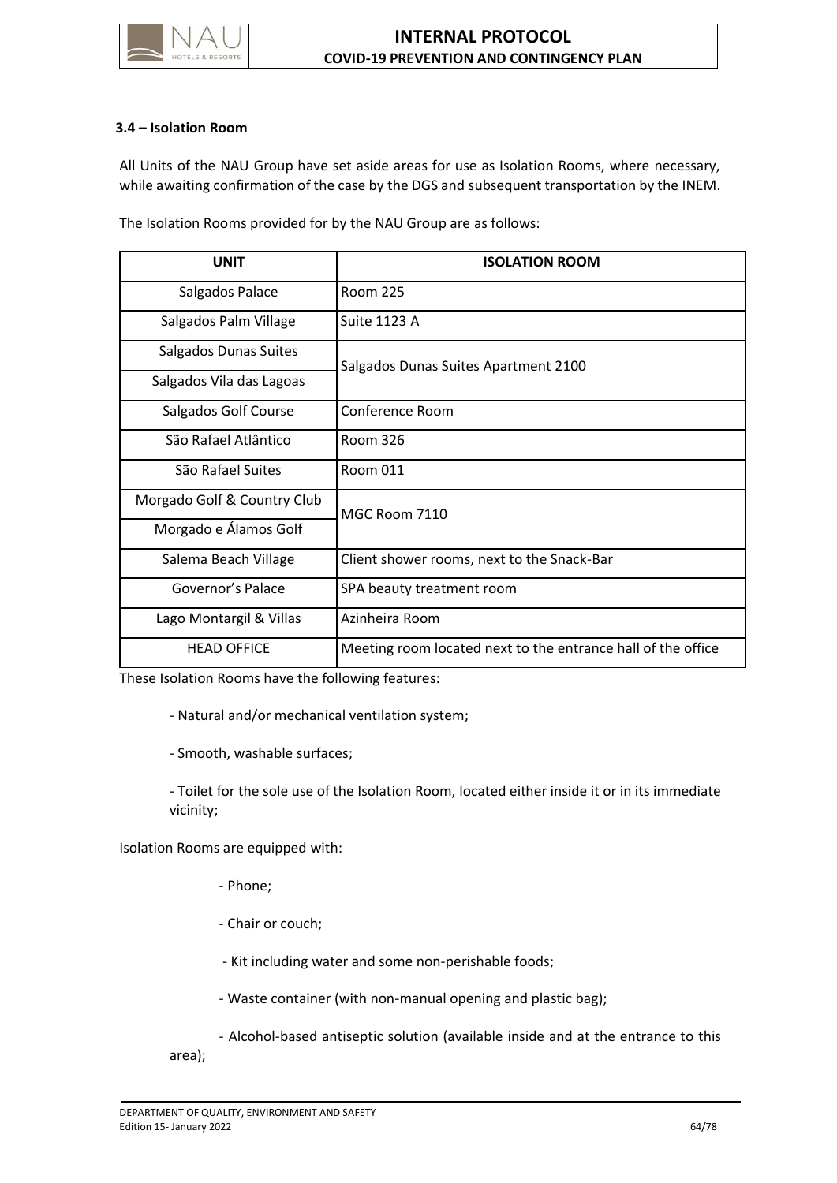

### **3.4 – Isolation Room**

All Units of the NAU Group have set aside areas for use as Isolation Rooms, where necessary, while awaiting confirmation of the case by the DGS and subsequent transportation by the INEM.

The Isolation Rooms provided for by the NAU Group are as follows:

| <b>UNIT</b>                 | <b>ISOLATION ROOM</b>                                        |
|-----------------------------|--------------------------------------------------------------|
| Salgados Palace             | Room 225                                                     |
| Salgados Palm Village       | Suite 1123 A                                                 |
| Salgados Dunas Suites       | Salgados Dunas Suites Apartment 2100                         |
| Salgados Vila das Lagoas    |                                                              |
| Salgados Golf Course        | Conference Room                                              |
| São Rafael Atlântico        | Room 326                                                     |
| São Rafael Suites           | Room 011                                                     |
| Morgado Golf & Country Club | MGC Room 7110                                                |
| Morgado e Álamos Golf       |                                                              |
| Salema Beach Village        | Client shower rooms, next to the Snack-Bar                   |
| Governor's Palace           | SPA beauty treatment room                                    |
| Lago Montargil & Villas     | Azinheira Room                                               |
| <b>HEAD OFFICE</b>          | Meeting room located next to the entrance hall of the office |

These Isolation Rooms have the following features:

- Natural and/or mechanical ventilation system;

- Smooth, washable surfaces;

- Toilet for the sole use of the Isolation Room, located either inside it or in its immediate vicinity;

Isolation Rooms are equipped with:

- Phone;
- Chair or couch;
- Kit including water and some non-perishable foods;
- Waste container (with non-manual opening and plastic bag);
- Alcohol-based antiseptic solution (available inside and at the entrance to this

area);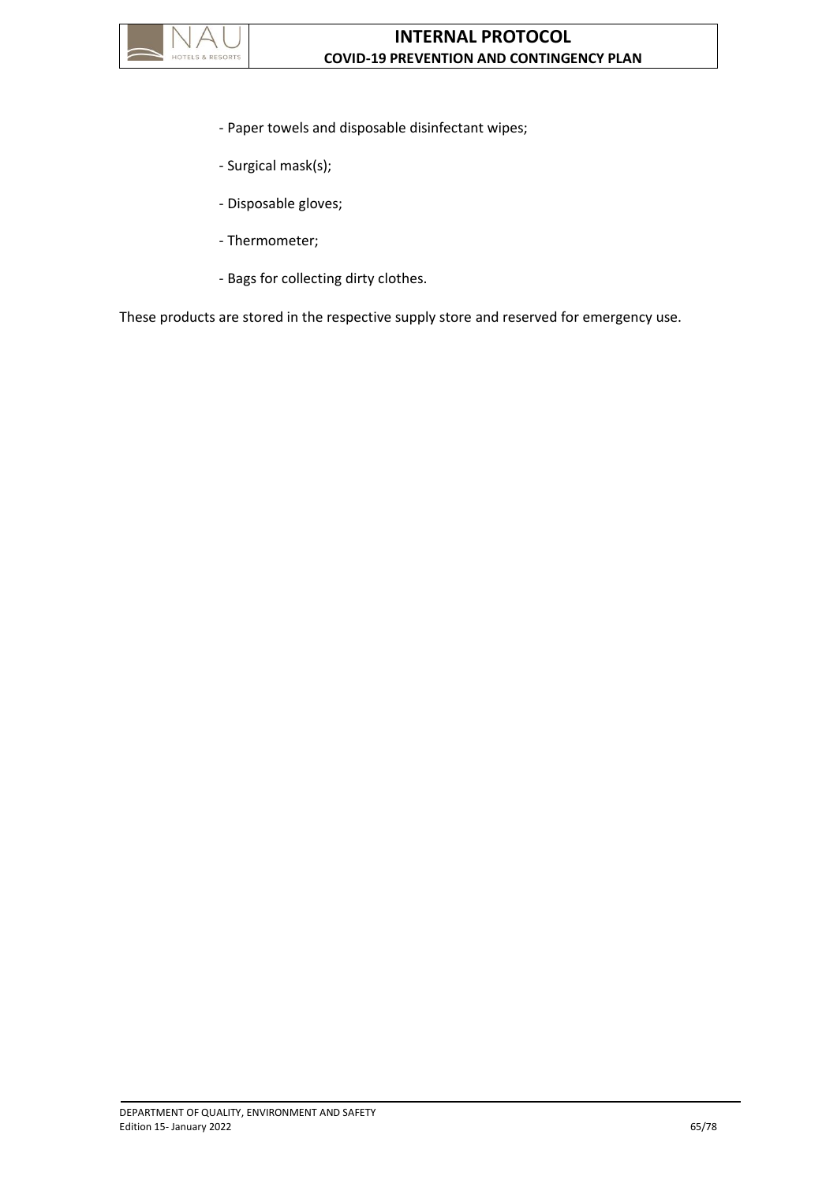

- Paper towels and disposable disinfectant wipes;
- Surgical mask(s);
- Disposable gloves;
- Thermometer;
- Bags for collecting dirty clothes.

These products are stored in the respective supply store and reserved for emergency use.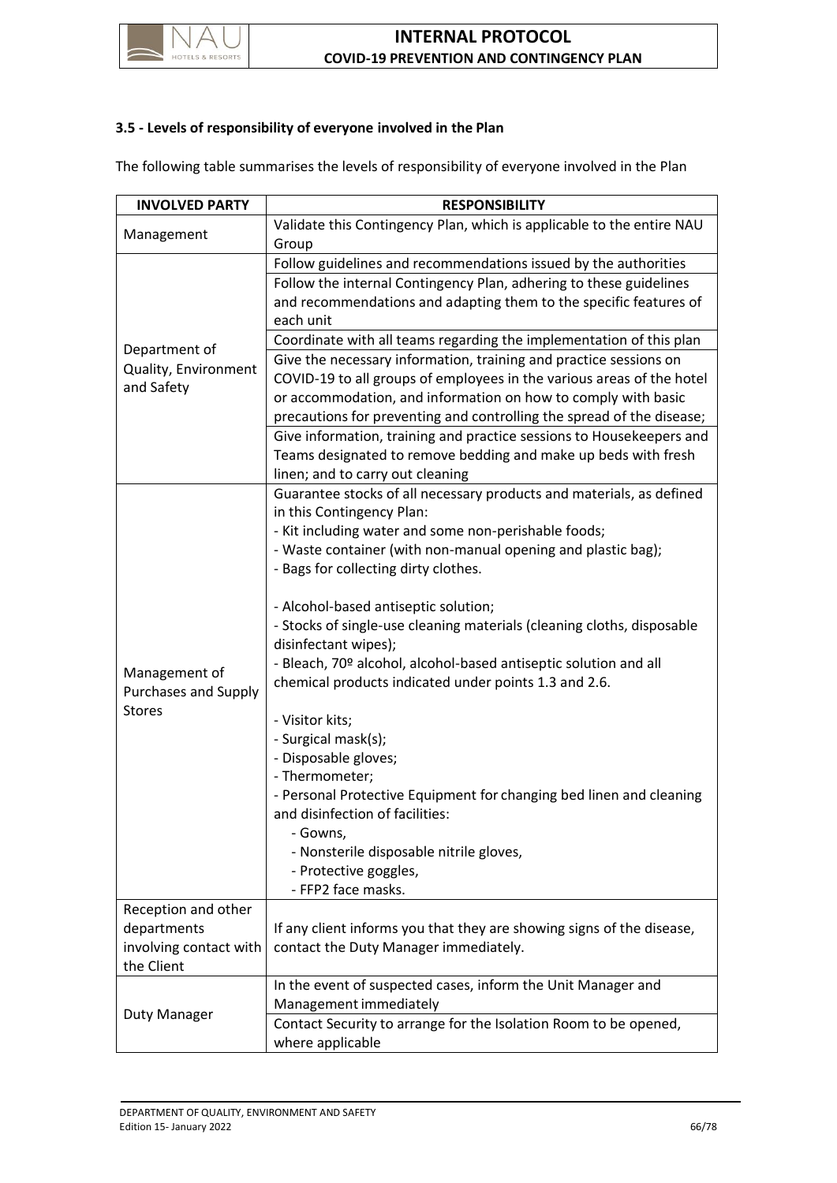

## **3.5 - Levels of responsibility of everyone involved in the Plan**

The following table summarises the levels of responsibility of everyone involved in the Plan

| <b>INVOLVED PARTY</b>                               | <b>RESPONSIBILITY</b>                                                  |
|-----------------------------------------------------|------------------------------------------------------------------------|
| Management                                          | Validate this Contingency Plan, which is applicable to the entire NAU  |
|                                                     | Group                                                                  |
| Department of<br>Quality, Environment<br>and Safety | Follow guidelines and recommendations issued by the authorities        |
|                                                     | Follow the internal Contingency Plan, adhering to these guidelines     |
|                                                     | and recommendations and adapting them to the specific features of      |
|                                                     | each unit                                                              |
|                                                     | Coordinate with all teams regarding the implementation of this plan    |
|                                                     | Give the necessary information, training and practice sessions on      |
|                                                     | COVID-19 to all groups of employees in the various areas of the hotel  |
|                                                     | or accommodation, and information on how to comply with basic          |
|                                                     | precautions for preventing and controlling the spread of the disease;  |
|                                                     | Give information, training and practice sessions to Housekeepers and   |
|                                                     | Teams designated to remove bedding and make up beds with fresh         |
|                                                     | linen; and to carry out cleaning                                       |
|                                                     | Guarantee stocks of all necessary products and materials, as defined   |
|                                                     | in this Contingency Plan:                                              |
|                                                     | - Kit including water and some non-perishable foods;                   |
|                                                     | - Waste container (with non-manual opening and plastic bag);           |
| Management of<br><b>Purchases and Supply</b>        | - Bags for collecting dirty clothes.                                   |
|                                                     | - Alcohol-based antiseptic solution;                                   |
|                                                     | - Stocks of single-use cleaning materials (cleaning cloths, disposable |
|                                                     | disinfectant wipes);                                                   |
|                                                     | - Bleach, 70º alcohol, alcohol-based antiseptic solution and all       |
|                                                     | chemical products indicated under points 1.3 and 2.6.                  |
| <b>Stores</b>                                       |                                                                        |
|                                                     | - Visitor kits;                                                        |
|                                                     | - Surgical mask(s);                                                    |
|                                                     | - Disposable gloves;                                                   |
|                                                     | - Thermometer;                                                         |
|                                                     | - Personal Protective Equipment for changing bed linen and cleaning    |
|                                                     | and disinfection of facilities:                                        |
|                                                     | - Gowns,                                                               |
|                                                     | - Nonsterile disposable nitrile gloves,                                |
|                                                     | - Protective goggles,<br>- FFP2 face masks.                            |
| Reception and other                                 |                                                                        |
| departments                                         | If any client informs you that they are showing signs of the disease,  |
| involving contact with                              | contact the Duty Manager immediately.                                  |
| the Client                                          |                                                                        |
|                                                     | In the event of suspected cases, inform the Unit Manager and           |
| <b>Duty Manager</b>                                 | Management immediately                                                 |
|                                                     | Contact Security to arrange for the Isolation Room to be opened,       |
|                                                     | where applicable                                                       |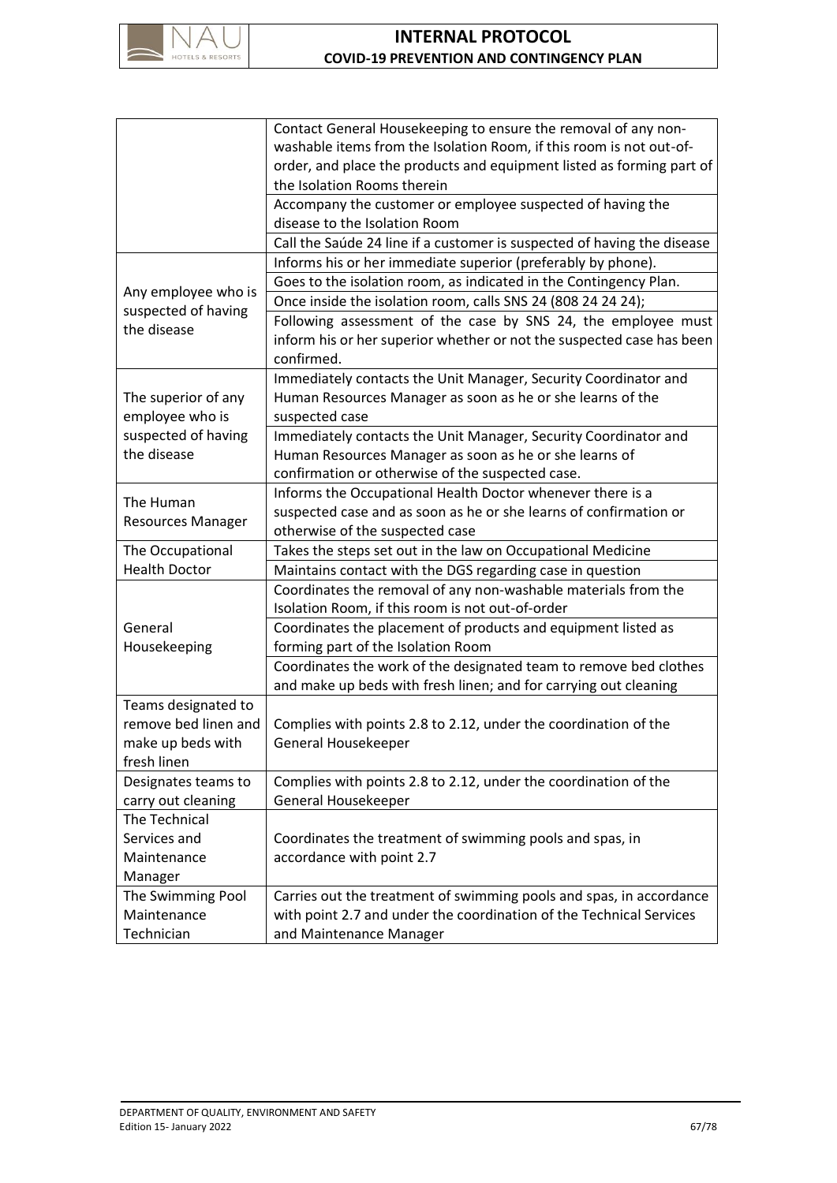

|                                                           | Contact General Housekeeping to ensure the removal of any non-          |
|-----------------------------------------------------------|-------------------------------------------------------------------------|
|                                                           | washable items from the Isolation Room, if this room is not out-of-     |
|                                                           | order, and place the products and equipment listed as forming part of   |
|                                                           | the Isolation Rooms therein                                             |
|                                                           | Accompany the customer or employee suspected of having the              |
|                                                           | disease to the Isolation Room                                           |
|                                                           | Call the Saúde 24 line if a customer is suspected of having the disease |
| Any employee who is<br>suspected of having<br>the disease | Informs his or her immediate superior (preferably by phone).            |
|                                                           | Goes to the isolation room, as indicated in the Contingency Plan.       |
|                                                           | Once inside the isolation room, calls SNS 24 (808 24 24 24);            |
|                                                           | Following assessment of the case by SNS 24, the employee must           |
|                                                           | inform his or her superior whether or not the suspected case has been   |
|                                                           | confirmed.                                                              |
|                                                           | Immediately contacts the Unit Manager, Security Coordinator and         |
| The superior of any                                       | Human Resources Manager as soon as he or she learns of the              |
| employee who is                                           | suspected case                                                          |
| suspected of having                                       | Immediately contacts the Unit Manager, Security Coordinator and         |
| the disease                                               | Human Resources Manager as soon as he or she learns of                  |
|                                                           | confirmation or otherwise of the suspected case.                        |
| The Human                                                 | Informs the Occupational Health Doctor whenever there is a              |
| <b>Resources Manager</b>                                  | suspected case and as soon as he or she learns of confirmation or       |
|                                                           | otherwise of the suspected case                                         |
| The Occupational                                          | Takes the steps set out in the law on Occupational Medicine             |
| <b>Health Doctor</b>                                      | Maintains contact with the DGS regarding case in question               |
|                                                           | Coordinates the removal of any non-washable materials from the          |
|                                                           | Isolation Room, if this room is not out-of-order                        |
| General                                                   | Coordinates the placement of products and equipment listed as           |
| Housekeeping                                              | forming part of the Isolation Room                                      |
|                                                           | Coordinates the work of the designated team to remove bed clothes       |
|                                                           | and make up beds with fresh linen; and for carrying out cleaning        |
| Teams designated to                                       |                                                                         |
| remove bed linen and                                      | Complies with points 2.8 to 2.12, under the coordination of the         |
| make up beds with                                         | General Housekeeper                                                     |
| fresh linen                                               |                                                                         |
| Designates teams to                                       | Complies with points 2.8 to 2.12, under the coordination of the         |
| carry out cleaning                                        | General Housekeeper                                                     |
| The Technical                                             |                                                                         |
| Services and                                              | Coordinates the treatment of swimming pools and spas, in                |
| Maintenance                                               | accordance with point 2.7                                               |
| Manager                                                   |                                                                         |
| The Swimming Pool                                         | Carries out the treatment of swimming pools and spas, in accordance     |
| Maintenance                                               | with point 2.7 and under the coordination of the Technical Services     |
| Technician                                                | and Maintenance Manager                                                 |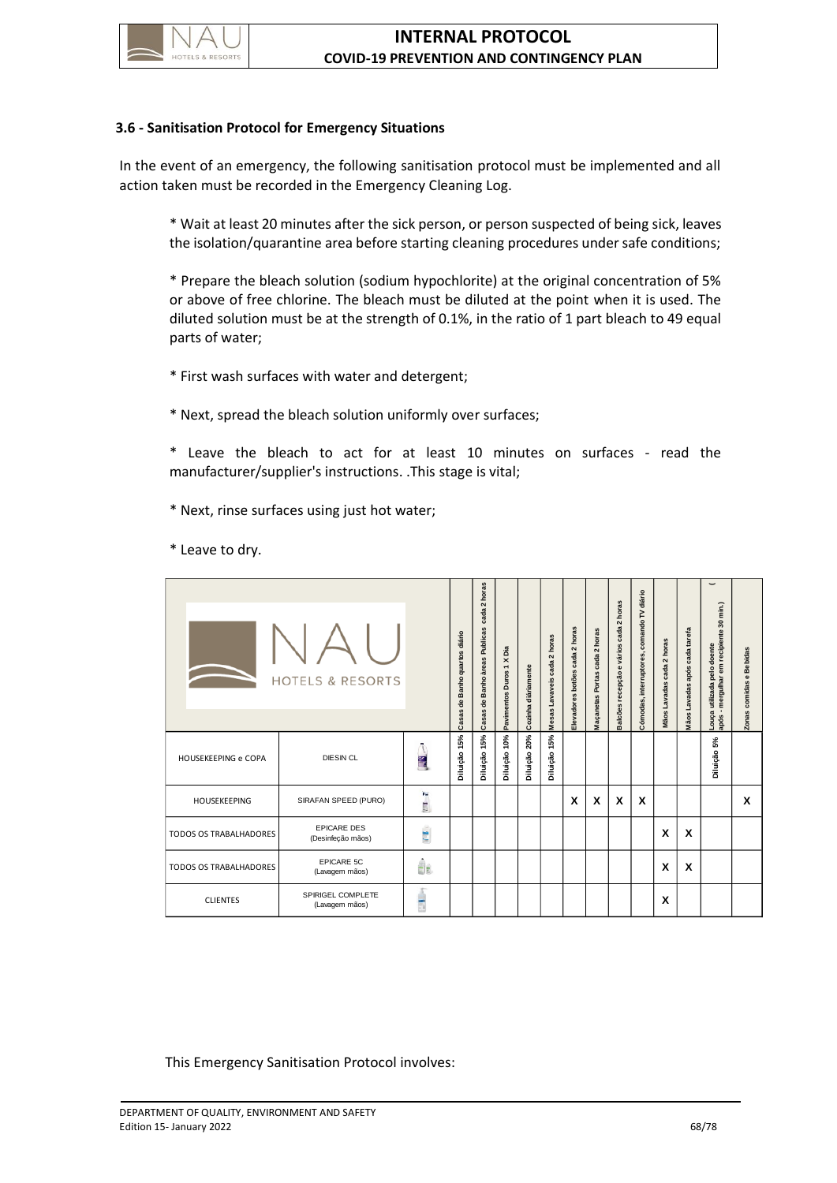

## **3.6 - Sanitisation Protocol for Emergency Situations**

In the event of an emergency, the following sanitisation protocol must be implemented and all action taken must be recorded in the Emergency Cleaning Log.

\* Wait at least 20 minutes after the sick person, or person suspected of being sick, leaves the isolation/quarantine area before starting cleaning procedures under safe conditions;

\* Prepare the bleach solution (sodium hypochlorite) at the original concentration of 5% or above of free chlorine. The bleach must be diluted at the point when it is used. The diluted solution must be at the strength of 0.1%, in the ratio of 1 part bleach to 49 equal parts of water;

\* First wash surfaces with water and detergent;

\* Next, spread the bleach solution uniformly over surfaces;

\* Leave the bleach to act for at least 10 minutes on surfaces - read the manufacturer/supplier's instructions. .This stage is vital;

\* Next, rinse surfaces using just hot water;

\* Leave to dry.

| <b>HOTELS &amp; RESORTS</b>   |                                                |               | Casas de Banho quartos diário | cada 2 horas<br>Casas de Banho àreas Publicas | Pavimentos Duros 1 X Dia | Cozinha diáriamente | Mesas Lavaveis cada 2 horas | Elevadores botões cada 2 horas | Maçanetas Portas cada 2 horas | Balcões recepção e vários cada 2 horas | Cómodas, interruptores, comando TV diário | Mãos Lavadas cada 2 horas | Mãos Lavadas após cada tarefa | 30 min.)<br>Louça utilizada pelo doente<br>após - mergulhar em recipiente | Zonas comidas e Bebidas |
|-------------------------------|------------------------------------------------|---------------|-------------------------------|-----------------------------------------------|--------------------------|---------------------|-----------------------------|--------------------------------|-------------------------------|----------------------------------------|-------------------------------------------|---------------------------|-------------------------------|---------------------------------------------------------------------------|-------------------------|
| HOUSEKEEPING e COPA           | <b>DIESIN CL</b>                               | $\frac{1}{2}$ | Diluição 15%                  | Diluição 15%                                  | Diluição 10%             | Diluição 20%        | Diluição 15%                |                                |                               |                                        |                                           |                           |                               | Diluição 5%                                                               |                         |
| HOUSEKEEPING                  | SIRAFAN SPEED (PURO)                           | $2 - 1 - 2$   |                               |                                               |                          |                     |                             | X                              | X                             | X                                      | X                                         |                           |                               |                                                                           | X                       |
| <b>TODOS OS TRABALHADORES</b> | <b>EPICARE DES</b><br>(Desinfeção mãos)        | <b>For</b>    |                               |                                               |                          |                     |                             |                                |                               |                                        |                                           | X                         | X                             |                                                                           |                         |
| <b>TODOS OS TRABALHADORES</b> | EPICARE 5C<br>(Lavagem mãos)                   | 4.            |                               |                                               |                          |                     |                             |                                |                               |                                        |                                           | X                         | X                             |                                                                           |                         |
| <b>CLIENTES</b>               | SPIRIGEL COMPLETE<br>(Lavagem mãos)            | Ė             |                               |                                               |                          |                     |                             |                                |                               |                                        |                                           | X                         |                               |                                                                           |                         |
|                               | This Emergency Sanitisation Protocol involves: |               |                               |                                               |                          |                     |                             |                                |                               |                                        |                                           |                           |                               |                                                                           |                         |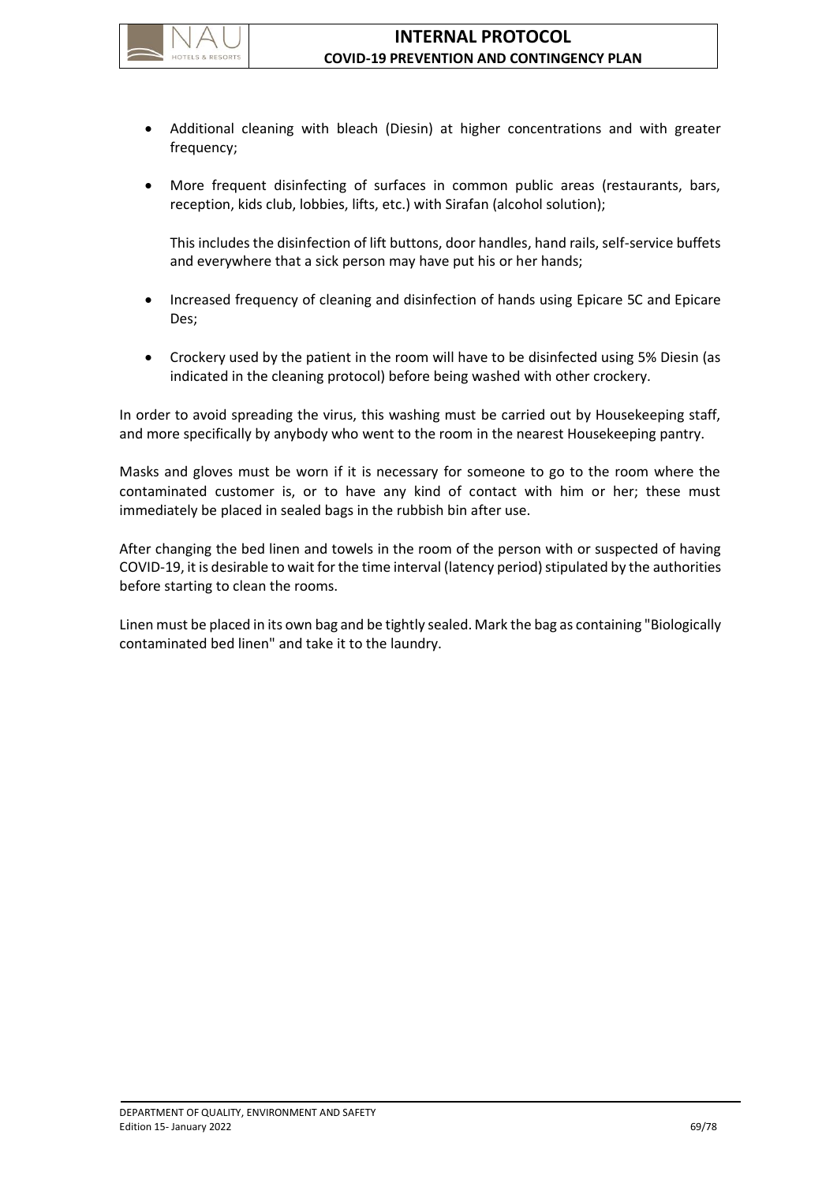

- Additional cleaning with bleach (Diesin) at higher concentrations and with greater frequency;
- More frequent disinfecting of surfaces in common public areas (restaurants, bars, reception, kids club, lobbies, lifts, etc.) with Sirafan (alcohol solution);

This includes the disinfection of lift buttons, door handles, hand rails, self-service buffets and everywhere that a sick person may have put his or her hands;

- Increased frequency of cleaning and disinfection of hands using Epicare 5C and Epicare Des;
- Crockery used by the patient in the room will have to be disinfected using 5% Diesin (as indicated in the cleaning protocol) before being washed with other crockery.

In order to avoid spreading the virus, this washing must be carried out by Housekeeping staff, and more specifically by anybody who went to the room in the nearest Housekeeping pantry.

Masks and gloves must be worn if it is necessary for someone to go to the room where the contaminated customer is, or to have any kind of contact with him or her; these must immediately be placed in sealed bags in the rubbish bin after use.

After changing the bed linen and towels in the room of the person with or suspected of having COVID-19, it is desirable to wait for the time interval (latency period) stipulated by the authorities before starting to clean the rooms.

Linen must be placed in its own bag and be tightly sealed. Mark the bag as containing "Biologically contaminated bed linen" and take it to the laundry.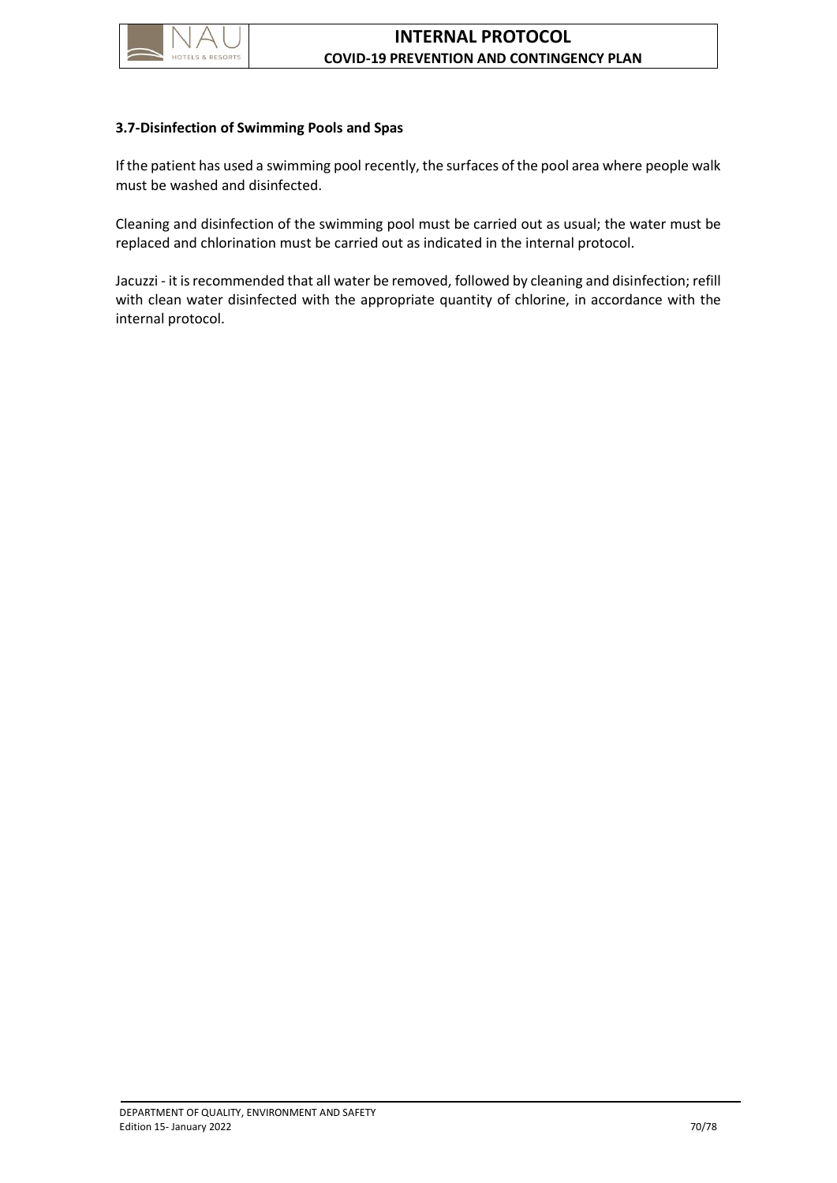

## **3.7-Disinfection of Swimming Pools and Spas**

If the patient has used a swimming pool recently, the surfaces of the pool area where people walk must be washed and disinfected.

Cleaning and disinfection of the swimming pool must be carried out as usual; the water must be replaced and chlorination must be carried out as indicated in the internal protocol.

Jacuzzi - it is recommended that all water be removed, followed by cleaning and disinfection; refill with clean water disinfected with the appropriate quantity of chlorine, in accordance with the internal protocol.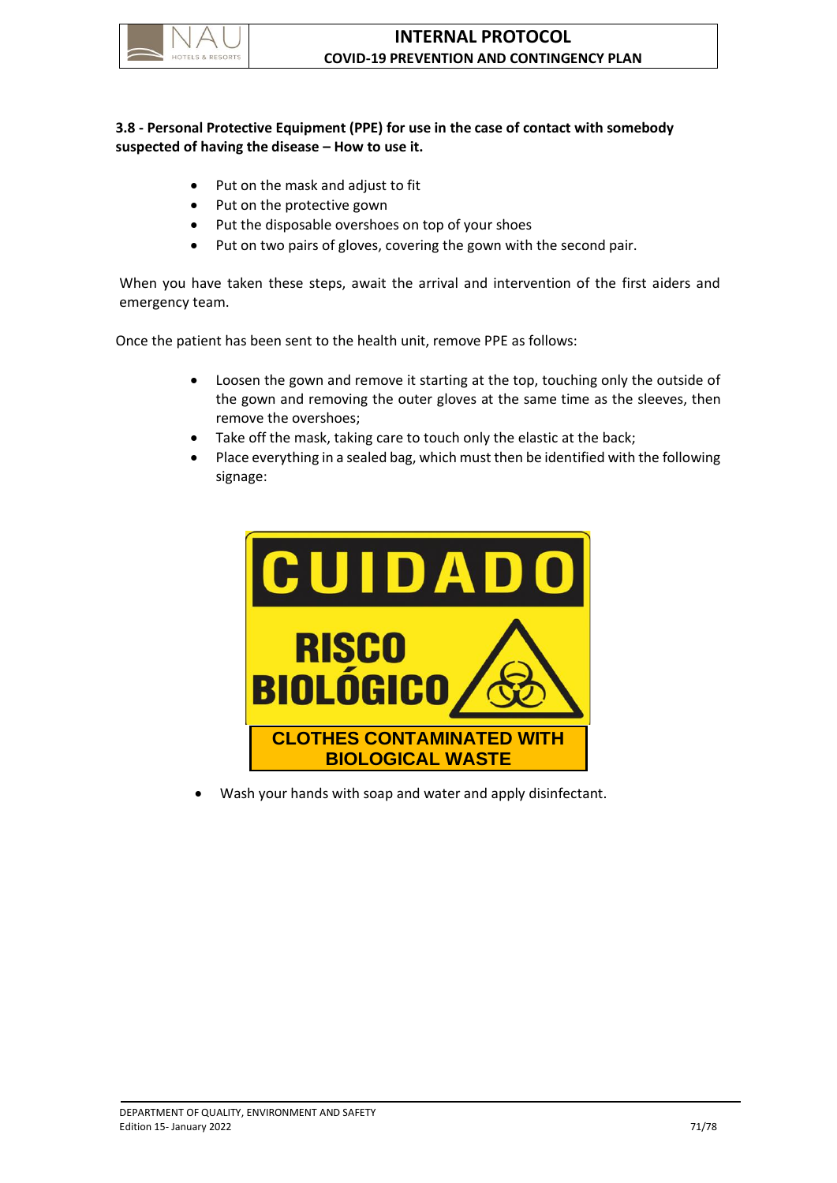

# **3.8 - Personal Protective Equipment (PPE) for use in the case of contact with somebody suspected of having the disease – How to use it.**

- Put on the mask and adjust to fit
- Put on the protective gown
- Put the disposable overshoes on top of your shoes
- Put on two pairs of gloves, covering the gown with the second pair.

When you have taken these steps, await the arrival and intervention of the first aiders and emergency team.

Once the patient has been sent to the health unit, remove PPE as follows:

- Loosen the gown and remove it starting at the top, touching only the outside of the gown and removing the outer gloves at the same time as the sleeves, then remove the overshoes;
- Take off the mask, taking care to touch only the elastic at the back;
- Place everything in a sealed bag, which must then be identified with the following signage:



Wash your hands with soap and water and apply disinfectant.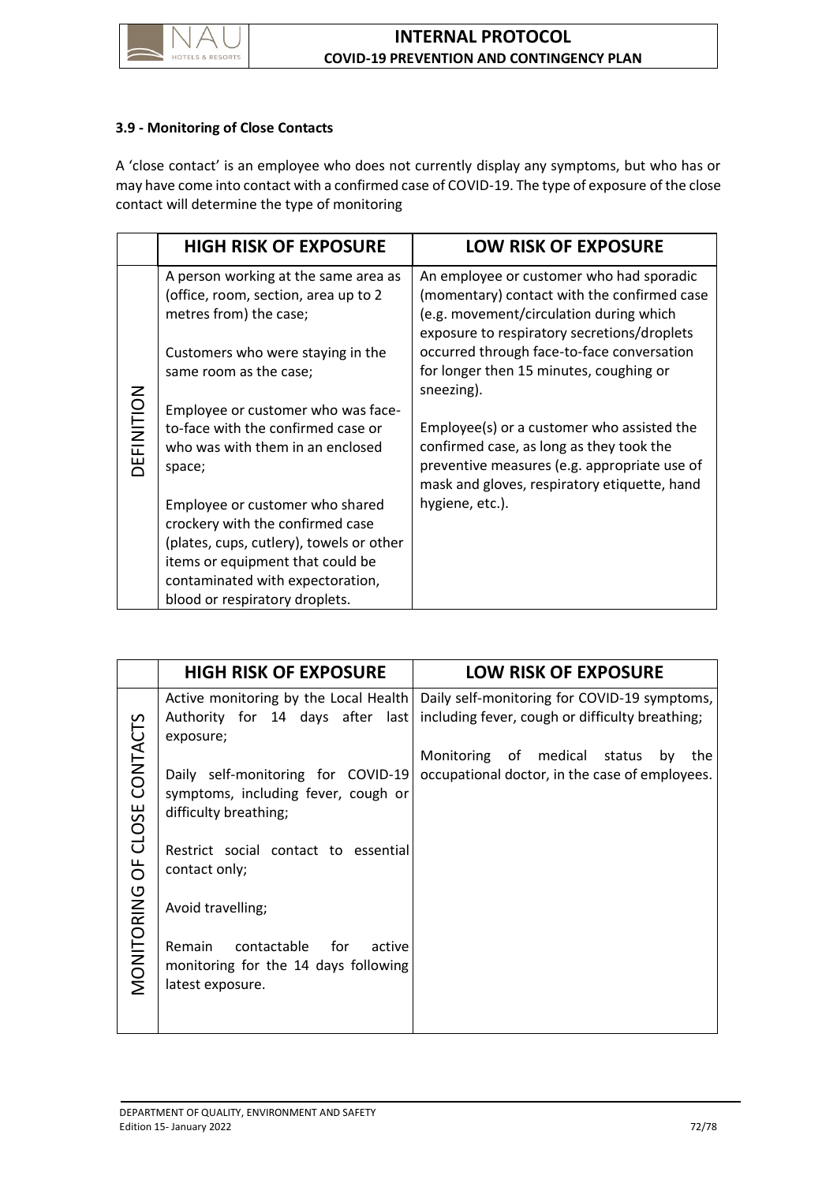

## **3.9 - Monitoring of Close Contacts**

A 'close contact' is an employee who does not currently display any symptoms, but who has or may have come into contact with a confirmed case of COVID-19. The type of exposure of the close contact will determine the type of monitoring

|            | <b>HIGH RISK OF EXPOSURE</b>                                                                                                                                                                                              | <b>LOW RISK OF EXPOSURE</b>                                                                                                                                                            |  |  |  |  |  |
|------------|---------------------------------------------------------------------------------------------------------------------------------------------------------------------------------------------------------------------------|----------------------------------------------------------------------------------------------------------------------------------------------------------------------------------------|--|--|--|--|--|
|            | A person working at the same area as<br>(office, room, section, area up to 2<br>metres from) the case;                                                                                                                    | An employee or customer who had sporadic<br>(momentary) contact with the confirmed case<br>(e.g. movement/circulation during which<br>exposure to respiratory secretions/droplets      |  |  |  |  |  |
| DEFINITION | Customers who were staying in the<br>same room as the case;<br>Employee or customer who was face-                                                                                                                         | occurred through face-to-face conversation<br>for longer then 15 minutes, coughing or<br>sneezing).                                                                                    |  |  |  |  |  |
|            | to-face with the confirmed case or<br>who was with them in an enclosed<br>space;                                                                                                                                          | Employee(s) or a customer who assisted the<br>confirmed case, as long as they took the<br>preventive measures (e.g. appropriate use of<br>mask and gloves, respiratory etiquette, hand |  |  |  |  |  |
|            | Employee or customer who shared<br>crockery with the confirmed case<br>(plates, cups, cutlery), towels or other<br>items or equipment that could be<br>contaminated with expectoration,<br>blood or respiratory droplets. | hygiene, etc.).                                                                                                                                                                        |  |  |  |  |  |

|                              | <b>HIGH RISK OF EXPOSURE</b>                                                                                                                                                                                                                                               | <b>LOW RISK OF EXPOSURE</b>                                                                                                                                                                    |
|------------------------------|----------------------------------------------------------------------------------------------------------------------------------------------------------------------------------------------------------------------------------------------------------------------------|------------------------------------------------------------------------------------------------------------------------------------------------------------------------------------------------|
| MONITORING OF CLOSE CONTACTS | Active monitoring by the Local Health<br>Authority for 14 days after last<br>exposure;<br>Daily self-monitoring for COVID-19<br>symptoms, including fever, cough or<br>difficulty breathing;<br>Restrict social contact to essential<br>contact only;<br>Avoid travelling; | Daily self-monitoring for COVID-19 symptoms,<br>including fever, cough or difficulty breathing;<br>Monitoring of medical status<br>by<br>the<br>occupational doctor, in the case of employees. |
|                              | contactable for<br>Remain<br>active<br>monitoring for the 14 days following<br>latest exposure.                                                                                                                                                                            |                                                                                                                                                                                                |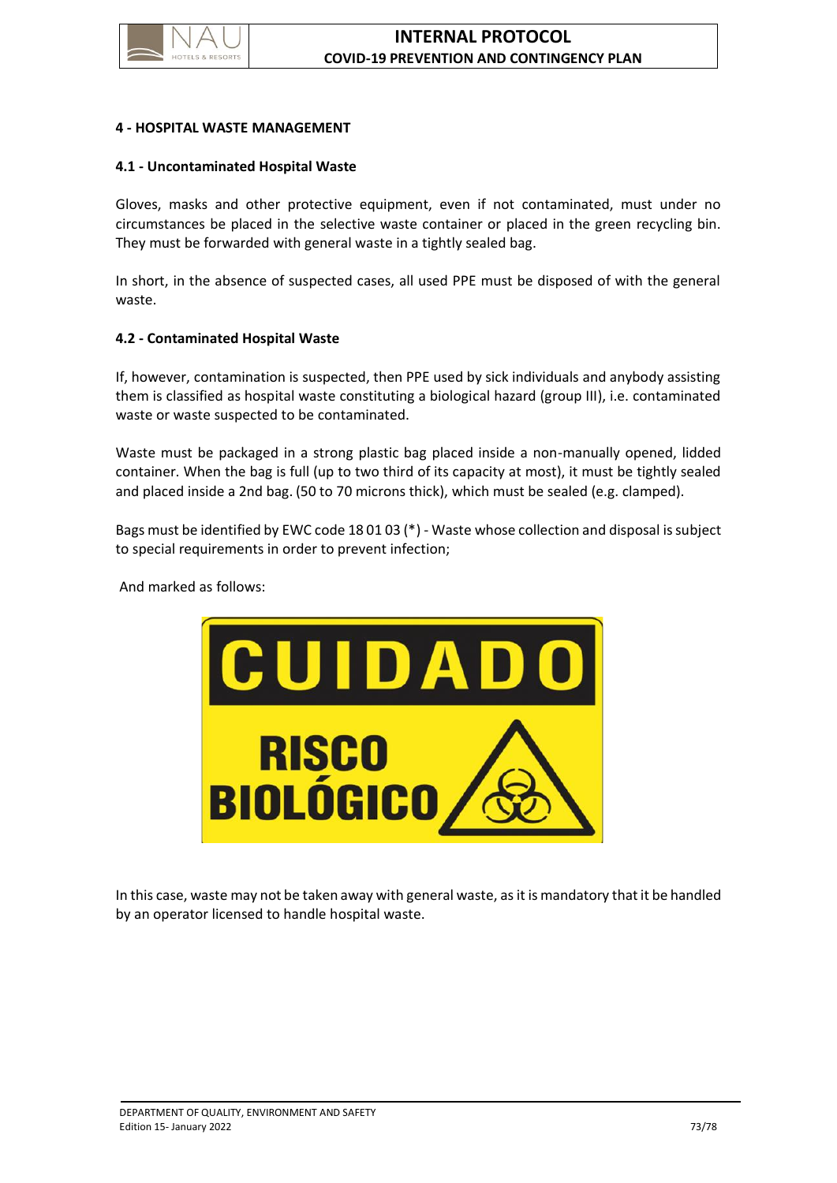

#### **4 - HOSPITAL WASTE MANAGEMENT**

#### **4.1 - Uncontaminated Hospital Waste**

Gloves, masks and other protective equipment, even if not contaminated, must under no circumstances be placed in the selective waste container or placed in the green recycling bin. They must be forwarded with general waste in a tightly sealed bag.

In short, in the absence of suspected cases, all used PPE must be disposed of with the general waste.

#### **4.2 - Contaminated Hospital Waste**

If, however, contamination is suspected, then PPE used by sick individuals and anybody assisting them is classified as hospital waste constituting a biological hazard (group III), i.e. contaminated waste or waste suspected to be contaminated.

Waste must be packaged in a strong plastic bag placed inside a non-manually opened, lidded container. When the bag is full (up to two third of its capacity at most), it must be tightly sealed and placed inside a 2nd bag. (50 to 70 microns thick), which must be sealed (e.g. clamped).

Bags must be identified by EWC code 18 01 03 (\*) - Waste whose collection and disposal is subject to special requirements in order to prevent infection;

And marked as follows:



In this case, waste may not be taken away with general waste, as it is mandatory that it be handled by an operator licensed to handle hospital waste.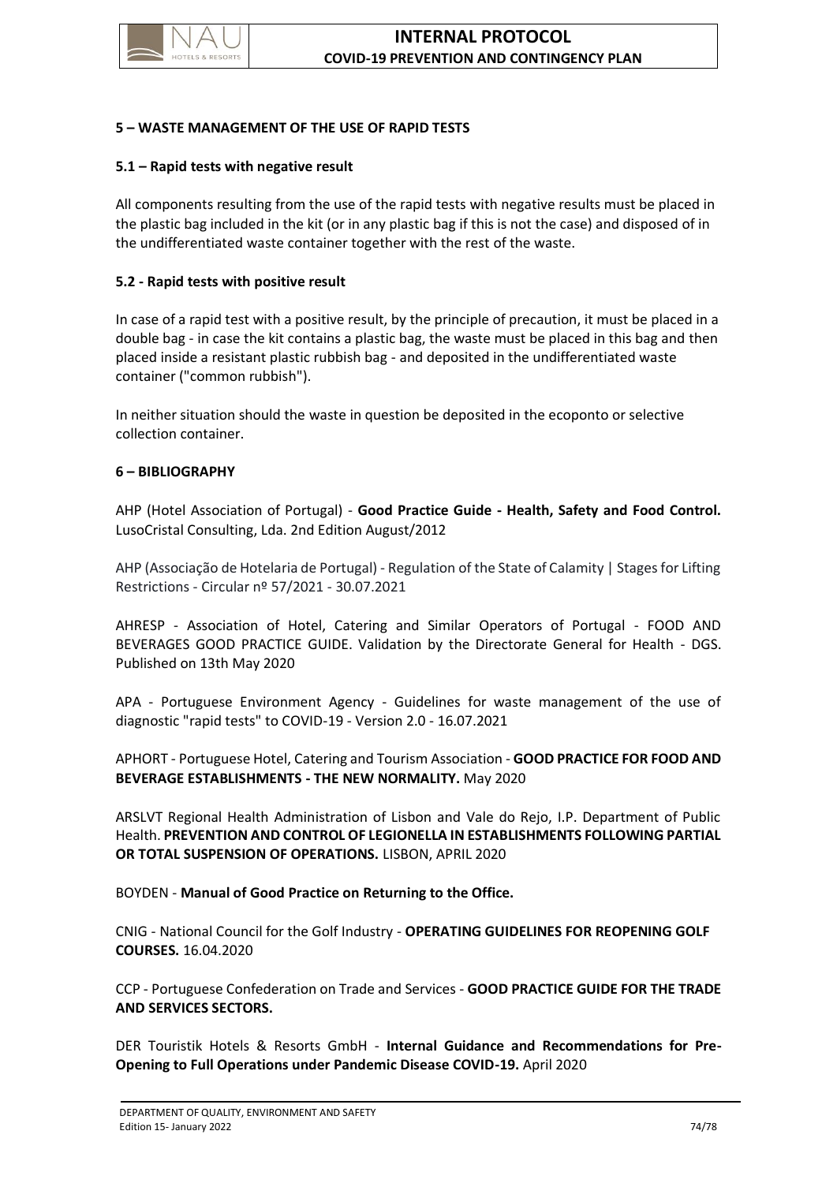

## **5 – WASTE MANAGEMENT OF THE USE OF RAPID TESTS**

## **5.1 – Rapid tests with negative result**

All components resulting from the use of the rapid tests with negative results must be placed in the plastic bag included in the kit (or in any plastic bag if this is not the case) and disposed of in the undifferentiated waste container together with the rest of the waste.

## **5.2 - Rapid tests with positive result**

In case of a rapid test with a positive result, by the principle of precaution, it must be placed in a double bag - in case the kit contains a plastic bag, the waste must be placed in this bag and then placed inside a resistant plastic rubbish bag - and deposited in the undifferentiated waste container ("common rubbish").

In neither situation should the waste in question be deposited in the ecoponto or selective collection container.

## **6 – BIBLIOGRAPHY**

AHP (Hotel Association of Portugal) - **Good Practice Guide - Health, Safety and Food Control.** LusoCristal Consulting, Lda. 2nd Edition August/2012

AHP (Associação de Hotelaria de Portugal) - Regulation of the State of Calamity | Stages for Lifting Restrictions - Circular nº 57/2021 - 30.07.2021

AHRESP - Association of Hotel, Catering and Similar Operators of Portugal - FOOD AND BEVERAGES GOOD PRACTICE GUIDE. Validation by the Directorate General for Health - DGS. Published on 13th May 2020

APA - Portuguese Environment Agency - Guidelines for waste management of the use of diagnostic "rapid tests" to COVID-19 - Version 2.0 - 16.07.2021

APHORT - Portuguese Hotel, Catering and Tourism Association - **GOOD PRACTICE FOR FOOD AND BEVERAGE ESTABLISHMENTS - THE NEW NORMALITY.** May 2020

ARSLVT Regional Health Administration of Lisbon and Vale do Rejo, I.P. Department of Public Health. **PREVENTION AND CONTROL OF LEGIONELLA IN ESTABLISHMENTS FOLLOWING PARTIAL OR TOTAL SUSPENSION OF OPERATIONS.** LISBON, APRIL 2020

BOYDEN - **Manual of Good Practice on Returning to the Office.**

CNIG - National Council for the Golf Industry - **OPERATING GUIDELINES FOR REOPENING GOLF COURSES.** 16.04.2020

CCP - Portuguese Confederation on Trade and Services - **GOOD PRACTICE GUIDE FOR THE TRADE AND SERVICES SECTORS.**

DER Touristik Hotels & Resorts GmbH - **Internal Guidance and Recommendations for Pre-Opening to Full Operations under Pandemic Disease COVID-19.** April 2020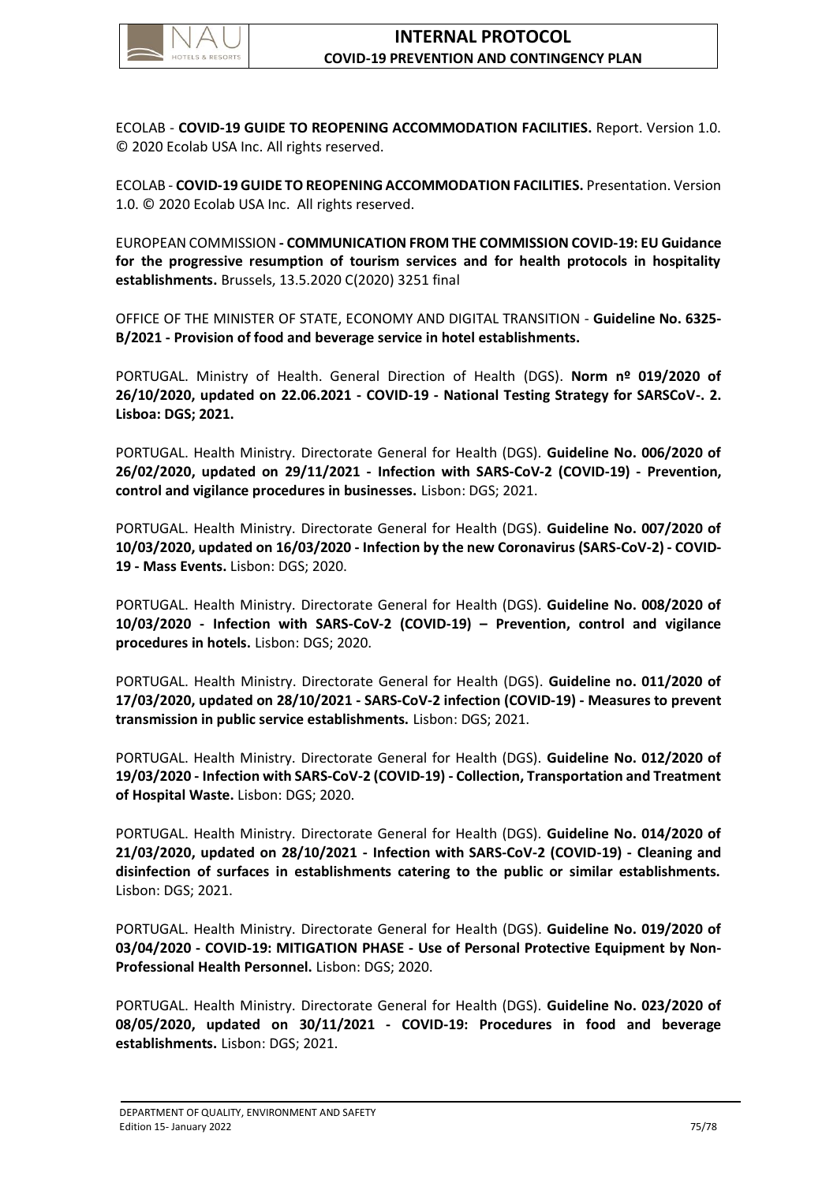

ECOLAB - **COVID-19 GUIDE TO REOPENING ACCOMMODATION FACILITIES.** Report. Version 1.0. © 2020 Ecolab USA Inc. All rights reserved.

ECOLAB - **COVID-19 GUIDE TO REOPENING ACCOMMODATION FACILITIES.** Presentation. Version 1.0. © 2020 Ecolab USA Inc. All rights reserved.

EUROPEAN COMMISSION **- COMMUNICATION FROM THE COMMISSION COVID-19: EU Guidance for the progressive resumption of tourism services and for health protocols in hospitality establishments.** Brussels, 13.5.2020 C(2020) 3251 final

OFFICE OF THE MINISTER OF STATE, ECONOMY AND DIGITAL TRANSITION - **Guideline No. 6325- B/2021 - Provision of food and beverage service in hotel establishments.**

PORTUGAL. Ministry of Health. General Direction of Health (DGS). **Norm nº 019/2020 of 26/10/2020, updated on 22.06.2021 - COVID-19 - National Testing Strategy for SARSCoV-. 2. Lisboa: DGS; 2021.**

PORTUGAL. Health Ministry. Directorate General for Health (DGS). **Guideline No. 006/2020 of 26/02/2020, updated on 29/11/2021 - Infection with SARS-CoV-2 (COVID-19) - Prevention, control and vigilance procedures in businesses.** Lisbon: DGS; 2021.

PORTUGAL. Health Ministry. Directorate General for Health (DGS). **Guideline No. 007/2020 of 10/03/2020, updated on 16/03/2020 - Infection by the new Coronavirus (SARS-CoV-2) - COVID-19 - Mass Events.** Lisbon: DGS; 2020.

PORTUGAL. Health Ministry. Directorate General for Health (DGS). **Guideline No. 008/2020 of 10/03/2020 - Infection with SARS-CoV-2 (COVID-19) – Prevention, control and vigilance procedures in hotels.** Lisbon: DGS; 2020.

PORTUGAL. Health Ministry. Directorate General for Health (DGS). **Guideline no. 011/2020 of 17/03/2020, updated on 28/10/2021 - SARS-CoV-2 infection (COVID-19) - Measures to prevent transmission in public service establishments.** Lisbon: DGS; 2021.

PORTUGAL. Health Ministry. Directorate General for Health (DGS). **Guideline No. 012/2020 of 19/03/2020 - Infection with SARS-CoV-2 (COVID-19) - Collection, Transportation and Treatment of Hospital Waste.** Lisbon: DGS; 2020.

PORTUGAL. Health Ministry. Directorate General for Health (DGS). **Guideline No. 014/2020 of 21/03/2020, updated on 28/10/2021 - Infection with SARS-CoV-2 (COVID-19) - Cleaning and disinfection of surfaces in establishments catering to the public or similar establishments.** Lisbon: DGS; 2021.

PORTUGAL. Health Ministry. Directorate General for Health (DGS). **Guideline No. 019/2020 of 03/04/2020 - COVID-19: MITIGATION PHASE - Use of Personal Protective Equipment by Non-Professional Health Personnel.** Lisbon: DGS; 2020.

PORTUGAL. Health Ministry. Directorate General for Health (DGS). **Guideline No. 023/2020 of 08/05/2020, updated on 30/11/2021 - COVID-19: Procedures in food and beverage establishments.** Lisbon: DGS; 2021.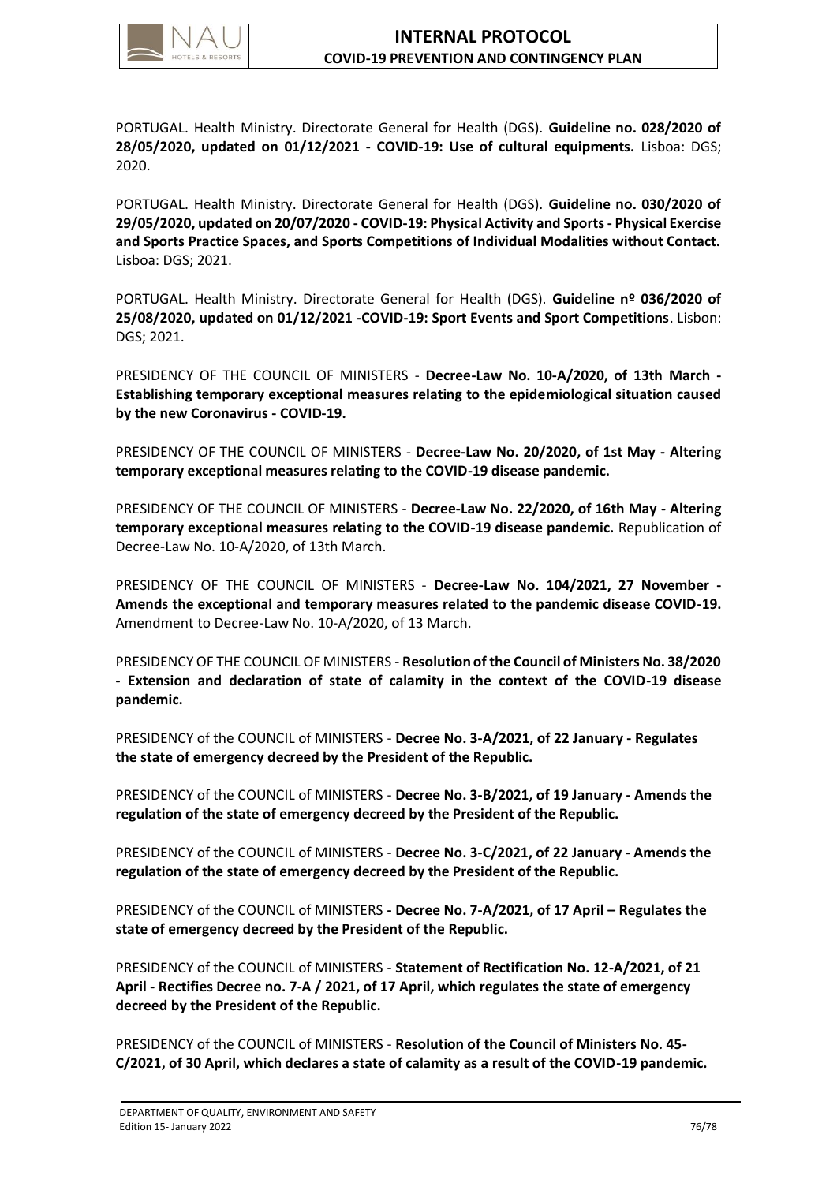

PORTUGAL. Health Ministry. Directorate General for Health (DGS). **Guideline no. 028/2020 of 28/05/2020, updated on 01/12/2021 - COVID-19: Use of cultural equipments.** Lisboa: DGS; 2020.

PORTUGAL. Health Ministry. Directorate General for Health (DGS). **Guideline no. 030/2020 of 29/05/2020, updated on 20/07/2020 - COVID-19: Physical Activity and Sports - Physical Exercise and Sports Practice Spaces, and Sports Competitions of Individual Modalities without Contact.** Lisboa: DGS; 2021.

PORTUGAL. Health Ministry. Directorate General for Health (DGS). **Guideline nº 036/2020 of 25/08/2020, updated on 01/12/2021 -COVID-19: Sport Events and Sport Competitions**. Lisbon: DGS; 2021.

PRESIDENCY OF THE COUNCIL OF MINISTERS - **Decree-Law No. 10-A/2020, of 13th March - Establishing temporary exceptional measures relating to the epidemiological situation caused by the new Coronavirus - COVID-19.**

PRESIDENCY OF THE COUNCIL OF MINISTERS - **Decree-Law No. 20/2020, of 1st May - Altering temporary exceptional measures relating to the COVID-19 disease pandemic.**

PRESIDENCY OF THE COUNCIL OF MINISTERS - **Decree-Law No. 22/2020, of 16th May - Altering temporary exceptional measures relating to the COVID-19 disease pandemic.** Republication of Decree-Law No. 10-A/2020, of 13th March.

PRESIDENCY OF THE COUNCIL OF MINISTERS - **Decree-Law No. 104/2021, 27 November - Amends the exceptional and temporary measures related to the pandemic disease COVID-19.** Amendment to Decree-Law No. 10-A/2020, of 13 March.

PRESIDENCY OF THE COUNCIL OF MINISTERS - **Resolution of the Council of Ministers No. 38/2020 - Extension and declaration of state of calamity in the context of the COVID-19 disease pandemic.**

PRESIDENCY of the COUNCIL of MINISTERS - **Decree No. 3-A/2021, of 22 January - Regulates the state of emergency decreed by the President of the Republic.**

PRESIDENCY of the COUNCIL of MINISTERS - **Decree No. 3-B/2021, of 19 January - Amends the regulation of the state of emergency decreed by the President of the Republic.**

PRESIDENCY of the COUNCIL of MINISTERS - **Decree No. 3-C/2021, of 22 January - Amends the regulation of the state of emergency decreed by the President of the Republic.**

PRESIDENCY of the COUNCIL of MINISTERS **- Decree No. 7-A/2021, of 17 April – Regulates the state of emergency decreed by the President of the Republic.**

PRESIDENCY of the COUNCIL of MINISTERS - **Statement of Rectification No. 12-A/2021, of 21 April - Rectifies Decree no. 7-A / 2021, of 17 April, which regulates the state of emergency decreed by the President of the Republic.**

PRESIDENCY of the COUNCIL of MINISTERS - **Resolution of the Council of Ministers No. 45- C/2021, of 30 April, which declares a state of calamity as a result of the COVID-19 pandemic.**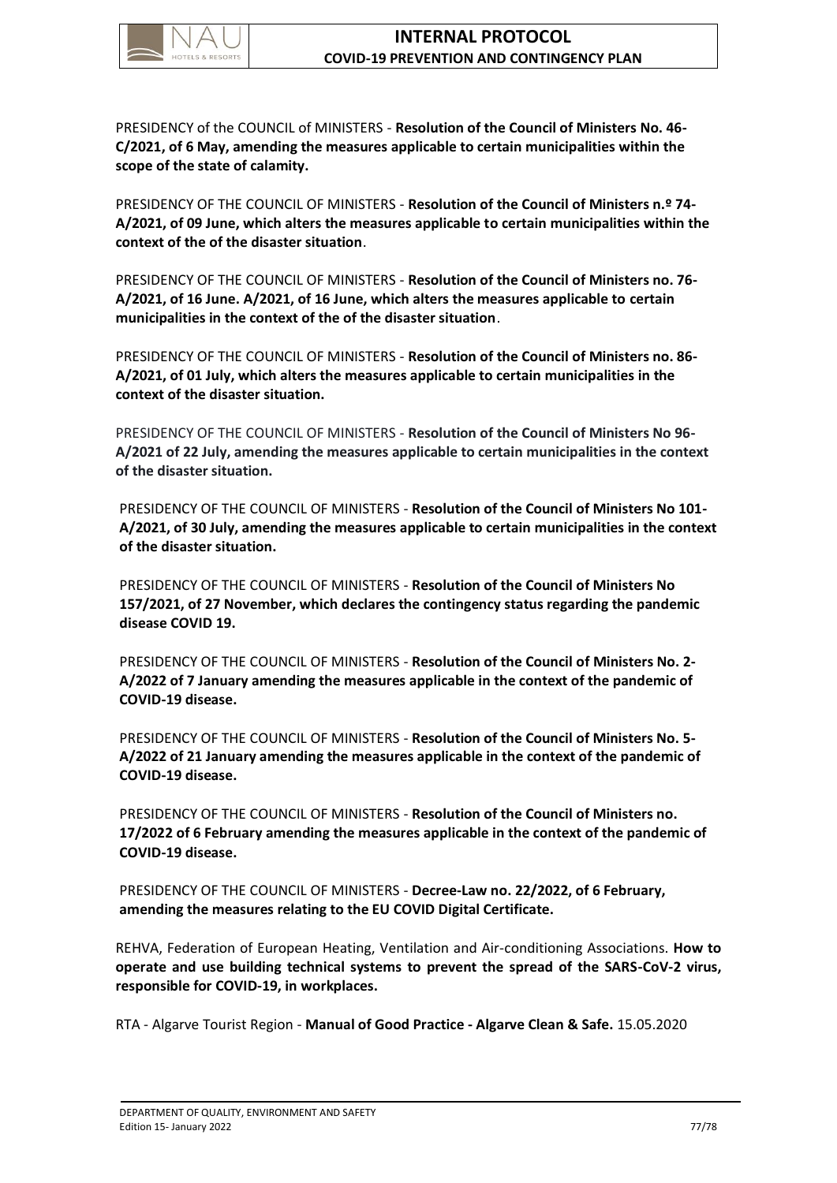

PRESIDENCY of the COUNCIL of MINISTERS - **Resolution of the Council of Ministers No. 46- C/2021, of 6 May, amending the measures applicable to certain municipalities within the scope of the state of calamity.**

PRESIDENCY OF THE COUNCIL OF MINISTERS - **Resolution of the Council of Ministers n.º 74- A/2021, of 09 June, which alters the measures applicable to certain municipalities within the context of the of the disaster situation**.

PRESIDENCY OF THE COUNCIL OF MINISTERS - **Resolution of the Council of Ministers no. 76- A/2021, of 16 June. A/2021, of 16 June, which alters the measures applicable to certain municipalities in the context of the of the disaster situation**.

PRESIDENCY OF THE COUNCIL OF MINISTERS - **Resolution of the Council of Ministers no. 86- A/2021, of 01 July, which alters the measures applicable to certain municipalities in the context of the disaster situation.** 

PRESIDENCY OF THE COUNCIL OF MINISTERS - **Resolution of the Council of Ministers No 96- A/2021 of 22 July, amending the measures applicable to certain municipalities in the context of the disaster situation.**

PRESIDENCY OF THE COUNCIL OF MINISTERS - **Resolution of the Council of Ministers No 101- A/2021, of 30 July, amending the measures applicable to certain municipalities in the context of the disaster situation.**

PRESIDENCY OF THE COUNCIL OF MINISTERS - **Resolution of the Council of Ministers No 157/2021, of 27 November, which declares the contingency status regarding the pandemic disease COVID 19.**

PRESIDENCY OF THE COUNCIL OF MINISTERS - **Resolution of the Council of Ministers No. 2- A/2022 of 7 January amending the measures applicable in the context of the pandemic of COVID-19 disease.**

PRESIDENCY OF THE COUNCIL OF MINISTERS - **Resolution of the Council of Ministers No. 5- A/2022 of 21 January amending the measures applicable in the context of the pandemic of COVID-19 disease.**

PRESIDENCY OF THE COUNCIL OF MINISTERS - **Resolution of the Council of Ministers no. 17/2022 of 6 February amending the measures applicable in the context of the pandemic of COVID-19 disease.**

PRESIDENCY OF THE COUNCIL OF MINISTERS - **Decree-Law no. 22/2022, of 6 February, amending the measures relating to the EU COVID Digital Certificate.**

REHVA, Federation of European Heating, Ventilation and Air-conditioning Associations. **How to operate and use building technical systems to prevent the spread of the SARS-CoV-2 virus, responsible for COVID-19, in workplaces.**

RTA - Algarve Tourist Region - **Manual of Good Practice - Algarve Clean & Safe.** 15.05.2020